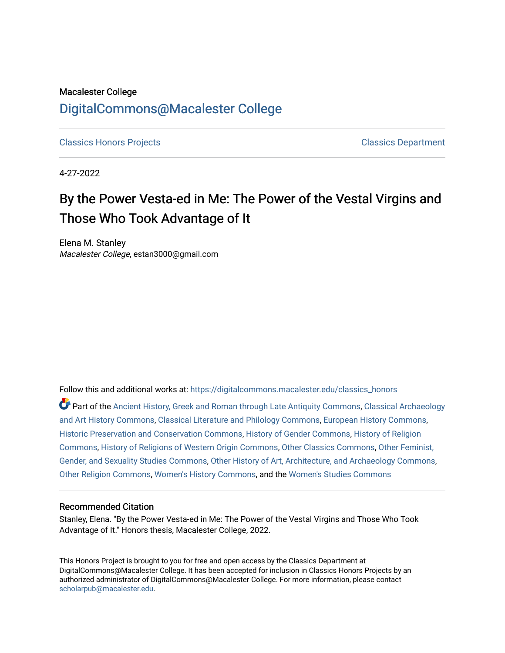# Macalester College [DigitalCommons@Macalester College](https://digitalcommons.macalester.edu/)

[Classics Honors Projects](https://digitalcommons.macalester.edu/classics_honors) [Classics Department](https://digitalcommons.macalester.edu/classics) 

4-27-2022

# By the Power Vesta-ed in Me: The Power of the Vestal Virgins and Those Who Took Advantage of It

Elena M. Stanley Macalester College, estan3000@gmail.com

Follow this and additional works at: [https://digitalcommons.macalester.edu/classics\\_honors](https://digitalcommons.macalester.edu/classics_honors?utm_source=digitalcommons.macalester.edu%2Fclassics_honors%2F28&utm_medium=PDF&utm_campaign=PDFCoverPages) 

Part of the [Ancient History, Greek and Roman through Late Antiquity Commons](https://network.bepress.com/hgg/discipline/447?utm_source=digitalcommons.macalester.edu%2Fclassics_honors%2F28&utm_medium=PDF&utm_campaign=PDFCoverPages), [Classical Archaeology](https://network.bepress.com/hgg/discipline/450?utm_source=digitalcommons.macalester.edu%2Fclassics_honors%2F28&utm_medium=PDF&utm_campaign=PDFCoverPages)  [and Art History Commons](https://network.bepress.com/hgg/discipline/450?utm_source=digitalcommons.macalester.edu%2Fclassics_honors%2F28&utm_medium=PDF&utm_campaign=PDFCoverPages), [Classical Literature and Philology Commons,](https://network.bepress.com/hgg/discipline/451?utm_source=digitalcommons.macalester.edu%2Fclassics_honors%2F28&utm_medium=PDF&utm_campaign=PDFCoverPages) [European History Commons](https://network.bepress.com/hgg/discipline/492?utm_source=digitalcommons.macalester.edu%2Fclassics_honors%2F28&utm_medium=PDF&utm_campaign=PDFCoverPages), [Historic Preservation and Conservation Commons,](https://network.bepress.com/hgg/discipline/781?utm_source=digitalcommons.macalester.edu%2Fclassics_honors%2F28&utm_medium=PDF&utm_campaign=PDFCoverPages) [History of Gender Commons,](https://network.bepress.com/hgg/discipline/498?utm_source=digitalcommons.macalester.edu%2Fclassics_honors%2F28&utm_medium=PDF&utm_campaign=PDFCoverPages) [History of Religion](https://network.bepress.com/hgg/discipline/499?utm_source=digitalcommons.macalester.edu%2Fclassics_honors%2F28&utm_medium=PDF&utm_campaign=PDFCoverPages)  [Commons](https://network.bepress.com/hgg/discipline/499?utm_source=digitalcommons.macalester.edu%2Fclassics_honors%2F28&utm_medium=PDF&utm_campaign=PDFCoverPages), [History of Religions of Western Origin Commons](https://network.bepress.com/hgg/discipline/542?utm_source=digitalcommons.macalester.edu%2Fclassics_honors%2F28&utm_medium=PDF&utm_campaign=PDFCoverPages), [Other Classics Commons,](https://network.bepress.com/hgg/discipline/453?utm_source=digitalcommons.macalester.edu%2Fclassics_honors%2F28&utm_medium=PDF&utm_campaign=PDFCoverPages) [Other Feminist,](https://network.bepress.com/hgg/discipline/562?utm_source=digitalcommons.macalester.edu%2Fclassics_honors%2F28&utm_medium=PDF&utm_campaign=PDFCoverPages) [Gender, and Sexuality Studies Commons](https://network.bepress.com/hgg/discipline/562?utm_source=digitalcommons.macalester.edu%2Fclassics_honors%2F28&utm_medium=PDF&utm_campaign=PDFCoverPages), [Other History of Art, Architecture, and Archaeology Commons,](https://network.bepress.com/hgg/discipline/517?utm_source=digitalcommons.macalester.edu%2Fclassics_honors%2F28&utm_medium=PDF&utm_campaign=PDFCoverPages) [Other Religion Commons,](https://network.bepress.com/hgg/discipline/545?utm_source=digitalcommons.macalester.edu%2Fclassics_honors%2F28&utm_medium=PDF&utm_campaign=PDFCoverPages) [Women's History Commons](https://network.bepress.com/hgg/discipline/507?utm_source=digitalcommons.macalester.edu%2Fclassics_honors%2F28&utm_medium=PDF&utm_campaign=PDFCoverPages), and the [Women's Studies Commons](https://network.bepress.com/hgg/discipline/561?utm_source=digitalcommons.macalester.edu%2Fclassics_honors%2F28&utm_medium=PDF&utm_campaign=PDFCoverPages) 

#### Recommended Citation

Stanley, Elena. "By the Power Vesta-ed in Me: The Power of the Vestal Virgins and Those Who Took Advantage of It." Honors thesis, Macalester College, 2022.

This Honors Project is brought to you for free and open access by the Classics Department at DigitalCommons@Macalester College. It has been accepted for inclusion in Classics Honors Projects by an authorized administrator of DigitalCommons@Macalester College. For more information, please contact [scholarpub@macalester.edu](mailto:scholarpub@macalester.edu).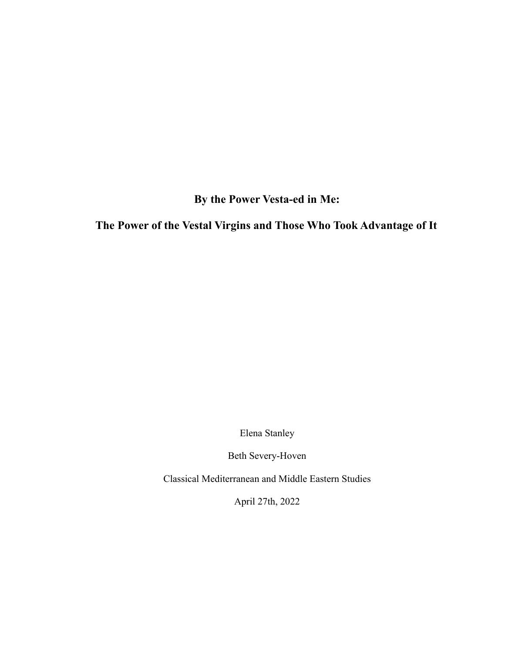**By the Power Vesta-ed in Me:**

**The Power of the Vestal Virgins and Those Who Took Advantage of It**

Elena Stanley

Beth Severy-Hoven

Classical Mediterranean and Middle Eastern Studies

April 27th, 2022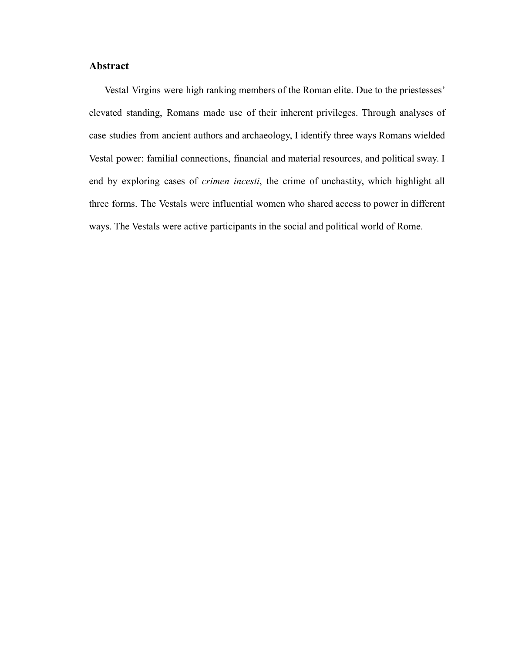# **Abstract**

Vestal Virgins were high ranking members of the Roman elite. Due to the priestesses' elevated standing, Romans made use of their inherent privileges. Through analyses of case studies from ancient authors and archaeology, I identify three ways Romans wielded Vestal power: familial connections, financial and material resources, and political sway. I end by exploring cases of *crimen incesti*, the crime of unchastity, which highlight all three forms. The Vestals were influential women who shared access to power in different ways. The Vestals were active participants in the social and political world of Rome.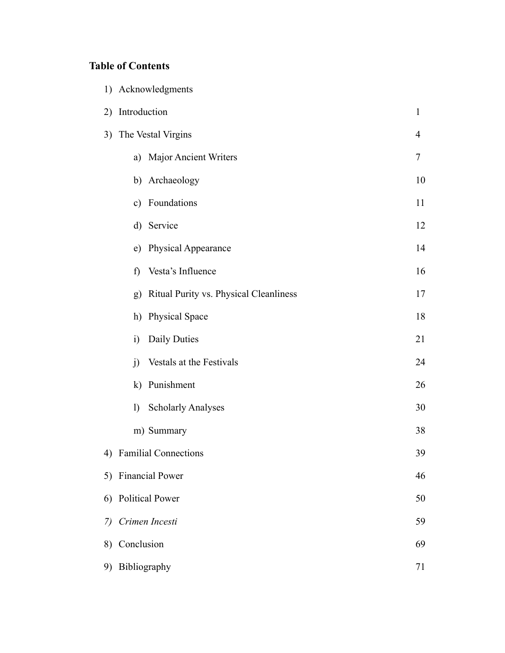# **Table of Contents**

|    | 1) Acknowledgments                           |              |
|----|----------------------------------------------|--------------|
| 2) | Introduction                                 | $\mathbf{1}$ |
| 3) | The Vestal Virgins                           | 4            |
|    | a) Major Ancient Writers                     | 7            |
|    | b) Archaeology                               | 10           |
|    | c) Foundations                               | 11           |
|    | d) Service                                   | 12           |
|    | e) Physical Appearance                       | 14           |
|    | Vesta's Influence<br>f)                      | 16           |
|    | Ritual Purity vs. Physical Cleanliness<br>g) | 17           |
|    | <b>Physical Space</b><br>h)                  | 18           |
|    | Daily Duties<br>$\ddot{1}$                   | 21           |
|    | Vestals at the Festivals<br>j)               | 24           |
|    | Punishment<br>$\bf k)$                       | 26           |
|    | <b>Scholarly Analyses</b><br>$\mathbf{I}$    | 30           |
|    | m) Summary                                   | 38           |
|    | 4) Familial Connections                      | 39           |
| 5) | <b>Financial Power</b>                       | 46           |
| 6) | <b>Political Power</b>                       | 50           |
| 7) | Crimen Incesti                               |              |
| 8) | Conclusion<br>69                             |              |
| 9) | Bibliography<br>71                           |              |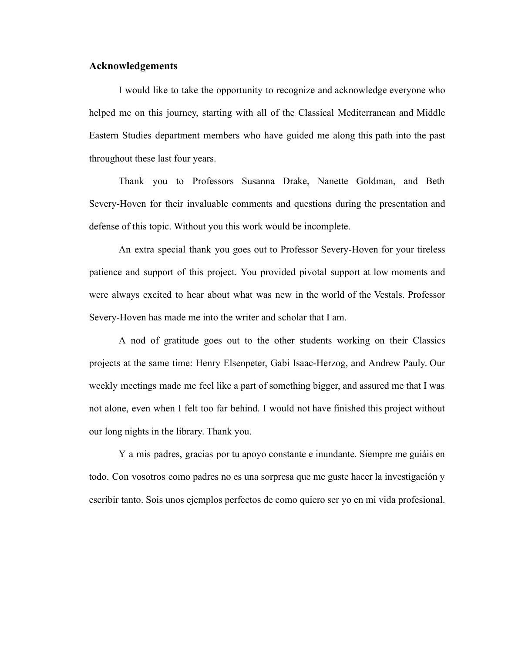# **Acknowledgements**

I would like to take the opportunity to recognize and acknowledge everyone who helped me on this journey, starting with all of the Classical Mediterranean and Middle Eastern Studies department members who have guided me along this path into the past throughout these last four years.

Thank you to Professors Susanna Drake, Nanette Goldman, and Beth Severy-Hoven for their invaluable comments and questions during the presentation and defense of this topic. Without you this work would be incomplete.

An extra special thank you goes out to Professor Severy-Hoven for your tireless patience and support of this project. You provided pivotal support at low moments and were always excited to hear about what was new in the world of the Vestals. Professor Severy-Hoven has made me into the writer and scholar that I am.

A nod of gratitude goes out to the other students working on their Classics projects at the same time: Henry Elsenpeter, Gabi Isaac-Herzog, and Andrew Pauly. Our weekly meetings made me feel like a part of something bigger, and assured me that I was not alone, even when I felt too far behind. I would not have finished this project without our long nights in the library. Thank you.

Y a mis padres, gracias por tu apoyo constante e inundante. Siempre me guiáis en todo. Con vosotros como padres no es una sorpresa que me guste hacer la investigación y escribir tanto. Sois unos ejemplos perfectos de como quiero ser yo en mi vida profesional.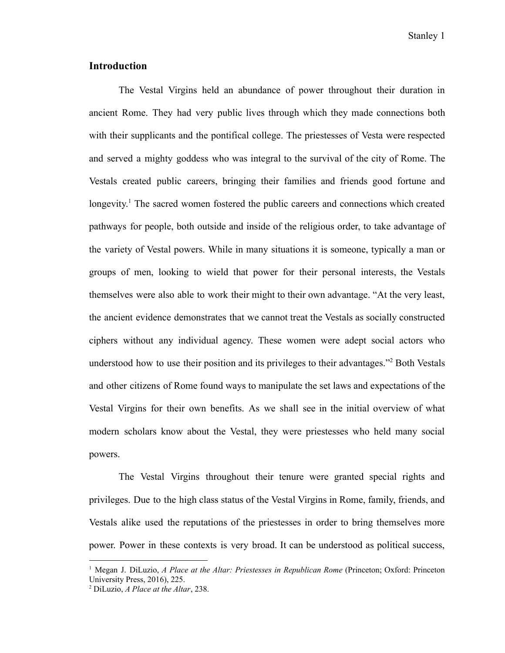Stanley 1

# **Introduction**

The Vestal Virgins held an abundance of power throughout their duration in ancient Rome. They had very public lives through which they made connections both with their supplicants and the pontifical college. The priestesses of Vesta were respected and served a mighty goddess who was integral to the survival of the city of Rome. The Vestals created public careers, bringing their families and friends good fortune and longevity.<sup>1</sup> The sacred women fostered the public careers and connections which created pathways for people, both outside and inside of the religious order, to take advantage of the variety of Vestal powers. While in many situations it is someone, typically a man or groups of men, looking to wield that power for their personal interests, the Vestals themselves were also able to work their might to their own advantage. "At the very least, the ancient evidence demonstrates that we cannot treat the Vestals as socially constructed ciphers without any individual agency. These women were adept social actors who understood how to use their position and its privileges to their advantages."<sup>2</sup> Both Vestals and other citizens of Rome found ways to manipulate the set laws and expectations of the Vestal Virgins for their own benefits. As we shall see in the initial overview of what modern scholars know about the Vestal, they were priestesses who held many social powers.

The Vestal Virgins throughout their tenure were granted special rights and privileges. Due to the high class status of the Vestal Virgins in Rome, family, friends, and Vestals alike used the reputations of the priestesses in order to bring themselves more power. Power in these contexts is very broad. It can be understood as political success,

<sup>1</sup> Megan J. DiLuzio, *A Place at the Altar: Priestesses in Republican Rome* (Princeton; Oxford: Princeton University Press, 2016), 225.

<sup>2</sup> DiLuzio, *A Place at the Altar*, 238.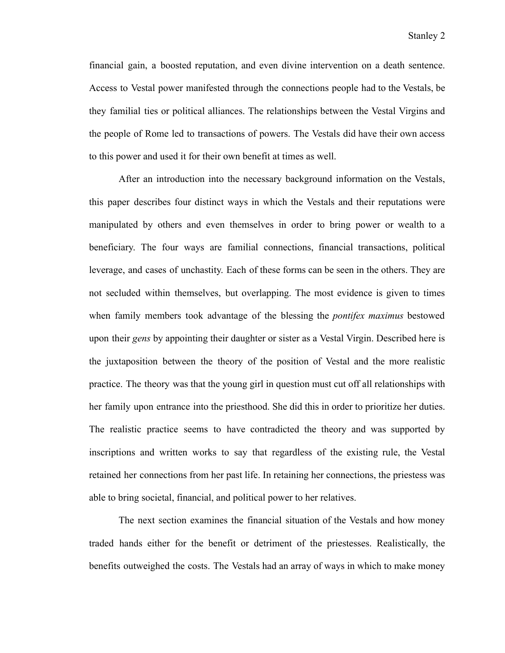financial gain, a boosted reputation, and even divine intervention on a death sentence. Access to Vestal power manifested through the connections people had to the Vestals, be they familial ties or political alliances. The relationships between the Vestal Virgins and the people of Rome led to transactions of powers. The Vestals did have their own access to this power and used it for their own benefit at times as well.

After an introduction into the necessary background information on the Vestals, this paper describes four distinct ways in which the Vestals and their reputations were manipulated by others and even themselves in order to bring power or wealth to a beneficiary. The four ways are familial connections, financial transactions, political leverage, and cases of unchastity. Each of these forms can be seen in the others. They are not secluded within themselves, but overlapping. The most evidence is given to times when family members took advantage of the blessing the *pontifex maximus* bestowed upon their *gens* by appointing their daughter or sister as a Vestal Virgin. Described here is the juxtaposition between the theory of the position of Vestal and the more realistic practice. The theory was that the young girl in question must cut off all relationships with her family upon entrance into the priesthood. She did this in order to prioritize her duties. The realistic practice seems to have contradicted the theory and was supported by inscriptions and written works to say that regardless of the existing rule, the Vestal retained her connections from her past life. In retaining her connections, the priestess was able to bring societal, financial, and political power to her relatives.

The next section examines the financial situation of the Vestals and how money traded hands either for the benefit or detriment of the priestesses. Realistically, the benefits outweighed the costs. The Vestals had an array of ways in which to make money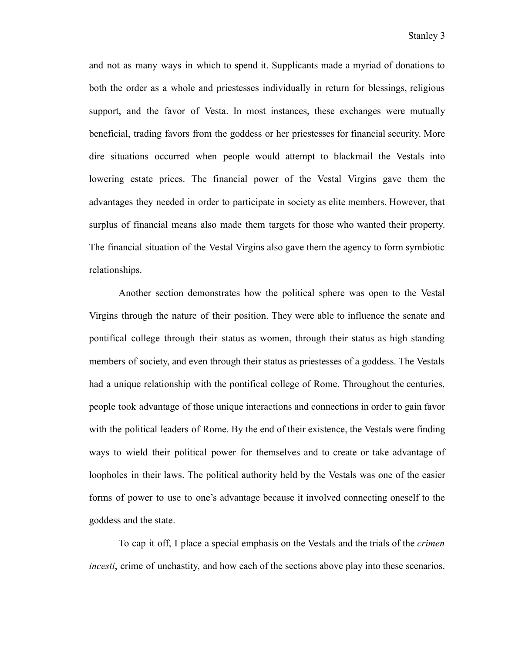and not as many ways in which to spend it. Supplicants made a myriad of donations to both the order as a whole and priestesses individually in return for blessings, religious support, and the favor of Vesta. In most instances, these exchanges were mutually beneficial, trading favors from the goddess or her priestesses for financial security. More dire situations occurred when people would attempt to blackmail the Vestals into lowering estate prices. The financial power of the Vestal Virgins gave them the advantages they needed in order to participate in society as elite members. However, that surplus of financial means also made them targets for those who wanted their property. The financial situation of the Vestal Virgins also gave them the agency to form symbiotic relationships.

Another section demonstrates how the political sphere was open to the Vestal Virgins through the nature of their position. They were able to influence the senate and pontifical college through their status as women, through their status as high standing members of society, and even through their status as priestesses of a goddess. The Vestals had a unique relationship with the pontifical college of Rome. Throughout the centuries, people took advantage of those unique interactions and connections in order to gain favor with the political leaders of Rome. By the end of their existence, the Vestals were finding ways to wield their political power for themselves and to create or take advantage of loopholes in their laws. The political authority held by the Vestals was one of the easier forms of power to use to one's advantage because it involved connecting oneself to the goddess and the state.

To cap it off, I place a special emphasis on the Vestals and the trials of the *crimen incesti*, crime of unchastity, and how each of the sections above play into these scenarios.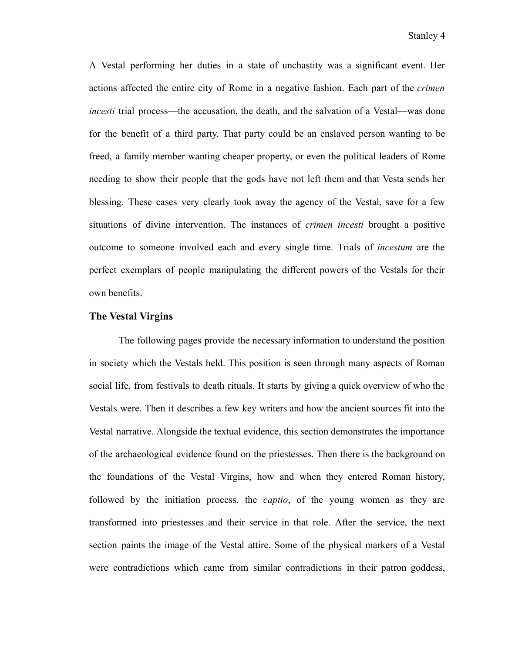A Vestal performing her duties in a state of unchastity was a significant event. Her actions affected the entire city of Rome in a negative fashion. Each part of the *crimen incesti* trial process—the accusation, the death, and the salvation of a Vestal—was done for the benefit of a third party. That party could be an enslaved person wanting to be freed, a family member wanting cheaper property, or even the political leaders of Rome needing to show their people that the gods have not left them and that Vesta sends her blessing. These cases very clearly took away the agency of the Vestal, save for a few situations of divine intervention. The instances of *crimen incesti* brought a positive outcome to someone involved each and every single time. Trials of *incestum* are the perfect exemplars of people manipulating the different powers of the Vestals for their own benefits.

### **The Vestal Virgins**

The following pages provide the necessary information to understand the position in society which the Vestals held. This position is seen through many aspects of Roman social life, from festivals to death rituals. It starts by giving a quick overview of who the Vestals were. Then it describes a few key writers and how the ancient sources fit into the Vestal narrative. Alongside the textual evidence, this section demonstrates the importance of the archaeological evidence found on the priestesses. Then there is the background on the foundations of the Vestal Virgins, how and when they entered Roman history, followed by the initiation process, the *captio*, of the young women as they are transformed into priestesses and their service in that role. After the service, the next section paints the image of the Vestal attire. Some of the physical markers of a Vestal were contradictions which came from similar contradictions in their patron goddess,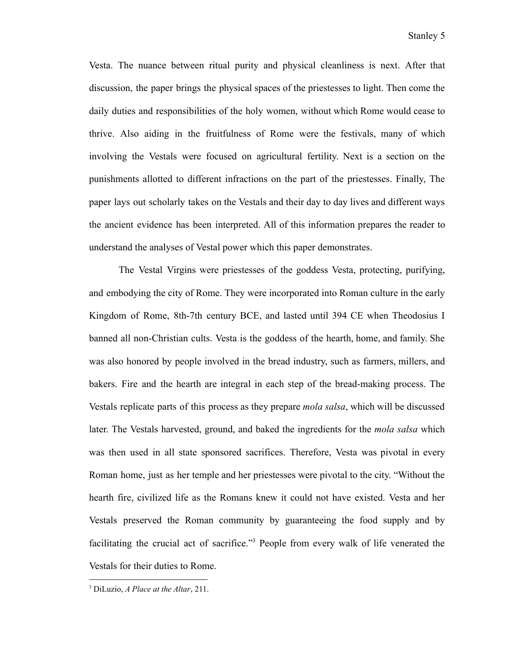Vesta. The nuance between ritual purity and physical cleanliness is next. After that discussion, the paper brings the physical spaces of the priestesses to light. Then come the daily duties and responsibilities of the holy women, without which Rome would cease to thrive. Also aiding in the fruitfulness of Rome were the festivals, many of which involving the Vestals were focused on agricultural fertility. Next is a section on the punishments allotted to different infractions on the part of the priestesses. Finally, The paper lays out scholarly takes on the Vestals and their day to day lives and different ways the ancient evidence has been interpreted. All of this information prepares the reader to understand the analyses of Vestal power which this paper demonstrates.

The Vestal Virgins were priestesses of the goddess Vesta, protecting, purifying, and embodying the city of Rome. They were incorporated into Roman culture in the early Kingdom of Rome, 8th-7th century BCE, and lasted until 394 CE when Theodosius I banned all non-Christian cults. Vesta is the goddess of the hearth, home, and family. She was also honored by people involved in the bread industry, such as farmers, millers, and bakers. Fire and the hearth are integral in each step of the bread-making process. The Vestals replicate parts of this process as they prepare *mola salsa*, which will be discussed later. The Vestals harvested, ground, and baked the ingredients for the *mola salsa* which was then used in all state sponsored sacrifices. Therefore, Vesta was pivotal in every Roman home, just as her temple and her priestesses were pivotal to the city. "Without the hearth fire, civilized life as the Romans knew it could not have existed. Vesta and her Vestals preserved the Roman community by guaranteeing the food supply and by facilitating the crucial act of sacrifice."<sup>3</sup> People from every walk of life venerated the Vestals for their duties to Rome.

<sup>3</sup> DiLuzio, *A Place at the Altar*, 211.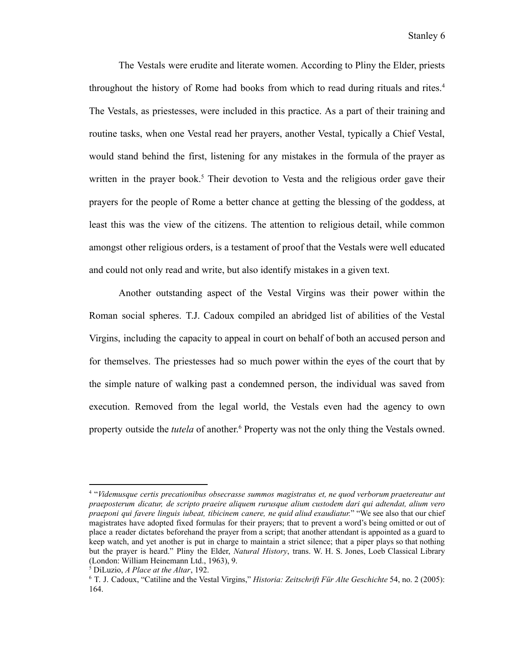The Vestals were erudite and literate women. According to Pliny the Elder, priests throughout the history of Rome had books from which to read during rituals and rites.<sup>4</sup> The Vestals, as priestesses, were included in this practice. As a part of their training and routine tasks, when one Vestal read her prayers, another Vestal, typically a Chief Vestal, would stand behind the first, listening for any mistakes in the formula of the prayer as written in the prayer book.<sup>5</sup> Their devotion to Vesta and the religious order gave their prayers for the people of Rome a better chance at getting the blessing of the goddess, at least this was the view of the citizens. The attention to religious detail, while common amongst other religious orders, is a testament of proof that the Vestals were well educated and could not only read and write, but also identify mistakes in a given text.

Another outstanding aspect of the Vestal Virgins was their power within the Roman social spheres. T.J. Cadoux compiled an abridged list of abilities of the Vestal Virgins, including the capacity to appeal in court on behalf of both an accused person and for themselves. The priestesses had so much power within the eyes of the court that by the simple nature of walking past a condemned person, the individual was saved from execution. Removed from the legal world, the Vestals even had the agency to own property outside the *tutela* of another. <sup>6</sup> Property was not the only thing the Vestals owned.

<sup>4</sup> "*Videmusque certis precationibus obsecrasse summos magistratus et, ne quod verborum praetereatur aut praeposterum dicatur, de scripto praeire aliquem rurusque alium custodem dari qui adtendat, alium vero praeponi qui favere linguis iubeat, tibicinem canere, ne quid aliud exaudiatur.*" "We see also that our chief magistrates have adopted fixed formulas for their prayers; that to prevent a word's being omitted or out of place a reader dictates beforehand the prayer from a script; that another attendant is appointed as a guard to keep watch, and yet another is put in charge to maintain a strict silence; that a piper plays so that nothing but the prayer is heard." Pliny the Elder, *Natural History*, trans. W. H. S. Jones, Loeb Classical Library (London: William Heinemann Ltd., 1963), 9.

<sup>5</sup> DiLuzio, *A Place at the Altar*, 192.

<sup>6</sup> T. J. Cadoux, "Catiline and the Vestal Virgins," *Historia: Zeitschrift Für Alte Geschichte* 54, no. 2 (2005): 164.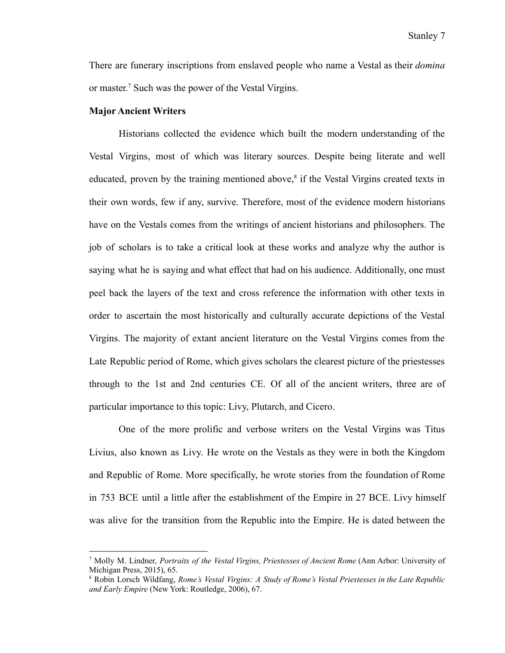There are funerary inscriptions from enslaved people who name a Vestal as their *domina* or master. <sup>7</sup> Such was the power of the Vestal Virgins.

#### **Major Ancient Writers**

Historians collected the evidence which built the modern understanding of the Vestal Virgins, most of which was literary sources. Despite being literate and well educated, proven by the training mentioned above,<sup>8</sup> if the Vestal Virgins created texts in their own words, few if any, survive. Therefore, most of the evidence modern historians have on the Vestals comes from the writings of ancient historians and philosophers. The job of scholars is to take a critical look at these works and analyze why the author is saying what he is saying and what effect that had on his audience. Additionally, one must peel back the layers of the text and cross reference the information with other texts in order to ascertain the most historically and culturally accurate depictions of the Vestal Virgins. The majority of extant ancient literature on the Vestal Virgins comes from the Late Republic period of Rome, which gives scholars the clearest picture of the priestesses through to the 1st and 2nd centuries CE. Of all of the ancient writers, three are of particular importance to this topic: Livy, Plutarch, and Cicero.

One of the more prolific and verbose writers on the Vestal Virgins was Titus Livius, also known as Livy. He wrote on the Vestals as they were in both the Kingdom and Republic of Rome. More specifically, he wrote stories from the foundation of Rome in 753 BCE until a little after the establishment of the Empire in 27 BCE. Livy himself was alive for the transition from the Republic into the Empire. He is dated between the

<sup>7</sup> Molly M. Lindner, *Portraits of the Vestal Virgins, Priestesses of Ancient Rome* (Ann Arbor: University of Michigan Press, 2015), 65.

<sup>8</sup> Robin Lorsch Wildfang, *Rome's Vestal Virgins: A Study of Rome's Vestal Priestesses in the Late Republic and Early Empire* (New York: Routledge, 2006), 67.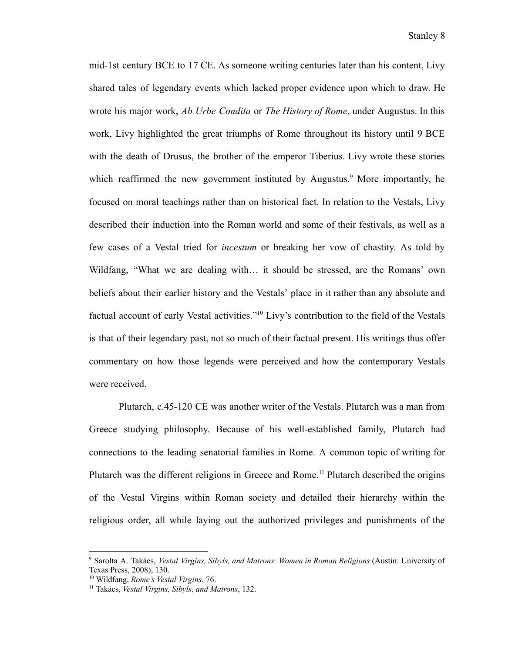mid-1st century BCE to 17 CE. As someone writing centuries later than his content, Livy shared tales of legendary events which lacked proper evidence upon which to draw. He wrote his major work, *Ab Urbe Condita* or *The History of Rome*, under Augustus. In this work, Livy highlighted the great triumphs of Rome throughout its history until 9 BCE with the death of Drusus, the brother of the emperor Tiberius. Livy wrote these stories which reaffirmed the new government instituted by Augustus.<sup>9</sup> More importantly, he focused on moral teachings rather than on historical fact. In relation to the Vestals, Livy described their induction into the Roman world and some of their festivals, as well as a few cases of a Vestal tried for *incestum* or breaking her vow of chastity. As told by Wildfang, "What we are dealing with… it should be stressed, are the Romans' own beliefs about their earlier history and the Vestals' place in it rather than any absolute and factual account of early Vestal activities."<sup>10</sup> Livy's contribution to the field of the Vestals is that of their legendary past, not so much of their factual present. His writings thus offer commentary on how those legends were perceived and how the contemporary Vestals were received.

Plutarch, c.45-120 CE was another writer of the Vestals. Plutarch was a man from Greece studying philosophy. Because of his well-established family, Plutarch had connections to the leading senatorial families in Rome. A common topic of writing for Plutarch was the different religions in Greece and Rome.<sup>11</sup> Plutarch described the origins of the Vestal Virgins within Roman society and detailed their hierarchy within the religious order, all while laying out the authorized privileges and punishments of the

<sup>9</sup> Sarolta A. Takács, *Vestal Virgins, Sibyls, and Matrons: Women in Roman Religions* (Austin: University of Texas Press, 2008), 130.

<sup>10</sup> Wildfang, *Rome's Vestal Virgins*, 76.

<sup>11</sup> Takács, *Vestal Virgins, Sibyls, and Matrons*, 132.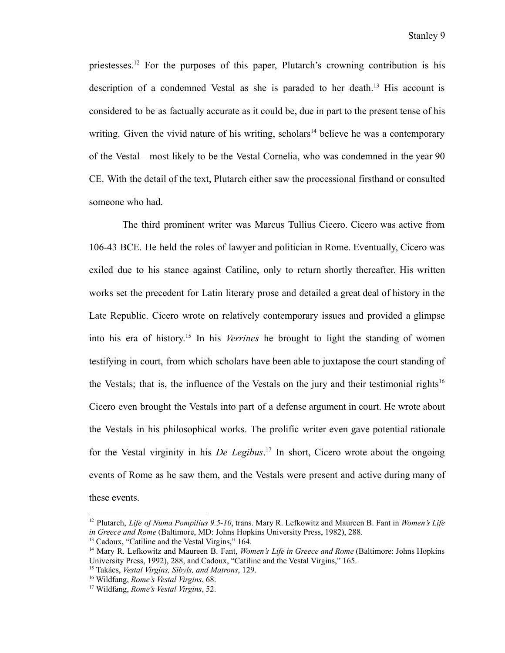priestesses.<sup>12</sup> For the purposes of this paper, Plutarch's crowning contribution is his description of a condemned Vestal as she is paraded to her death.<sup>13</sup> His account is considered to be as factually accurate as it could be, due in part to the present tense of his writing. Given the vivid nature of his writing, scholars<sup>14</sup> believe he was a contemporary of the Vestal—most likely to be the Vestal Cornelia, who was condemned in the year 90 CE. With the detail of the text, Plutarch either saw the processional firsthand or consulted someone who had.

The third prominent writer was Marcus Tullius Cicero. Cicero was active from 106-43 BCE. He held the roles of lawyer and politician in Rome. Eventually, Cicero was exiled due to his stance against Catiline, only to return shortly thereafter. His written works set the precedent for Latin literary prose and detailed a great deal of history in the Late Republic. Cicero wrote on relatively contemporary issues and provided a glimpse into his era of history. 15 In his *Verrines* he brought to light the standing of women testifying in court, from which scholars have been able to juxtapose the court standing of the Vestals; that is, the influence of the Vestals on the jury and their testimonial rights<sup>16</sup> Cicero even brought the Vestals into part of a defense argument in court. He wrote about the Vestals in his philosophical works. The prolific writer even gave potential rationale for the Vestal virginity in his *De Legibus*. 17 In short, Cicero wrote about the ongoing events of Rome as he saw them, and the Vestals were present and active during many of these events.

<sup>12</sup> Plutarch, *Life of Numa Pompilius 9.5-10*, trans. Mary R. Lefkowitz and Maureen B. Fant in *Women's Life in Greece and Rome* (Baltimore, MD: Johns Hopkins University Press, 1982), 288.

<sup>&</sup>lt;sup>13</sup> Cadoux, "Catiline and the Vestal Virgins," 164.

<sup>14</sup> Mary R. Lefkowitz and Maureen B. Fant, *Women's Life in Greece and Rome* (Baltimore: Johns Hopkins University Press, 1992), 288, and Cadoux, "Catiline and the Vestal Virgins," 165.

<sup>15</sup> Takács, *Vestal Virgins, Sibyls, and Matrons*, 129.

<sup>16</sup> Wildfang, *Rome's Vestal Virgins*, 68.

<sup>17</sup> Wildfang, *Rome's Vestal Virgins*, 52.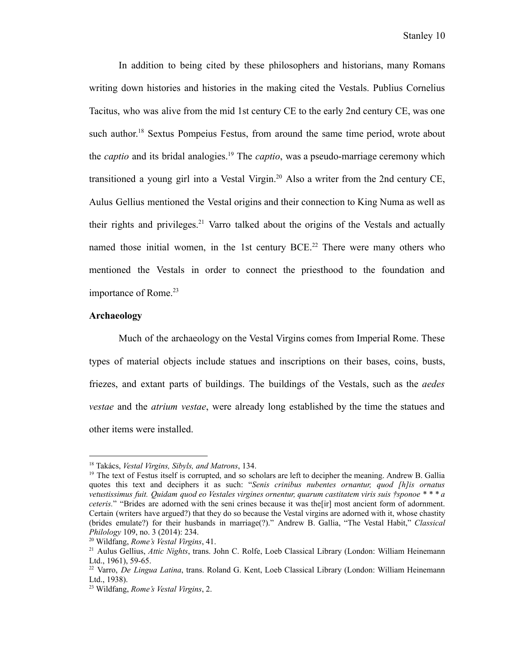In addition to being cited by these philosophers and historians, many Romans writing down histories and histories in the making cited the Vestals. Publius Cornelius Tacitus, who was alive from the mid 1st century CE to the early 2nd century CE, was one such author. <sup>18</sup> Sextus Pompeius Festus, from around the same time period, wrote about the *captio* and its bridal analogies.<sup>19</sup> The *captio*, was a pseudo-marriage ceremony which transitioned a young girl into a Vestal Virgin.<sup>20</sup> Also a writer from the 2nd century CE, Aulus Gellius mentioned the Vestal origins and their connection to King Numa as well as their rights and privileges.<sup>21</sup> Varro talked about the origins of the Vestals and actually named those initial women, in the 1st century  $BCE<sup>22</sup>$  There were many others who mentioned the Vestals in order to connect the priesthood to the foundation and importance of Rome.<sup>23</sup>

#### **Archaeology**

Much of the archaeology on the Vestal Virgins comes from Imperial Rome. These types of material objects include statues and inscriptions on their bases, coins, busts, friezes, and extant parts of buildings. The buildings of the Vestals, such as the *aedes vestae* and the *atrium vestae*, were already long established by the time the statues and other items were installed.

<sup>18</sup> Takács, *Vestal Virgins, Sibyls, and Matrons*, 134.

<sup>&</sup>lt;sup>19</sup> The text of Festus itself is corrupted, and so scholars are left to decipher the meaning. Andrew B. Gallia quotes this text and deciphers it as such: "*Senis crinibus nubentes ornantur, quod [h]is ornatus* vetustissimus fuit. Quidam quod eo Vestales virgines ornentur, quarum castitatem viris suis †sponoe \* \* \* a *ceteris.*" "Brides are adorned with the seni crines because it was the [ir] most ancient form of adornment. Certain (writers have argued?) that they do so because the Vestal virgins are adorned with it, whose chastity (brides emulate?) for their husbands in marriage(?)." Andrew B. Gallia, "The Vestal Habit," *Classical Philology* 109, no. 3 (2014): 234.

<sup>20</sup> Wildfang, *Rome's Vestal Virgins*, 41.

<sup>21</sup> Aulus Gellius, *Attic Nights*, trans. John C. Rolfe, Loeb Classical Library (London: William Heinemann Ltd., 1961), 59-65.

<sup>22</sup> Varro, *De Lingua Latina*, trans. Roland G. Kent, Loeb Classical Library (London: William Heinemann Ltd., 1938).

<sup>23</sup> Wildfang, *Rome's Vestal Virgins*, 2.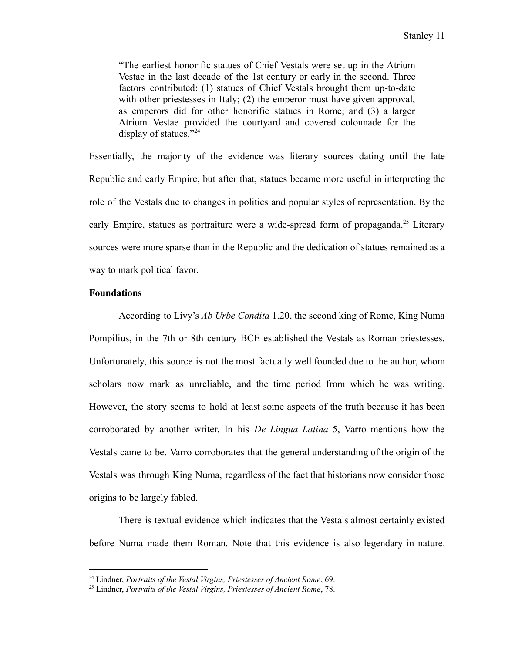"The earliest honorific statues of Chief Vestals were set up in the Atrium Vestae in the last decade of the 1st century or early in the second. Three factors contributed: (1) statues of Chief Vestals brought them up-to-date with other priestesses in Italy; (2) the emperor must have given approval, as emperors did for other honorific statues in Rome; and (3) a larger Atrium Vestae provided the courtyard and covered colonnade for the display of statues."<sup>24</sup>

Essentially, the majority of the evidence was literary sources dating until the late Republic and early Empire, but after that, statues became more useful in interpreting the role of the Vestals due to changes in politics and popular styles of representation. By the early Empire, statues as portraiture were a wide-spread form of propaganda.<sup>25</sup> Literary sources were more sparse than in the Republic and the dedication of statues remained as a way to mark political favor.

## **Foundations**

According to Livy's *Ab Urbe Condita* 1.20, the second king of Rome, King Numa Pompilius, in the 7th or 8th century BCE established the Vestals as Roman priestesses. Unfortunately, this source is not the most factually well founded due to the author, whom scholars now mark as unreliable, and the time period from which he was writing. However, the story seems to hold at least some aspects of the truth because it has been corroborated by another writer. In his *De Lingua Latina* 5, Varro mentions how the Vestals came to be. Varro corroborates that the general understanding of the origin of the Vestals was through King Numa, regardless of the fact that historians now consider those origins to be largely fabled.

There is textual evidence which indicates that the Vestals almost certainly existed before Numa made them Roman. Note that this evidence is also legendary in nature.

<sup>24</sup> Lindner, *Portraits of the Vestal Virgins, Priestesses of Ancient Rome*, 69.

<sup>25</sup> Lindner, *Portraits of the Vestal Virgins, Priestesses of Ancient Rome*, 78.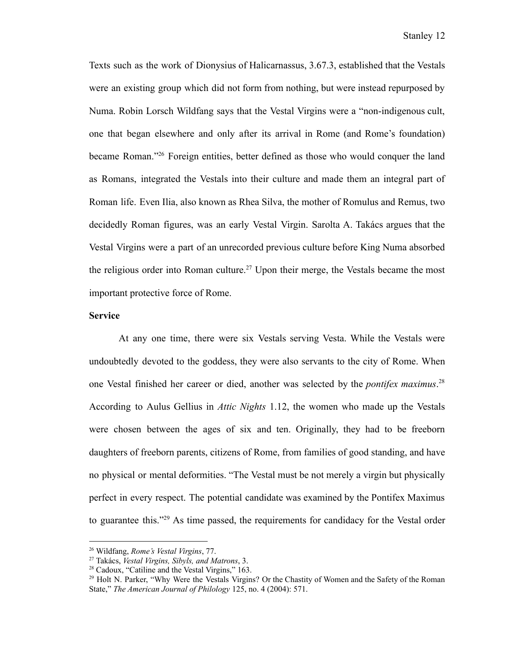Texts such as the work of Dionysius of Halicarnassus, 3.67.3, established that the Vestals were an existing group which did not form from nothing, but were instead repurposed by Numa. Robin Lorsch Wildfang says that the Vestal Virgins were a "non-indigenous cult, one that began elsewhere and only after its arrival in Rome (and Rome's foundation) became Roman."<sup>26</sup> Foreign entities, better defined as those who would conquer the land as Romans, integrated the Vestals into their culture and made them an integral part of Roman life. Even Ilia, also known as Rhea Silva, the mother of Romulus and Remus, two decidedly Roman figures, was an early Vestal Virgin. Sarolta A. Takács argues that the Vestal Virgins were a part of an unrecorded previous culture before King Numa absorbed the religious order into Roman culture.<sup>27</sup> Upon their merge, the Vestals became the most important protective force of Rome.

## **Service**

At any one time, there were six Vestals serving Vesta. While the Vestals were undoubtedly devoted to the goddess, they were also servants to the city of Rome. When one Vestal finished her career or died, another was selected by the *pontifex maximus*. 28 According to Aulus Gellius in *Attic Nights* 1.12, the women who made up the Vestals were chosen between the ages of six and ten. Originally, they had to be freeborn daughters of freeborn parents, citizens of Rome, from families of good standing, and have no physical or mental deformities. "The Vestal must be not merely a virgin but physically perfect in every respect. The potential candidate was examined by the Pontifex Maximus to guarantee this."<sup>29</sup> As time passed, the requirements for candidacy for the Vestal order

<sup>26</sup> Wildfang, *Rome's Vestal Virgins*, 77.

<sup>27</sup> Takács, *Vestal Virgins, Sibyls, and Matrons*, 3.

<sup>28</sup> Cadoux, "Catiline and the Vestal Virgins," 163.

<sup>&</sup>lt;sup>29</sup> Holt N. Parker, "Why Were the Vestals Virgins? Or the Chastity of Women and the Safety of the Roman State," *The American Journal of Philology* 125, no. 4 (2004): 571.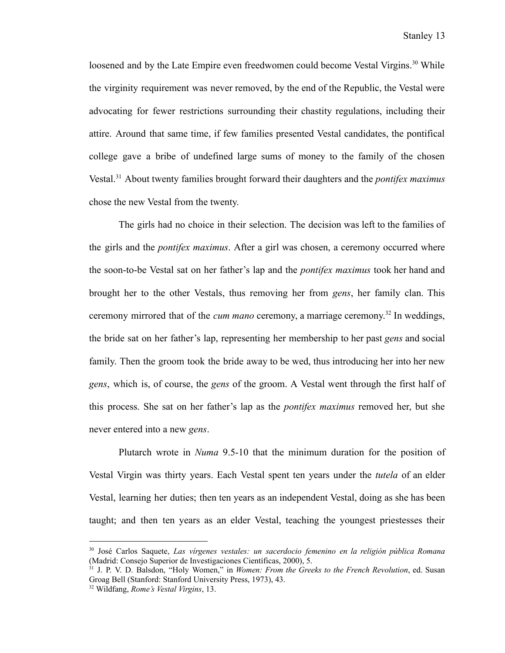loosened and by the Late Empire even freedwomen could become Vestal Virgins.<sup>30</sup> While the virginity requirement was never removed, by the end of the Republic, the Vestal were advocating for fewer restrictions surrounding their chastity regulations, including their attire. Around that same time, if few families presented Vestal candidates, the pontifical college gave a bribe of undefined large sums of money to the family of the chosen Vestal.<sup>31</sup> About twenty families brought forward their daughters and the *pontifex maximus* chose the new Vestal from the twenty.

The girls had no choice in their selection. The decision was left to the families of the girls and the *pontifex maximus*. After a girl was chosen, a ceremony occurred where the soon-to-be Vestal sat on her father's lap and the *pontifex maximus* took her hand and brought her to the other Vestals, thus removing her from *gens*, her family clan. This ceremony mirrored that of the *cum mano* ceremony, a marriage ceremony. 32 In weddings, the bride sat on her father's lap, representing her membership to her past *gens* and social family. Then the groom took the bride away to be wed, thus introducing her into her new *gens*, which is, of course, the *gens* of the groom. A Vestal went through the first half of this process. She sat on her father's lap as the *pontifex maximus* removed her, but she never entered into a new *gens*.

Plutarch wrote in *Numa* 9.5-10 that the minimum duration for the position of Vestal Virgin was thirty years. Each Vestal spent ten years under the *tutela* of an elder Vestal, learning her duties; then ten years as an independent Vestal, doing as she has been taught; and then ten years as an elder Vestal, teaching the youngest priestesses their

<sup>30</sup> José Carlos Saquete, *Las vírgenes vestales: un sacerdocio femenino en la religión pública Romana* (Madrid: Consejo Superior de Investigaciones Científicas, 2000), 5.

<sup>31</sup> J. P. V. D. Balsdon, "Holy Women," in *Women: From the Greeks to the French Revolution*, ed. Susan Groag Bell (Stanford: Stanford University Press, 1973), 43.

<sup>32</sup> Wildfang, *Rome's Vestal Virgins*, 13.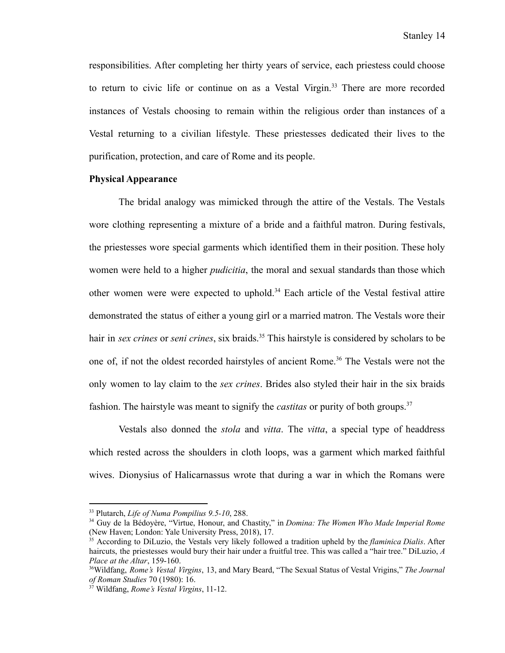responsibilities. After completing her thirty years of service, each priestess could choose to return to civic life or continue on as a Vestal Virgin.<sup>33</sup> There are more recorded instances of Vestals choosing to remain within the religious order than instances of a Vestal returning to a civilian lifestyle. These priestesses dedicated their lives to the purification, protection, and care of Rome and its people.

# **Physical Appearance**

The bridal analogy was mimicked through the attire of the Vestals. The Vestals wore clothing representing a mixture of a bride and a faithful matron. During festivals, the priestesses wore special garments which identified them in their position. These holy women were held to a higher *pudicitia*, the moral and sexual standards than those which other women were were expected to uphold.<sup>34</sup> Each article of the Vestal festival attire demonstrated the status of either a young girl or a married matron. The Vestals wore their hair in *sex crines* or *seni crines*, six braids.<sup>35</sup> This hairstyle is considered by scholars to be one of, if not the oldest recorded hairstyles of ancient Rome.<sup>36</sup> The Vestals were not the only women to lay claim to the *sex crines*. Brides also styled their hair in the six braids fashion. The hairstyle was meant to signify the *castitas* or purity of both groups.<sup>37</sup>

Vestals also donned the *stola* and *vitta*. The *vitta*, a special type of headdress which rested across the shoulders in cloth loops, was a garment which marked faithful wives. Dionysius of Halicarnassus wrote that during a war in which the Romans were

<sup>33</sup> Plutarch, *Life of Numa Pompilius 9.5-10*, 288.

<sup>34</sup> Guy de la Bédoyère, "Virtue, Honour, and Chastity," in *Domina: The Women Who Made Imperial Rome* (New Haven; London: Yale University Press, 2018), 17.

<sup>35</sup> According to DiLuzio, the Vestals very likely followed a tradition upheld by the *flaminica Dialis*. After haircuts, the priestesses would bury their hair under a fruitful tree. This was called a "hair tree." DiLuzio, *A Place at the Altar*, 159-160.

<sup>36</sup>Wildfang, *Rome's Vestal Virgins*, 13, and Mary Beard, "The Sexual Status of Vestal Vrigins," *The Journal of Roman Studies* 70 (1980): 16.

<sup>37</sup> Wildfang, *Rome's Vestal Virgins*, 11-12.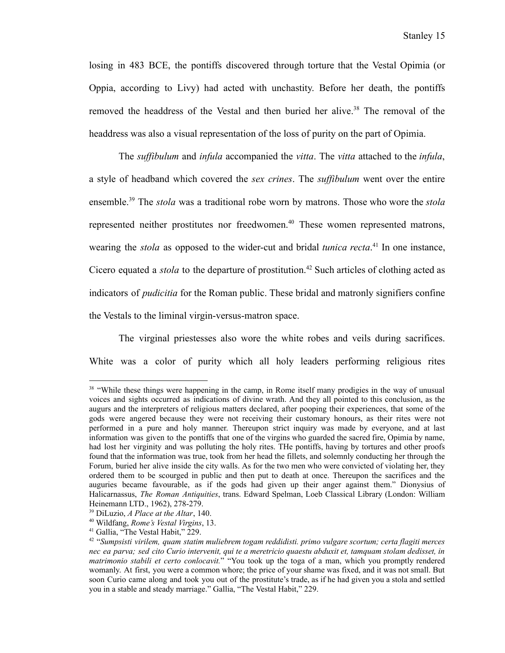losing in 483 BCE, the pontiffs discovered through torture that the Vestal Opimia (or Oppia, according to Livy) had acted with unchastity. Before her death, the pontiffs removed the headdress of the Vestal and then buried her alive.<sup>38</sup> The removal of the headdress was also a visual representation of the loss of purity on the part of Opimia.

The *suffibulum* and *infula* accompanied the *vitta*. The *vitta* attached to the *infula*, a style of headband which covered the *sex crines*. The *suffibulum* went over the entire ensemble.<sup>39</sup> The *stola* was a traditional robe worn by matrons. Those who wore the *stola* represented neither prostitutes nor freedwomen.<sup>40</sup> These women represented matrons, wearing the *stola* as opposed to the wider-cut and bridal *tunica recta*. 41 In one instance, Cicero equated a *stola* to the departure of prostitution.<sup>42</sup> Such articles of clothing acted as indicators of *pudicitia* for the Roman public. These bridal and matronly signifiers confine the Vestals to the liminal virgin-versus-matron space.

The virginal priestesses also wore the white robes and veils during sacrifices. White was a color of purity which all holy leaders performing religious rites

<sup>&</sup>lt;sup>38</sup> "While these things were happening in the camp, in Rome itself many prodigies in the way of unusual voices and sights occurred as indications of divine wrath. And they all pointed to this conclusion, as the augurs and the interpreters of religious matters declared, after pooping their experiences, that some of the gods were angered because they were not receiving their customary honours, as their rites were not performed in a pure and holy manner. Thereupon strict inquiry was made by everyone, and at last information was given to the pontiffs that one of the virgins who guarded the sacred fire, Opimia by name, had lost her virginity and was polluting the holy rites. THe pontiffs, having by tortures and other proofs found that the information was true, took from her head the fillets, and solemnly conducting her through the Forum, buried her alive inside the city walls. As for the two men who were convicted of violating her, they ordered them to be scourged in public and then put to death at once. Thereupon the sacrifices and the auguries became favourable, as if the gods had given up their anger against them." Dionysius of Halicarnassus, *The Roman Antiquities*, trans. Edward Spelman, Loeb Classical Library (London: William Heinemann LTD., 1962), 278-279.

<sup>39</sup> DiLuzio, *A Place at the Altar*, 140.

<sup>40</sup> Wildfang, *Rome's Vestal Virgins*, 13.

<sup>41</sup> Gallia, "The Vestal Habit," 229.

<sup>42</sup> "*Sumpsisti virilem, quam statim muliebrem togam reddidisti. primo vulgare scortum; certa flagiti merces* nec ea parva; sed cito Curio intervenit, qui te a meretricio quaestu abduxit et, tamquam stolam dedisset, in *matrimonio stabili et certo conlocavit.*" "You took up the toga of a man, which you promptly rendered womanly. At first, you were a common whore; the price of your shame was fixed, and it was not small. But soon Curio came along and took you out of the prostitute's trade, as if he had given you a stola and settled you in a stable and steady marriage." Gallia, "The Vestal Habit," 229.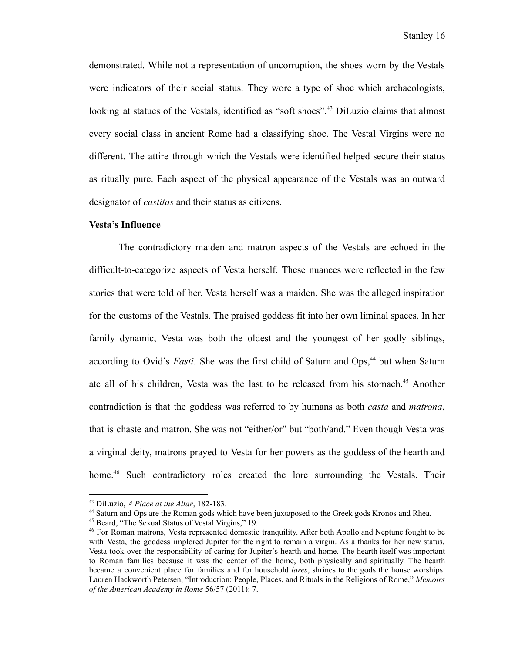demonstrated. While not a representation of uncorruption, the shoes worn by the Vestals were indicators of their social status. They wore a type of shoe which archaeologists, looking at statues of the Vestals, identified as "soft shoes".<sup>43</sup> DiLuzio claims that almost every social class in ancient Rome had a classifying shoe. The Vestal Virgins were no different. The attire through which the Vestals were identified helped secure their status as ritually pure. Each aspect of the physical appearance of the Vestals was an outward designator of *castitas* and their status as citizens.

#### **Vesta's Influence**

The contradictory maiden and matron aspects of the Vestals are echoed in the difficult-to-categorize aspects of Vesta herself. These nuances were reflected in the few stories that were told of her. Vesta herself was a maiden. She was the alleged inspiration for the customs of the Vestals. The praised goddess fit into her own liminal spaces. In her family dynamic, Vesta was both the oldest and the youngest of her godly siblings, according to Ovid's *Fasti*. She was the first child of Saturn and Ops,<sup>44</sup> but when Saturn ate all of his children, Vesta was the last to be released from his stomach.<sup>45</sup> Another contradiction is that the goddess was referred to by humans as both *casta* and *matrona*, that is chaste and matron. She was not "either/or" but "both/and." Even though Vesta was a virginal deity, matrons prayed to Vesta for her powers as the goddess of the hearth and home.<sup>46</sup> Such contradictory roles created the lore surrounding the Vestals. Their

<sup>44</sup> Saturn and Ops are the Roman gods which have been juxtaposed to the Greek gods Kronos and Rhea.

<sup>43</sup> DiLuzio, *A Place at the Altar*, 182-183.

<sup>45</sup> Beard, "The Sexual Status of Vestal Virgins," 19.

<sup>46</sup> For Roman matrons, Vesta represented domestic tranquility. After both Apollo and Neptune fought to be with Vesta, the goddess implored Jupiter for the right to remain a virgin. As a thanks for her new status, Vesta took over the responsibility of caring for Jupiter's hearth and home. The hearth itself was important to Roman families because it was the center of the home, both physically and spiritually. The hearth became a convenient place for families and for household *lares*, shrines to the gods the house worships. Lauren Hackworth Petersen, "Introduction: People, Places, and Rituals in the Religions of Rome," *Memoirs of the American Academy in Rome* 56/57 (2011): 7.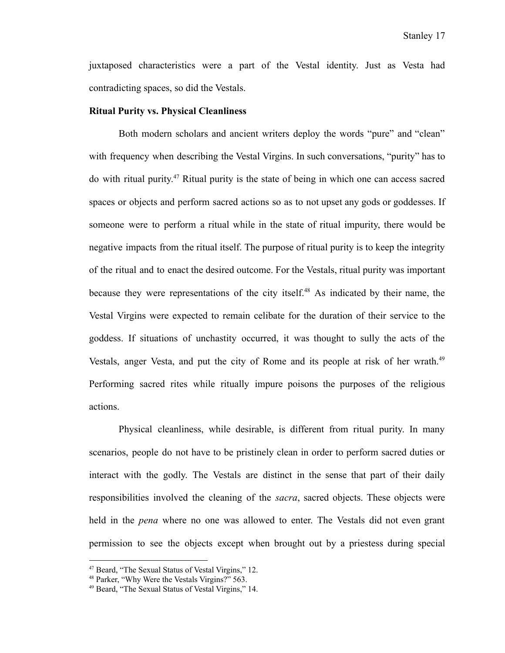juxtaposed characteristics were a part of the Vestal identity. Just as Vesta had contradicting spaces, so did the Vestals.

#### **Ritual Purity vs. Physical Cleanliness**

Both modern scholars and ancient writers deploy the words "pure" and "clean" with frequency when describing the Vestal Virgins. In such conversations, "purity" has to do with ritual purity. <sup>47</sup> Ritual purity is the state of being in which one can access sacred spaces or objects and perform sacred actions so as to not upset any gods or goddesses. If someone were to perform a ritual while in the state of ritual impurity, there would be negative impacts from the ritual itself. The purpose of ritual purity is to keep the integrity of the ritual and to enact the desired outcome. For the Vestals, ritual purity was important because they were representations of the city itself.<sup>48</sup> As indicated by their name, the Vestal Virgins were expected to remain celibate for the duration of their service to the goddess. If situations of unchastity occurred, it was thought to sully the acts of the Vestals, anger Vesta, and put the city of Rome and its people at risk of her wrath.<sup>49</sup> Performing sacred rites while ritually impure poisons the purposes of the religious actions.

Physical cleanliness, while desirable, is different from ritual purity. In many scenarios, people do not have to be pristinely clean in order to perform sacred duties or interact with the godly. The Vestals are distinct in the sense that part of their daily responsibilities involved the cleaning of the *sacra*, sacred objects. These objects were held in the *pena* where no one was allowed to enter. The Vestals did not even grant permission to see the objects except when brought out by a priestess during special

<sup>47</sup> Beard, "The Sexual Status of Vestal Virgins," 12.

<sup>&</sup>lt;sup>48</sup> Parker, "Why Were the Vestals Virgins?" 563.

<sup>49</sup> Beard, "The Sexual Status of Vestal Virgins," 14.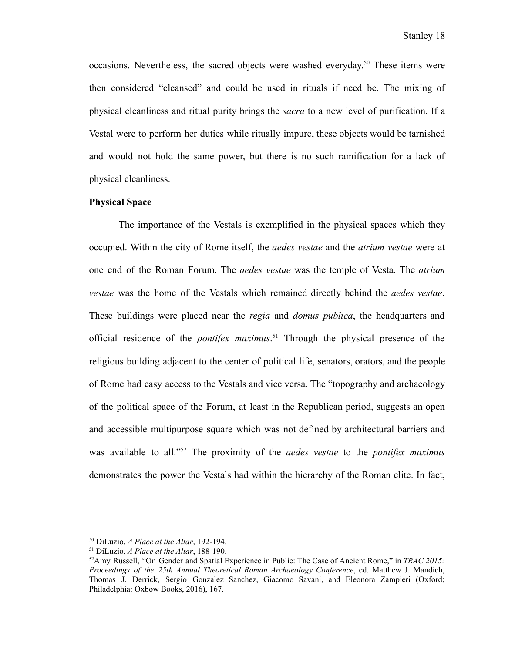occasions. Nevertheless, the sacred objects were washed everyday. <sup>50</sup> These items were then considered "cleansed" and could be used in rituals if need be. The mixing of physical cleanliness and ritual purity brings the *sacra* to a new level of purification. If a Vestal were to perform her duties while ritually impure, these objects would be tarnished and would not hold the same power, but there is no such ramification for a lack of physical cleanliness.

# **Physical Space**

The importance of the Vestals is exemplified in the physical spaces which they occupied. Within the city of Rome itself, the *aedes vestae* and the *atrium vestae* were at one end of the Roman Forum. The *aedes vestae* was the temple of Vesta. The *atrium vestae* was the home of the Vestals which remained directly behind the *aedes vestae*. These buildings were placed near the *regia* and *domus publica*, the headquarters and official residence of the *pontifex maximus*. <sup>51</sup> Through the physical presence of the religious building adjacent to the center of political life, senators, orators, and the people of Rome had easy access to the Vestals and vice versa. The "topography and archaeology of the political space of the Forum, at least in the Republican period, suggests an open and accessible multipurpose square which was not defined by architectural barriers and was available to all."<sup>52</sup> The proximity of the *aedes vestae* to the *pontifex maximus* demonstrates the power the Vestals had within the hierarchy of the Roman elite. In fact,

<sup>50</sup> DiLuzio, *A Place at the Altar*, 192-194.

<sup>51</sup> DiLuzio, *A Place at the Altar*, 188-190.

<sup>52</sup>Amy Russell, "On Gender and Spatial Experience in Public: The Case of Ancient Rome," in *TRAC 2015: Proceedings of the 25th Annual Theoretical Roman Archaeology Conference*, ed. Matthew J. Mandich, Thomas J. Derrick, Sergio Gonzalez Sanchez, Giacomo Savani, and Eleonora Zampieri (Oxford; Philadelphia: Oxbow Books, 2016), 167.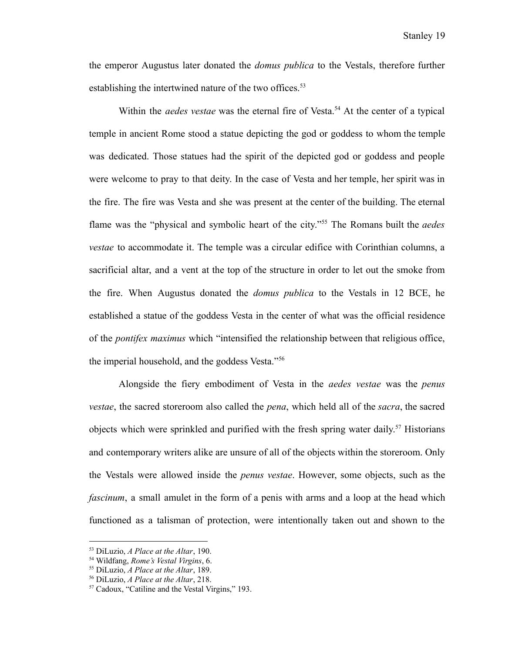the emperor Augustus later donated the *domus publica* to the Vestals, therefore further establishing the intertwined nature of the two offices.<sup>53</sup>

Within the *aedes* vestae was the eternal fire of Vesta.<sup>54</sup> At the center of a typical temple in ancient Rome stood a statue depicting the god or goddess to whom the temple was dedicated. Those statues had the spirit of the depicted god or goddess and people were welcome to pray to that deity. In the case of Vesta and her temple, her spirit was in the fire. The fire was Vesta and she was present at the center of the building. The eternal flame was the "physical and symbolic heart of the city."<sup>55</sup> The Romans built the *aedes vestae* to accommodate it. The temple was a circular edifice with Corinthian columns, a sacrificial altar, and a vent at the top of the structure in order to let out the smoke from the fire. When Augustus donated the *domus publica* to the Vestals in 12 BCE, he established a statue of the goddess Vesta in the center of what was the official residence of the *pontifex maximus* which "intensified the relationship between that religious office, the imperial household, and the goddess Vesta."<sup>56</sup>

Alongside the fiery embodiment of Vesta in the *aedes vestae* was the *penus vestae*, the sacred storeroom also called the *pena*, which held all of the *sacra*, the sacred objects which were sprinkled and purified with the fresh spring water daily. <sup>57</sup> Historians and contemporary writers alike are unsure of all of the objects within the storeroom. Only the Vestals were allowed inside the *penus vestae*. However, some objects, such as the *fascinum*, a small amulet in the form of a penis with arms and a loop at the head which functioned as a talisman of protection, were intentionally taken out and shown to the

<sup>53</sup> DiLuzio, *A Place at the Altar*, 190.

<sup>54</sup> Wildfang, *Rome's Vestal Virgins*, 6.

<sup>55</sup> DiLuzio, *A Place at the Altar*, 189.

<sup>56</sup> DiLuzio, *A Place at the Altar*, 218.

<sup>57</sup> Cadoux, "Catiline and the Vestal Virgins," 193.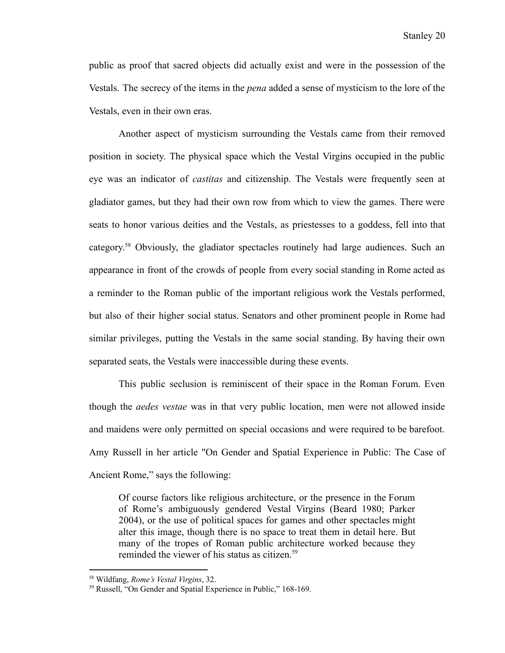public as proof that sacred objects did actually exist and were in the possession of the Vestals. The secrecy of the items in the *pena* added a sense of mysticism to the lore of the Vestals, even in their own eras.

Another aspect of mysticism surrounding the Vestals came from their removed position in society. The physical space which the Vestal Virgins occupied in the public eye was an indicator of *castitas* and citizenship. The Vestals were frequently seen at gladiator games, but they had their own row from which to view the games. There were seats to honor various deities and the Vestals, as priestesses to a goddess, fell into that category.<sup>58</sup> Obviously, the gladiator spectacles routinely had large audiences. Such an appearance in front of the crowds of people from every social standing in Rome acted as a reminder to the Roman public of the important religious work the Vestals performed, but also of their higher social status. Senators and other prominent people in Rome had similar privileges, putting the Vestals in the same social standing. By having their own separated seats, the Vestals were inaccessible during these events.

This public seclusion is reminiscent of their space in the Roman Forum. Even though the *aedes vestae* was in that very public location, men were not allowed inside and maidens were only permitted on special occasions and were required to be barefoot. Amy Russell in her article "On Gender and Spatial Experience in Public: The Case of Ancient Rome," says the following:

Of course factors like religious architecture, or the presence in the Forum of Rome's ambiguously gendered Vestal Virgins (Beard 1980; Parker 2004), or the use of political spaces for games and other spectacles might alter this image, though there is no space to treat them in detail here. But many of the tropes of Roman public architecture worked because they reminded the viewer of his status as citizen.<sup>59</sup>

<sup>58</sup> Wildfang, *Rome's Vestal Virgins*, 32.

<sup>59</sup> Russell, "On Gender and Spatial Experience in Public," 168-169.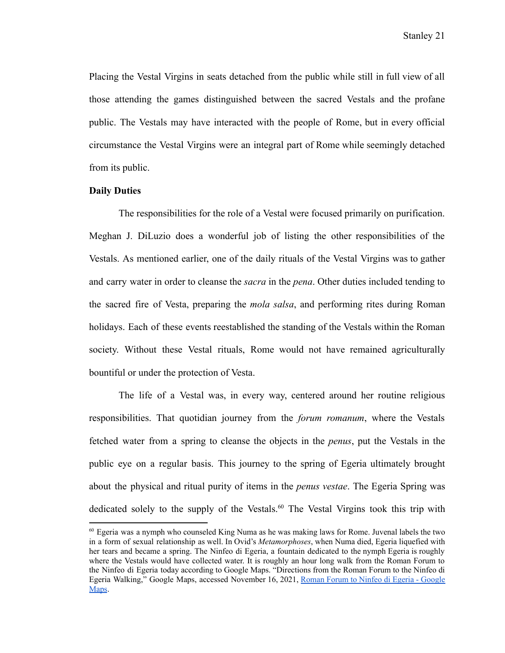Placing the Vestal Virgins in seats detached from the public while still in full view of all those attending the games distinguished between the sacred Vestals and the profane public. The Vestals may have interacted with the people of Rome, but in every official circumstance the Vestal Virgins were an integral part of Rome while seemingly detached from its public.

# **Daily Duties**

The responsibilities for the role of a Vestal were focused primarily on purification. Meghan J. DiLuzio does a wonderful job of listing the other responsibilities of the Vestals. As mentioned earlier, one of the daily rituals of the Vestal Virgins was to gather and carry water in order to cleanse the *sacra* in the *pena*. Other duties included tending to the sacred fire of Vesta, preparing the *mola salsa*, and performing rites during Roman holidays. Each of these events reestablished the standing of the Vestals within the Roman society. Without these Vestal rituals, Rome would not have remained agriculturally bountiful or under the protection of Vesta.

The life of a Vestal was, in every way, centered around her routine religious responsibilities. That quotidian journey from the *forum romanum*, where the Vestals fetched water from a spring to cleanse the objects in the *penus*, put the Vestals in the public eye on a regular basis. This journey to the spring of Egeria ultimately brought about the physical and ritual purity of items in the *penus vestae*. The Egeria Spring was dedicated solely to the supply of the Vestals.<sup>60</sup> The Vestal Virgins took this trip with

 $60$  Egeria was a nymph who counseled King Numa as he was making laws for Rome. Juvenal labels the two in a form of sexual relationship as well. In Ovid's *Metamorphoses*, when Numa died, Egeria liquefied with her tears and became a spring. The Ninfeo di Egeria, a fountain dedicated to the nymph Egeria is roughly where the Vestals would have collected water. It is roughly an hour long walk from the Roman Forum to the Ninfeo di Egeria today according to Google Maps. "Directions from the Roman Forum to the Ninfeo di Egeria Walking," Google Maps, accessed November 16, 2021, Roman Forum to Ninfeo di Egeria - [Google](https://www.google.com/maps/dir/Roman+Forum,+Via+della+Salara+Vecchia,+Rome,+Metropolitan+City+of+Rome,+Italy/Ninfeo+di+Egeria,+Via+della+Caffarella,+Rome,+Metropolitan+City+of+Rome,+Italy/@41.8758518,12.4875213,14z/data=!3m1!4b1!4m14!4m13!1m5!1m1!1s0x132f61b383a9cdef:0xfa914007c0ec7de6!2m2!1d12.485325!2d41.8924623!1m5!1m1!1s0x13258a03fec247c1:0xdfc2da530dff8b05!2m2!1d12.5243071!2d41.85918!3e2) [Maps](https://www.google.com/maps/dir/Roman+Forum,+Via+della+Salara+Vecchia,+Rome,+Metropolitan+City+of+Rome,+Italy/Ninfeo+di+Egeria,+Via+della+Caffarella,+Rome,+Metropolitan+City+of+Rome,+Italy/@41.8758518,12.4875213,14z/data=!3m1!4b1!4m14!4m13!1m5!1m1!1s0x132f61b383a9cdef:0xfa914007c0ec7de6!2m2!1d12.485325!2d41.8924623!1m5!1m1!1s0x13258a03fec247c1:0xdfc2da530dff8b05!2m2!1d12.5243071!2d41.85918!3e2).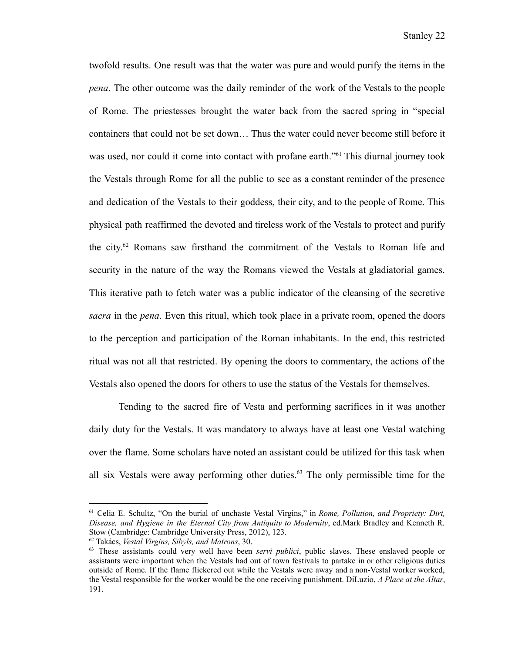twofold results. One result was that the water was pure and would purify the items in the *pena*. The other outcome was the daily reminder of the work of the Vestals to the people of Rome. The priestesses brought the water back from the sacred spring in "special containers that could not be set down… Thus the water could never become still before it was used, nor could it come into contact with profane earth.<sup>"61</sup> This diurnal journey took the Vestals through Rome for all the public to see as a constant reminder of the presence and dedication of the Vestals to their goddess, their city, and to the people of Rome. This physical path reaffirmed the devoted and tireless work of the Vestals to protect and purify the city. <sup>62</sup> Romans saw firsthand the commitment of the Vestals to Roman life and security in the nature of the way the Romans viewed the Vestals at gladiatorial games. This iterative path to fetch water was a public indicator of the cleansing of the secretive *sacra* in the *pena*. Even this ritual, which took place in a private room, opened the doors to the perception and participation of the Roman inhabitants. In the end, this restricted ritual was not all that restricted. By opening the doors to commentary, the actions of the Vestals also opened the doors for others to use the status of the Vestals for themselves.

Tending to the sacred fire of Vesta and performing sacrifices in it was another daily duty for the Vestals. It was mandatory to always have at least one Vestal watching over the flame. Some scholars have noted an assistant could be utilized for this task when all six Vestals were away performing other duties.<sup>63</sup> The only permissible time for the

<sup>61</sup> Celia E. Schultz, "On the burial of unchaste Vestal Virgins," in *Rome, Pollution, and Propriety: Dirt, Disease, and Hygiene in the Eternal City from Antiquity to Modernity*, ed.Mark Bradley and Kenneth R. Stow (Cambridge: Cambridge University Press, 2012), 123.

<sup>62</sup> Takács, *Vestal Virgins, Sibyls, and Matrons*, 30.

<sup>63</sup> These assistants could very well have been *servi publici*, public slaves. These enslaved people or assistants were important when the Vestals had out of town festivals to partake in or other religious duties outside of Rome. If the flame flickered out while the Vestals were away and a non-Vestal worker worked, the Vestal responsible for the worker would be the one receiving punishment. DiLuzio, *A Place at the Altar*, 191.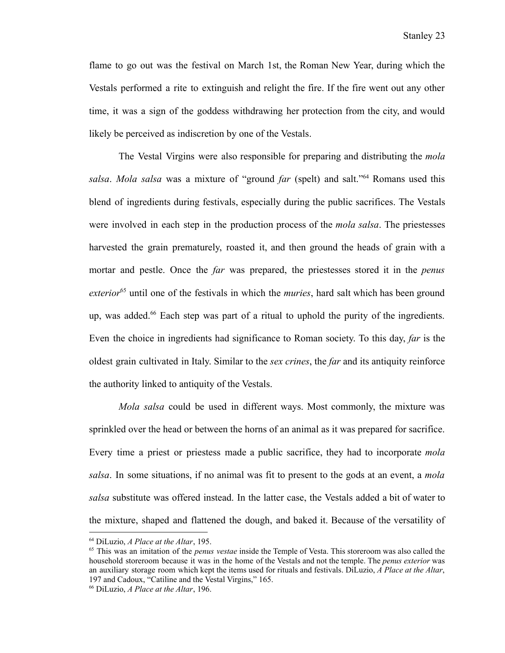flame to go out was the festival on March 1st, the Roman New Year, during which the Vestals performed a rite to extinguish and relight the fire. If the fire went out any other time, it was a sign of the goddess withdrawing her protection from the city, and would likely be perceived as indiscretion by one of the Vestals.

The Vestal Virgins were also responsible for preparing and distributing the *mola salsa*. *Mola salsa* was a mixture of "ground *far* (spelt) and salt."<sup>64</sup> Romans used this blend of ingredients during festivals, especially during the public sacrifices. The Vestals were involved in each step in the production process of the *mola salsa*. The priestesses harvested the grain prematurely, roasted it, and then ground the heads of grain with a mortar and pestle. Once the *far* was prepared, the priestesses stored it in the *penus* exterior<sup>65</sup> until one of the festivals in which the *muries*, hard salt which has been ground up, was added.<sup>66</sup> Each step was part of a ritual to uphold the purity of the ingredients. Even the choice in ingredients had significance to Roman society. To this day, *far* is the oldest grain cultivated in Italy. Similar to the *sex crines*, the *far* and its antiquity reinforce the authority linked to antiquity of the Vestals.

*Mola salsa* could be used in different ways. Most commonly, the mixture was sprinkled over the head or between the horns of an animal as it was prepared for sacrifice. Every time a priest or priestess made a public sacrifice, they had to incorporate *mola salsa*. In some situations, if no animal was fit to present to the gods at an event, a *mola salsa* substitute was offered instead. In the latter case, the Vestals added a bit of water to the mixture, shaped and flattened the dough, and baked it. Because of the versatility of

<sup>64</sup> DiLuzio, *A Place at the Altar*, 195.

<sup>65</sup> This was an imitation of the *penus vestae* inside the Temple of Vesta. This storeroom was also called the household storeroom because it was in the home of the Vestals and not the temple. The *penus exterior* was an auxiliary storage room which kept the items used for rituals and festivals. DiLuzio, *A Place at the Altar*, 197 and Cadoux, "Catiline and the Vestal Virgins," 165.

<sup>66</sup> DiLuzio, *A Place at the Altar*, 196.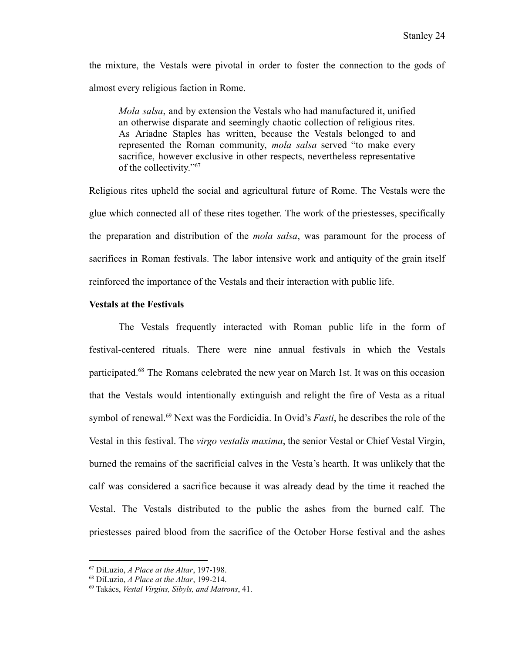the mixture, the Vestals were pivotal in order to foster the connection to the gods of almost every religious faction in Rome.

*Mola salsa*, and by extension the Vestals who had manufactured it, unified an otherwise disparate and seemingly chaotic collection of religious rites. As Ariadne Staples has written, because the Vestals belonged to and represented the Roman community, *mola salsa* served "to make every sacrifice, however exclusive in other respects, nevertheless representative of the collectivity."<sup>67</sup>

Religious rites upheld the social and agricultural future of Rome. The Vestals were the glue which connected all of these rites together. The work of the priestesses, specifically the preparation and distribution of the *mola salsa*, was paramount for the process of sacrifices in Roman festivals. The labor intensive work and antiquity of the grain itself reinforced the importance of the Vestals and their interaction with public life.

# **Vestals at the Festivals**

The Vestals frequently interacted with Roman public life in the form of festival-centered rituals. There were nine annual festivals in which the Vestals participated.<sup>68</sup> The Romans celebrated the new year on March 1st. It was on this occasion that the Vestals would intentionally extinguish and relight the fire of Vesta as a ritual symbol of renewal.<sup>69</sup> Next was the Fordicidia. In Ovid's *Fasti*, he describes the role of the Vestal in this festival. The *virgo vestalis maxima*, the senior Vestal or Chief Vestal Virgin, burned the remains of the sacrificial calves in the Vesta's hearth. It was unlikely that the calf was considered a sacrifice because it was already dead by the time it reached the Vestal. The Vestals distributed to the public the ashes from the burned calf. The priestesses paired blood from the sacrifice of the October Horse festival and the ashes

<sup>67</sup> DiLuzio, *A Place at the Altar*, 197-198.

<sup>68</sup> DiLuzio, *A Place at the Altar*, 199-214.

<sup>69</sup> Takács, *Vestal Virgins, Sibyls, and Matrons*, 41.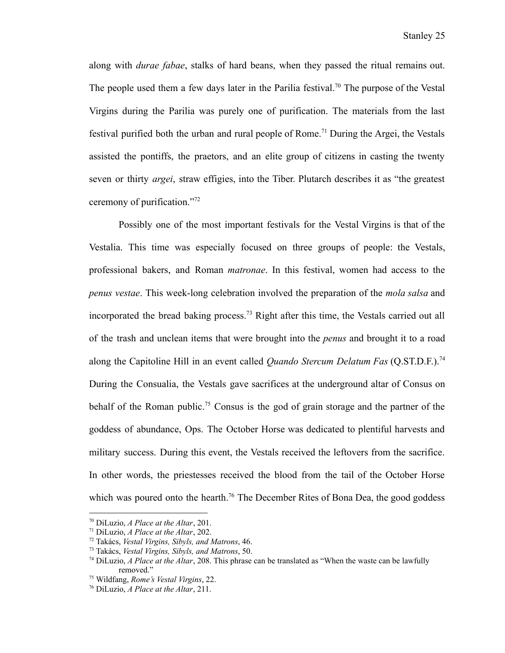along with *durae fabae*, stalks of hard beans, when they passed the ritual remains out. The people used them a few days later in the Parilia festival.<sup>70</sup> The purpose of the Vestal Virgins during the Parilia was purely one of purification. The materials from the last festival purified both the urban and rural people of Rome.<sup>71</sup> During the Argei, the Vestals assisted the pontiffs, the praetors, and an elite group of citizens in casting the twenty seven or thirty *argei*, straw effigies, into the Tiber. Plutarch describes it as "the greatest ceremony of purification."<sup>72</sup>

Possibly one of the most important festivals for the Vestal Virgins is that of the Vestalia. This time was especially focused on three groups of people: the Vestals, professional bakers, and Roman *matronae*. In this festival, women had access to the *penus vestae*. This week-long celebration involved the preparation of the *mola salsa* and incorporated the bread baking process.<sup>73</sup> Right after this time, the Vestals carried out all of the trash and unclean items that were brought into the *penus* and brought it to a road along the Capitoline Hill in an event called *Quando Stercum Delatum Fas* (Q.ST.D.F.).<sup>74</sup> During the Consualia, the Vestals gave sacrifices at the underground altar of Consus on behalf of the Roman public.<sup>75</sup> Consus is the god of grain storage and the partner of the goddess of abundance, Ops. The October Horse was dedicated to plentiful harvests and military success. During this event, the Vestals received the leftovers from the sacrifice. In other words, the priestesses received the blood from the tail of the October Horse which was poured onto the hearth.<sup>76</sup> The December Rites of Bona Dea, the good goddess

<sup>70</sup> DiLuzio, *A Place at the Altar*, 201.

<sup>71</sup> DiLuzio, *A Place at the Altar*, 202.

<sup>72</sup> Takács, *Vestal Virgins, Sibyls, and Matrons*, 46.

<sup>73</sup> Takács, *Vestal Virgins, Sibyls, and Matrons*, 50.

<sup>74</sup> DiLuzio, *A Place at the Altar*, 208. This phrase can be translated as "When the waste can be lawfully removed."

<sup>75</sup> Wildfang, *Rome's Vestal Virgins*, 22.

<sup>76</sup> DiLuzio, *A Place at the Altar*, 211.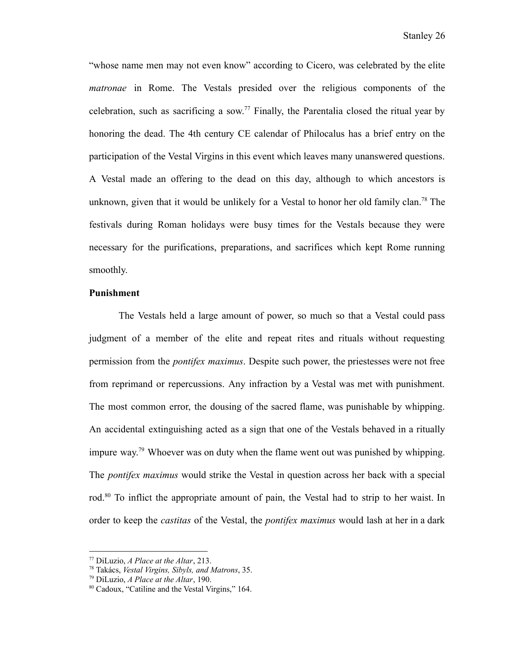"whose name men may not even know" according to Cicero, was celebrated by the elite *matronae* in Rome. The Vestals presided over the religious components of the celebration, such as sacrificing a sow.<sup>77</sup> Finally, the Parentalia closed the ritual year by honoring the dead. The 4th century CE calendar of Philocalus has a brief entry on the participation of the Vestal Virgins in this event which leaves many unanswered questions. A Vestal made an offering to the dead on this day, although to which ancestors is unknown, given that it would be unlikely for a Vestal to honor her old family clan.<sup>78</sup> The festivals during Roman holidays were busy times for the Vestals because they were necessary for the purifications, preparations, and sacrifices which kept Rome running smoothly.

## **Punishment**

The Vestals held a large amount of power, so much so that a Vestal could pass judgment of a member of the elite and repeat rites and rituals without requesting permission from the *pontifex maximus*. Despite such power, the priestesses were not free from reprimand or repercussions. Any infraction by a Vestal was met with punishment. The most common error, the dousing of the sacred flame, was punishable by whipping. An accidental extinguishing acted as a sign that one of the Vestals behaved in a ritually impure way.<sup>79</sup> Whoever was on duty when the flame went out was punished by whipping. The *pontifex maximus* would strike the Vestal in question across her back with a special rod.<sup>80</sup> To inflict the appropriate amount of pain, the Vestal had to strip to her waist. In order to keep the *castitas* of the Vestal, the *pontifex maximus* would lash at her in a dark

<sup>77</sup> DiLuzio, *A Place at the Altar*, 213.

<sup>78</sup> Takács, *Vestal Virgins, Sibyls, and Matrons*, 35.

<sup>79</sup> DiLuzio, *A Place at the Altar*, 190.

<sup>80</sup> Cadoux, "Catiline and the Vestal Virgins," 164.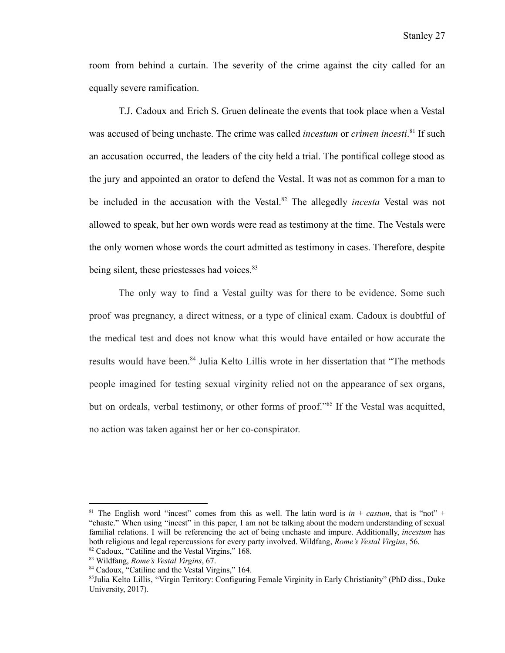room from behind a curtain. The severity of the crime against the city called for an equally severe ramification.

T.J. Cadoux and Erich S. Gruen delineate the events that took place when a Vestal was accused of being unchaste. The crime was called *incestum* or *crimen incesti*. 81 If such an accusation occurred, the leaders of the city held a trial. The pontifical college stood as the jury and appointed an orator to defend the Vestal. It was not as common for a man to be included in the accusation with the Vestal.<sup>82</sup> The allegedly *incesta* Vestal was not allowed to speak, but her own words were read as testimony at the time. The Vestals were the only women whose words the court admitted as testimony in cases. Therefore, despite being silent, these priestesses had voices.<sup>83</sup>

The only way to find a Vestal guilty was for there to be evidence. Some such proof was pregnancy, a direct witness, or a type of clinical exam. Cadoux is doubtful of the medical test and does not know what this would have entailed or how accurate the results would have been.<sup>84</sup> Julia Kelto Lillis wrote in her dissertation that "The methods people imagined for testing sexual virginity relied not on the appearance of sex organs, but on ordeals, verbal testimony, or other forms of proof."<sup>85</sup> If the Vestal was acquitted, no action was taken against her or her co-conspirator.

<sup>82</sup> Cadoux, "Catiline and the Vestal Virgins," 168. <sup>81</sup> The English word "incest" comes from this as well. The latin word is  $in +$  *castum*, that is "not" + "chaste." When using "incest" in this paper, I am not be talking about the modern understanding of sexual familial relations. I will be referencing the act of being unchaste and impure. Additionally, *incestum* has both religious and legal repercussions for every party involved. Wildfang, *Rome's Vestal Virgins*, 56.

<sup>83</sup> Wildfang, *Rome's Vestal Virgins*, 67.

<sup>84</sup> Cadoux, "Catiline and the Vestal Virgins," 164.

<sup>85</sup>Julia Kelto Lillis, "Virgin Territory: Configuring Female Virginity in Early Christianity" (PhD diss., Duke University, 2017).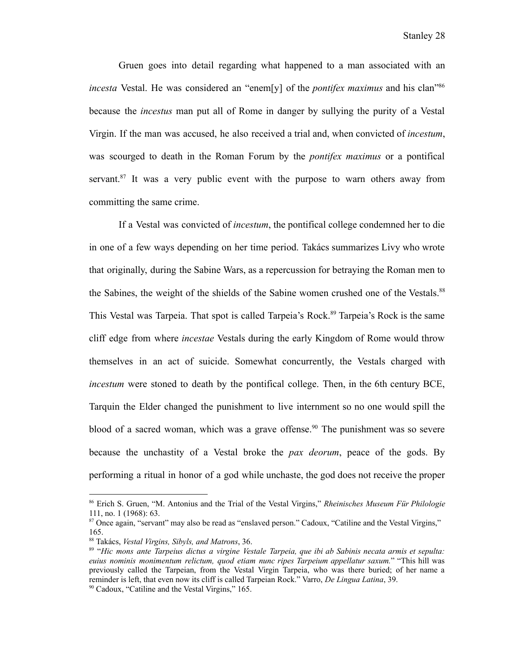Gruen goes into detail regarding what happened to a man associated with an *incesta* Vestal. He was considered an "enem[y] of the *pontifex maximus* and his clan"<sup>86</sup> because the *incestus* man put all of Rome in danger by sullying the purity of a Vestal Virgin. If the man was accused, he also received a trial and, when convicted of *incestum*, was scourged to death in the Roman Forum by the *pontifex maximus* or a pontifical servant.<sup>87</sup> It was a very public event with the purpose to warn others away from committing the same crime.

If a Vestal was convicted of *incestum*, the pontifical college condemned her to die in one of a few ways depending on her time period. Takács summarizes Livy who wrote that originally, during the Sabine Wars, as a repercussion for betraying the Roman men to the Sabines, the weight of the shields of the Sabine women crushed one of the Vestals.<sup>88</sup> This Vestal was Tarpeia. That spot is called Tarpeia's Rock.<sup>89</sup> Tarpeia's Rock is the same cliff edge from where *incestae* Vestals during the early Kingdom of Rome would throw themselves in an act of suicide. Somewhat concurrently, the Vestals charged with *incestum* were stoned to death by the pontifical college. Then, in the 6th century BCE, Tarquin the Elder changed the punishment to live internment so no one would spill the blood of a sacred woman, which was a grave offense.<sup>90</sup> The punishment was so severe because the unchastity of a Vestal broke the *pax deorum*, peace of the gods. By performing a ritual in honor of a god while unchaste, the god does not receive the proper

<sup>86</sup> Erich S. Gruen, "M. Antonius and the Trial of the Vestal Virgins," *Rheinisches Museum Für Philologie* 111, no. 1 (1968): 63.

<sup>&</sup>lt;sup>87</sup> Once again, "servant" may also be read as "enslaved person." Cadoux, "Catiline and the Vestal Virgins," 165.

<sup>88</sup> Takács, *Vestal Virgins, Sibyls, and Matrons*, 36.

<sup>89</sup> "*Hic mons ante Tarpeius dictus a virgine Vestale Tarpeia, que ibi ab Sabinis necata armis et sepulta: euius nominis monimentum relictum, quod etiam nunc ripes Tarpeium appellatur saxum.*" "This hill was previously called the Tarpeian, from the Vestal Virgin Tarpeia, who was there buried; of her name a reminder is left, that even now its cliff is called Tarpeian Rock." Varro, *De Lingua Latina*, 39.

<sup>90</sup> Cadoux, "Catiline and the Vestal Virgins," 165.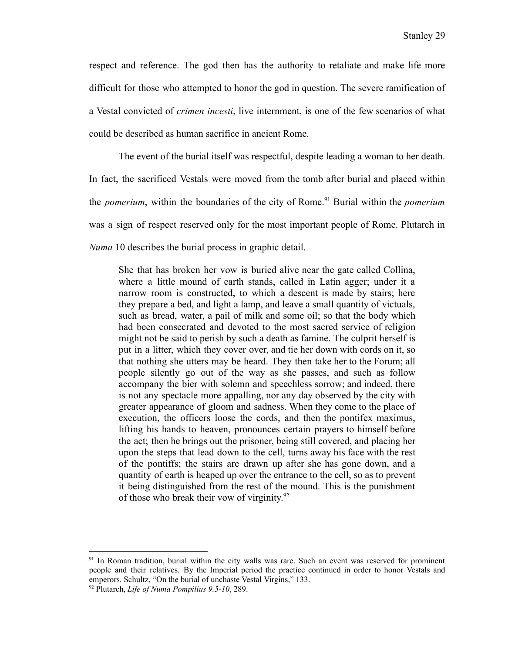respect and reference. The god then has the authority to retaliate and make life more difficult for those who attempted to honor the god in question. The severe ramification of a Vestal convicted of *crimen incesti*, live internment, is one of the few scenarios of what could be described as human sacrifice in ancient Rome.

The event of the burial itself was respectful, despite leading a woman to her death. In fact, the sacrificed Vestals were moved from the tomb after burial and placed within the *pomerium*, within the boundaries of the city of Rome.<sup>91</sup> Burial within the *pomerium* was a sign of respect reserved only for the most important people of Rome. Plutarch in *Numa* 10 describes the burial process in graphic detail.

She that has broken her vow is buried alive near the gate called Collina, where a little mound of earth stands, called in Latin agger; under it a narrow room is constructed, to which a descent is made by stairs; here they prepare a bed, and light a lamp, and leave a small quantity of victuals, such as bread, water, a pail of milk and some oil; so that the body which had been consecrated and devoted to the most sacred service of religion might not be said to perish by such a death as famine. The culprit herself is put in a litter, which they cover over, and tie her down with cords on it, so that nothing she utters may be heard. They then take her to the Forum; all people silently go out of the way as she passes, and such as follow accompany the bier with solemn and speechless sorrow; and indeed, there is not any spectacle more appalling, nor any day observed by the city with greater appearance of gloom and sadness. When they come to the place of execution, the officers loose the cords, and then the pontifex maximus, lifting his hands to heaven, pronounces certain prayers to himself before the act; then he brings out the prisoner, being still covered, and placing her upon the steps that lead down to the cell, turns away his face with the rest of the pontiffs; the stairs are drawn up after she has gone down, and a quantity of earth is heaped up over the entrance to the cell, so as to prevent it being distinguished from the rest of the mound. This is the punishment of those who break their vow of virginity.<sup>92</sup>

<sup>&</sup>lt;sup>91</sup> In Roman tradition, burial within the city walls was rare. Such an event was reserved for prominent people and their relatives. By the Imperial period the practice continued in order to honor Vestals and emperors. Schultz, "On the burial of unchaste Vestal Virgins," 133.

<sup>92</sup> Plutarch, *Life of Numa Pompilius 9.5-10*, 289.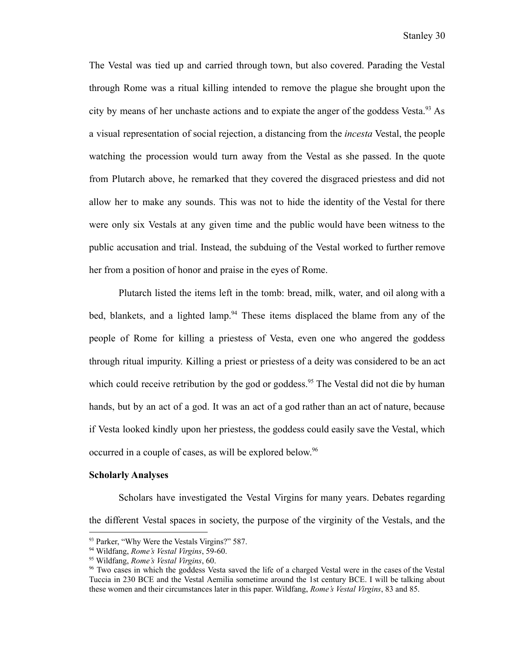The Vestal was tied up and carried through town, but also covered. Parading the Vestal through Rome was a ritual killing intended to remove the plague she brought upon the city by means of her unchaste actions and to expiate the anger of the goddess Vesta.<sup>93</sup> As a visual representation of social rejection, a distancing from the *incesta* Vestal, the people watching the procession would turn away from the Vestal as she passed. In the quote from Plutarch above, he remarked that they covered the disgraced priestess and did not allow her to make any sounds. This was not to hide the identity of the Vestal for there were only six Vestals at any given time and the public would have been witness to the public accusation and trial. Instead, the subduing of the Vestal worked to further remove her from a position of honor and praise in the eyes of Rome.

Plutarch listed the items left in the tomb: bread, milk, water, and oil along with a bed, blankets, and a lighted lamp.<sup>94</sup> These items displaced the blame from any of the people of Rome for killing a priestess of Vesta, even one who angered the goddess through ritual impurity. Killing a priest or priestess of a deity was considered to be an act which could receive retribution by the god or goddess.<sup>95</sup> The Vestal did not die by human hands, but by an act of a god. It was an act of a god rather than an act of nature, because if Vesta looked kindly upon her priestess, the goddess could easily save the Vestal, which occurred in a couple of cases, as will be explored below. 96

#### **Scholarly Analyses**

Scholars have investigated the Vestal Virgins for many years. Debates regarding the different Vestal spaces in society, the purpose of the virginity of the Vestals, and the

<sup>&</sup>lt;sup>93</sup> Parker, "Why Were the Vestals Virgins?" 587.

<sup>94</sup> Wildfang, *Rome's Vestal Virgins*, 59-60.

<sup>95</sup> Wildfang, *Rome's Vestal Virgins*, 60.

<sup>&</sup>lt;sup>96</sup> Two cases in which the goddess Vesta saved the life of a charged Vestal were in the cases of the Vestal Tuccia in 230 BCE and the Vestal Aemilia sometime around the 1st century BCE. I will be talking about these women and their circumstances later in this paper. Wildfang, *Rome's Vestal Virgins*, 83 and 85.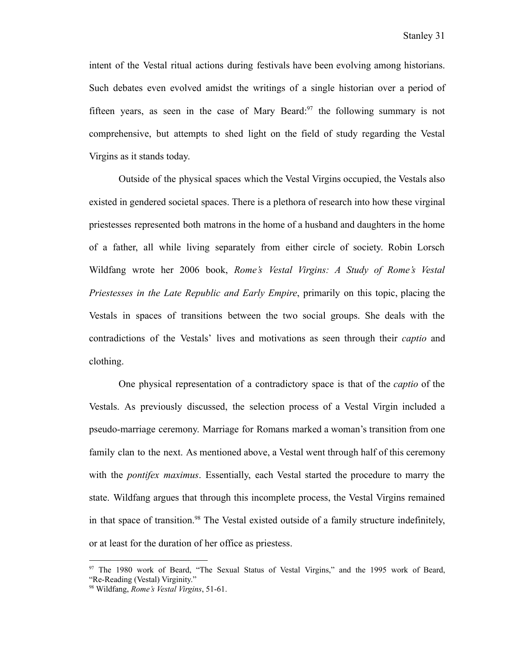intent of the Vestal ritual actions during festivals have been evolving among historians. Such debates even evolved amidst the writings of a single historian over a period of fifteen years, as seen in the case of Mary Beard: $97$  the following summary is not comprehensive, but attempts to shed light on the field of study regarding the Vestal Virgins as it stands today.

Outside of the physical spaces which the Vestal Virgins occupied, the Vestals also existed in gendered societal spaces. There is a plethora of research into how these virginal priestesses represented both matrons in the home of a husband and daughters in the home of a father, all while living separately from either circle of society. Robin Lorsch Wildfang wrote her 2006 book, *Rome's Vestal Virgins: A Study of Rome's Vestal Priestesses in the Late Republic and Early Empire*, primarily on this topic, placing the Vestals in spaces of transitions between the two social groups. She deals with the contradictions of the Vestals' lives and motivations as seen through their *captio* and clothing.

One physical representation of a contradictory space is that of the *captio* of the Vestals. As previously discussed, the selection process of a Vestal Virgin included a pseudo-marriage ceremony. Marriage for Romans marked a woman's transition from one family clan to the next. As mentioned above, a Vestal went through half of this ceremony with the *pontifex maximus*. Essentially, each Vestal started the procedure to marry the state. Wildfang argues that through this incomplete process, the Vestal Virgins remained in that space of transition.<sup>98</sup> The Vestal existed outside of a family structure indefinitely, or at least for the duration of her office as priestess.

<sup>&</sup>lt;sup>97</sup> The 1980 work of Beard, "The Sexual Status of Vestal Virgins," and the 1995 work of Beard, "Re-Reading (Vestal) Virginity."

<sup>98</sup> Wildfang, *Rome's Vestal Virgins*, 51-61.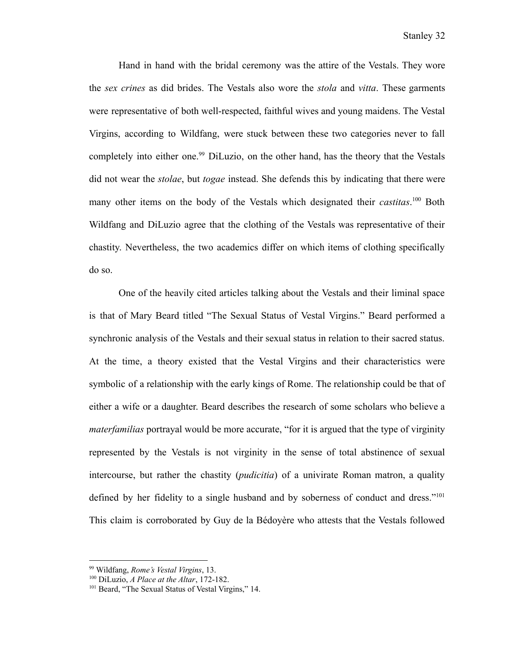Hand in hand with the bridal ceremony was the attire of the Vestals. They wore the *sex crines* as did brides. The Vestals also wore the *stola* and *vitta*. These garments were representative of both well-respected, faithful wives and young maidens. The Vestal Virgins, according to Wildfang, were stuck between these two categories never to fall completely into either one.<sup>99</sup> DiLuzio, on the other hand, has the theory that the Vestals did not wear the *stolae*, but *togae* instead. She defends this by indicating that there were many other items on the body of the Vestals which designated their *castitas*.<sup>100</sup> Both Wildfang and DiLuzio agree that the clothing of the Vestals was representative of their chastity. Nevertheless, the two academics differ on which items of clothing specifically do so.

One of the heavily cited articles talking about the Vestals and their liminal space is that of Mary Beard titled "The Sexual Status of Vestal Virgins." Beard performed a synchronic analysis of the Vestals and their sexual status in relation to their sacred status. At the time, a theory existed that the Vestal Virgins and their characteristics were symbolic of a relationship with the early kings of Rome. The relationship could be that of either a wife or a daughter. Beard describes the research of some scholars who believe a *materfamilias* portrayal would be more accurate, "for it is argued that the type of virginity represented by the Vestals is not virginity in the sense of total abstinence of sexual intercourse, but rather the chastity (*pudicitia*) of a univirate Roman matron, a quality defined by her fidelity to a single husband and by soberness of conduct and dress."<sup>101</sup> This claim is corroborated by Guy de la Bédoyère who attests that the Vestals followed

<sup>99</sup> Wildfang, *Rome's Vestal Virgins*, 13.

<sup>100</sup> DiLuzio, *A Place at the Altar*, 172-182.

<sup>&</sup>lt;sup>101</sup> Beard, "The Sexual Status of Vestal Virgins," 14.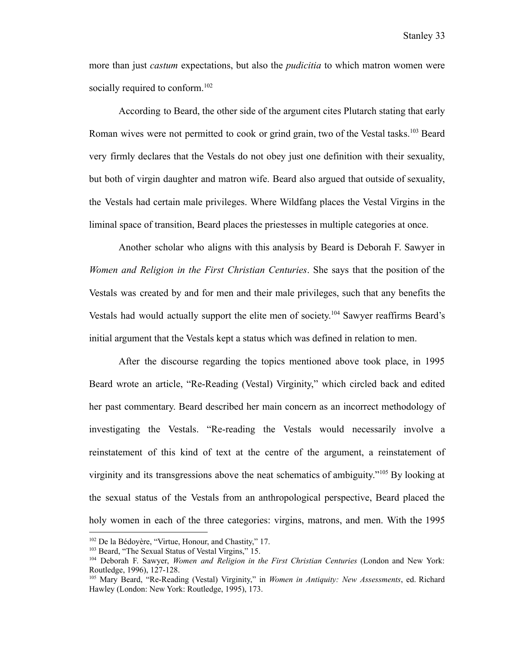more than just *castum* expectations, but also the *pudicitia* to which matron women were socially required to conform.<sup>102</sup>

According to Beard, the other side of the argument cites Plutarch stating that early Roman wives were not permitted to cook or grind grain, two of the Vestal tasks.<sup>103</sup> Beard very firmly declares that the Vestals do not obey just one definition with their sexuality, but both of virgin daughter and matron wife. Beard also argued that outside of sexuality, the Vestals had certain male privileges. Where Wildfang places the Vestal Virgins in the liminal space of transition, Beard places the priestesses in multiple categories at once.

Another scholar who aligns with this analysis by Beard is Deborah F. Sawyer in *Women and Religion in the First Christian Centuries*. She says that the position of the Vestals was created by and for men and their male privileges, such that any benefits the Vestals had would actually support the elite men of society.<sup>104</sup> Sawyer reaffirms Beard's initial argument that the Vestals kept a status which was defined in relation to men.

After the discourse regarding the topics mentioned above took place, in 1995 Beard wrote an article, "Re-Reading (Vestal) Virginity," which circled back and edited her past commentary. Beard described her main concern as an incorrect methodology of investigating the Vestals. "Re-reading the Vestals would necessarily involve a reinstatement of this kind of text at the centre of the argument, a reinstatement of virginity and its transgressions above the neat schematics of ambiguity."<sup>105</sup> By looking at the sexual status of the Vestals from an anthropological perspective, Beard placed the holy women in each of the three categories: virgins, matrons, and men. With the 1995

<sup>102</sup> De la Bédoyère, "Virtue, Honour, and Chastity," 17.

<sup>&</sup>lt;sup>103</sup> Beard, "The Sexual Status of Vestal Virgins," 15.

<sup>104</sup> Deborah F. Sawyer, *Women and Religion in the First Christian Centuries* (London and New York: Routledge, 1996), 127-128.

<sup>105</sup> Mary Beard, "Re-Reading (Vestal) Virginity," in *Women in Antiquity: New Assessments*, ed. Richard Hawley (London: New York: Routledge, 1995), 173.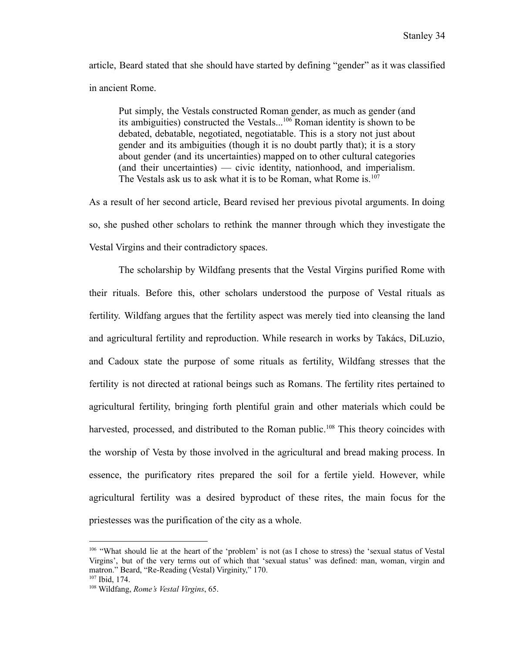article, Beard stated that she should have started by defining "gender" as it was classified in ancient Rome.

Put simply, the Vestals constructed Roman gender, as much as gender (and its ambiguities) constructed the Vestals...<sup>106</sup> Roman identity is shown to be debated, debatable, negotiated, negotiatable. This is a story not just about gender and its ambiguities (though it is no doubt partly that); it is a story about gender (and its uncertainties) mapped on to other cultural categories (and their uncertainties) — civic identity, nationhood, and imperialism. The Vestals ask us to ask what it is to be Roman, what Rome is.<sup>107</sup>

As a result of her second article, Beard revised her previous pivotal arguments. In doing so, she pushed other scholars to rethink the manner through which they investigate the Vestal Virgins and their contradictory spaces.

The scholarship by Wildfang presents that the Vestal Virgins purified Rome with their rituals. Before this, other scholars understood the purpose of Vestal rituals as fertility. Wildfang argues that the fertility aspect was merely tied into cleansing the land and agricultural fertility and reproduction. While research in works by Takács, DiLuzio, and Cadoux state the purpose of some rituals as fertility, Wildfang stresses that the fertility is not directed at rational beings such as Romans. The fertility rites pertained to agricultural fertility, bringing forth plentiful grain and other materials which could be harvested, processed, and distributed to the Roman public.<sup>108</sup> This theory coincides with the worship of Vesta by those involved in the agricultural and bread making process. In essence, the purificatory rites prepared the soil for a fertile yield. However, while agricultural fertility was a desired byproduct of these rites, the main focus for the priestesses was the purification of the city as a whole.

<sup>106</sup> "What should lie at the heart of the 'problem' is not (as I chose to stress) the 'sexual status of Vestal Virgins', but of the very terms out of which that 'sexual status' was defined: man, woman, virgin and matron." Beard, "Re-Reading (Vestal) Virginity," 170.

<sup>107</sup> Ibid, 174.

<sup>108</sup> Wildfang, *Rome's Vestal Virgins*, 65.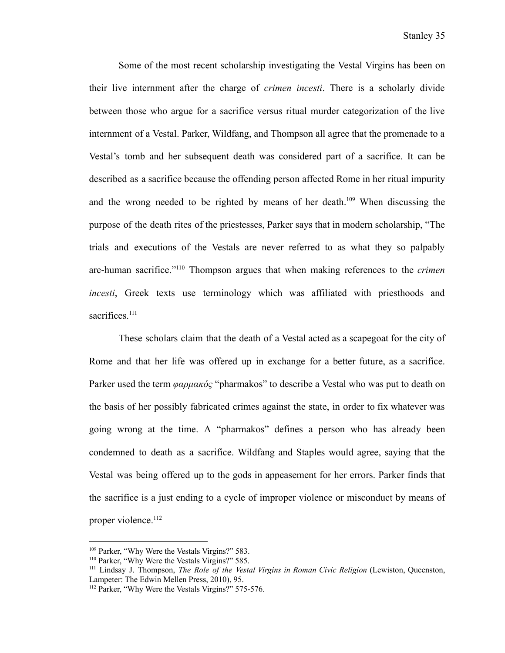Some of the most recent scholarship investigating the Vestal Virgins has been on their live internment after the charge of *crimen incesti*. There is a scholarly divide between those who argue for a sacrifice versus ritual murder categorization of the live internment of a Vestal. Parker, Wildfang, and Thompson all agree that the promenade to a Vestal's tomb and her subsequent death was considered part of a sacrifice. It can be described as a sacrifice because the offending person affected Rome in her ritual impurity and the wrong needed to be righted by means of her death.<sup>109</sup> When discussing the purpose of the death rites of the priestesses, Parker says that in modern scholarship, "The trials and executions of the Vestals are never referred to as what they so palpably are-human sacrifice."<sup>110</sup> Thompson argues that when making references to the *crimen incesti*, Greek texts use terminology which was affiliated with priesthoods and sacrifices.<sup>111</sup>

These scholars claim that the death of a Vestal acted as a scapegoat for the city of Rome and that her life was offered up in exchange for a better future, as a sacrifice. Parker used the term *φαρμακός* "pharmakos" to describe a Vestal who was put to death on the basis of her possibly fabricated crimes against the state, in order to fix whatever was going wrong at the time. A "pharmakos" defines a person who has already been condemned to death as a sacrifice. Wildfang and Staples would agree, saying that the Vestal was being offered up to the gods in appeasement for her errors. Parker finds that the sacrifice is a just ending to a cycle of improper violence or misconduct by means of proper violence.<sup>112</sup>

<sup>&</sup>lt;sup>109</sup> Parker, "Why Were the Vestals Virgins?" 583.

<sup>110</sup> Parker, "Why Were the Vestals Virgins?" 585.

<sup>111</sup> Lindsay J. Thompson, *The Role of the Vestal Virgins in Roman Civic Religion* (Lewiston, Queenston, Lampeter: The Edwin Mellen Press, 2010), 95.

<sup>&</sup>lt;sup>112</sup> Parker, "Why Were the Vestals Virgins?" 575-576.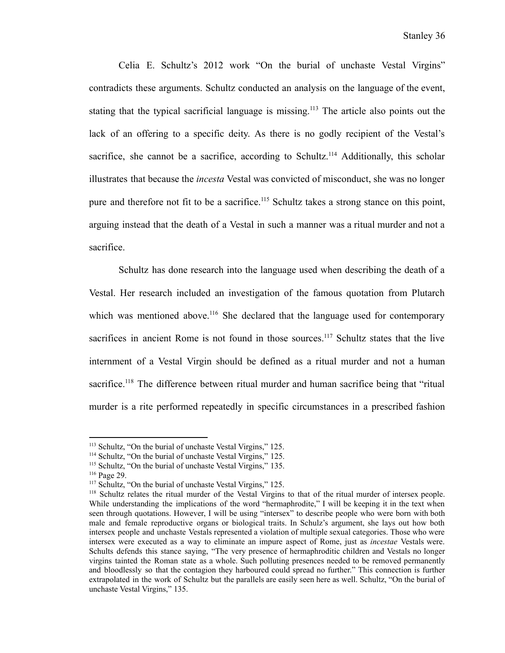Celia E. Schultz's 2012 work "On the burial of unchaste Vestal Virgins" contradicts these arguments. Schultz conducted an analysis on the language of the event, stating that the typical sacrificial language is missing.<sup>113</sup> The article also points out the lack of an offering to a specific deity. As there is no godly recipient of the Vestal's sacrifice, she cannot be a sacrifice, according to Schultz.<sup>114</sup> Additionally, this scholar illustrates that because the *incesta* Vestal was convicted of misconduct, she was no longer pure and therefore not fit to be a sacrifice.<sup>115</sup> Schultz takes a strong stance on this point, arguing instead that the death of a Vestal in such a manner was a ritual murder and not a sacrifice.

Schultz has done research into the language used when describing the death of a Vestal. Her research included an investigation of the famous quotation from Plutarch which was mentioned above.<sup>116</sup> She declared that the language used for contemporary sacrifices in ancient Rome is not found in those sources.<sup>117</sup> Schultz states that the live internment of a Vestal Virgin should be defined as a ritual murder and not a human sacrifice.<sup>118</sup> The difference between ritual murder and human sacrifice being that "ritual" murder is a rite performed repeatedly in specific circumstances in a prescribed fashion

<sup>116</sup> Page 29.

<sup>&</sup>lt;sup>113</sup> Schultz, "On the burial of unchaste Vestal Virgins," 125.

<sup>114</sup> Schultz, "On the burial of unchaste Vestal Virgins," 125.

<sup>115</sup> Schultz, "On the burial of unchaste Vestal Virgins," 135.

<sup>&</sup>lt;sup>117</sup> Schultz, "On the burial of unchaste Vestal Virgins," 125.

<sup>&</sup>lt;sup>118</sup> Schultz relates the ritual murder of the Vestal Virgins to that of the ritual murder of intersex people. While understanding the implications of the word "hermaphrodite," I will be keeping it in the text when seen through quotations. However, I will be using "intersex" to describe people who were born with both male and female reproductive organs or biological traits. In Schulz's argument, she lays out how both intersex people and unchaste Vestals represented a violation of multiple sexual categories. Those who were intersex were executed as a way to eliminate an impure aspect of Rome, just as *incestae* Vestals were. Schults defends this stance saying, "The very presence of hermaphroditic children and Vestals no longer virgins tainted the Roman state as a whole. Such polluting presences needed to be removed permanently and bloodlessly so that the contagion they harboured could spread no further." This connection is further extrapolated in the work of Schultz but the parallels are easily seen here as well. Schultz, "On the burial of unchaste Vestal Virgins," 135.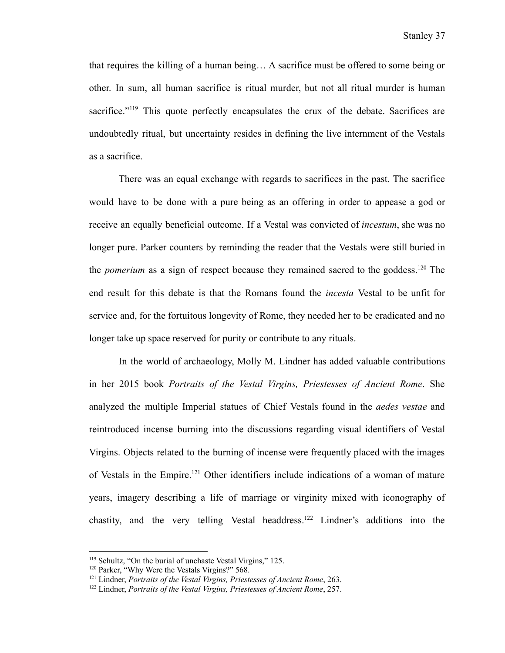that requires the killing of a human being… A sacrifice must be offered to some being or other. In sum, all human sacrifice is ritual murder, but not all ritual murder is human sacrifice."<sup>119</sup> This quote perfectly encapsulates the crux of the debate. Sacrifices are undoubtedly ritual, but uncertainty resides in defining the live internment of the Vestals as a sacrifice.

There was an equal exchange with regards to sacrifices in the past. The sacrifice would have to be done with a pure being as an offering in order to appease a god or receive an equally beneficial outcome. If a Vestal was convicted of *incestum*, she was no longer pure. Parker counters by reminding the reader that the Vestals were still buried in the *pomerium* as a sign of respect because they remained sacred to the goddess.<sup>120</sup> The end result for this debate is that the Romans found the *incesta* Vestal to be unfit for service and, for the fortuitous longevity of Rome, they needed her to be eradicated and no longer take up space reserved for purity or contribute to any rituals.

In the world of archaeology, Molly M. Lindner has added valuable contributions in her 2015 book *Portraits of the Vestal Virgins, Priestesses of Ancient Rome*. She analyzed the multiple Imperial statues of Chief Vestals found in the *aedes vestae* and reintroduced incense burning into the discussions regarding visual identifiers of Vestal Virgins. Objects related to the burning of incense were frequently placed with the images of Vestals in the Empire.<sup>121</sup> Other identifiers include indications of a woman of mature years, imagery describing a life of marriage or virginity mixed with iconography of chastity, and the very telling Vestal headdress.<sup>122</sup> Lindner's additions into the

<sup>119</sup> Schultz, "On the burial of unchaste Vestal Virgins," 125.

<sup>&</sup>lt;sup>120</sup> Parker, "Why Were the Vestals Virgins?" 568.

<sup>121</sup> Lindner, *Portraits of the Vestal Virgins, Priestesses of Ancient Rome*, 263.

<sup>122</sup> Lindner, *Portraits of the Vestal Virgins, Priestesses of Ancient Rome*, 257.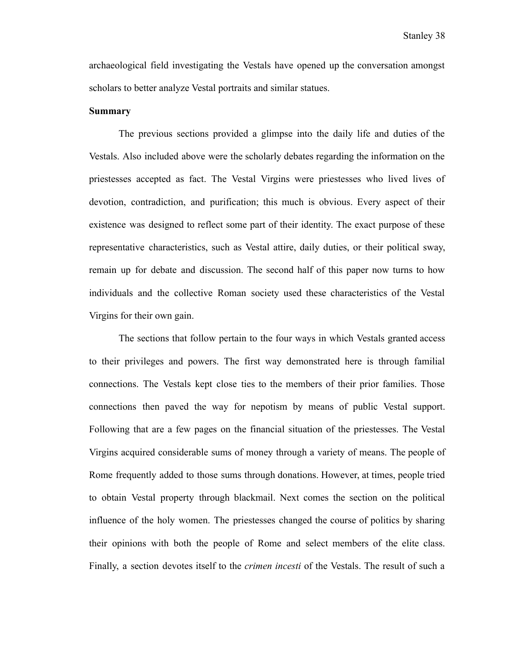archaeological field investigating the Vestals have opened up the conversation amongst scholars to better analyze Vestal portraits and similar statues.

#### **Summary**

The previous sections provided a glimpse into the daily life and duties of the Vestals. Also included above were the scholarly debates regarding the information on the priestesses accepted as fact. The Vestal Virgins were priestesses who lived lives of devotion, contradiction, and purification; this much is obvious. Every aspect of their existence was designed to reflect some part of their identity. The exact purpose of these representative characteristics, such as Vestal attire, daily duties, or their political sway, remain up for debate and discussion. The second half of this paper now turns to how individuals and the collective Roman society used these characteristics of the Vestal Virgins for their own gain.

The sections that follow pertain to the four ways in which Vestals granted access to their privileges and powers. The first way demonstrated here is through familial connections. The Vestals kept close ties to the members of their prior families. Those connections then paved the way for nepotism by means of public Vestal support. Following that are a few pages on the financial situation of the priestesses. The Vestal Virgins acquired considerable sums of money through a variety of means. The people of Rome frequently added to those sums through donations. However, at times, people tried to obtain Vestal property through blackmail. Next comes the section on the political influence of the holy women. The priestesses changed the course of politics by sharing their opinions with both the people of Rome and select members of the elite class. Finally, a section devotes itself to the *crimen incesti* of the Vestals. The result of such a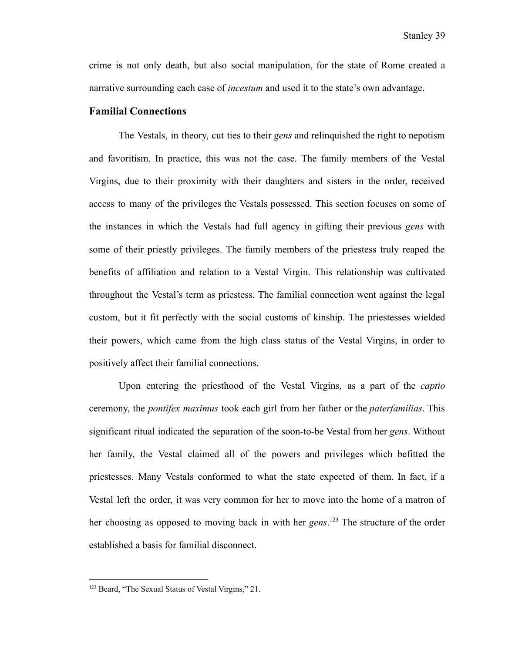crime is not only death, but also social manipulation, for the state of Rome created a narrative surrounding each case of *incestum* and used it to the state's own advantage.

#### **Familial Connections**

The Vestals, in theory, cut ties to their *gens* and relinquished the right to nepotism and favoritism. In practice, this was not the case. The family members of the Vestal Virgins, due to their proximity with their daughters and sisters in the order, received access to many of the privileges the Vestals possessed. This section focuses on some of the instances in which the Vestals had full agency in gifting their previous *gens* with some of their priestly privileges. The family members of the priestess truly reaped the benefits of affiliation and relation to a Vestal Virgin. This relationship was cultivated throughout the Vestal's term as priestess. The familial connection went against the legal custom, but it fit perfectly with the social customs of kinship. The priestesses wielded their powers, which came from the high class status of the Vestal Virgins, in order to positively affect their familial connections.

Upon entering the priesthood of the Vestal Virgins, as a part of the *captio* ceremony, the *pontifex maximus* took each girl from her father or the *paterfamilias*. This significant ritual indicated the separation of the soon-to-be Vestal from her *gens*. Without her family, the Vestal claimed all of the powers and privileges which befitted the priestesses. Many Vestals conformed to what the state expected of them. In fact, if a Vestal left the order, it was very common for her to move into the home of a matron of her choosing as opposed to moving back in with her *gens*. <sup>123</sup> The structure of the order established a basis for familial disconnect.

<sup>123</sup> Beard, "The Sexual Status of Vestal Virgins," 21.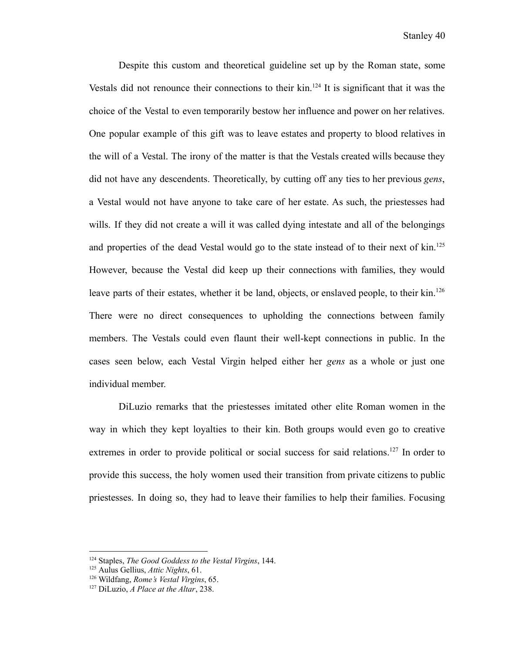Despite this custom and theoretical guideline set up by the Roman state, some Vestals did not renounce their connections to their  $\mathrm{kin}$ .<sup>124</sup> It is significant that it was the choice of the Vestal to even temporarily bestow her influence and power on her relatives. One popular example of this gift was to leave estates and property to blood relatives in the will of a Vestal. The irony of the matter is that the Vestals created wills because they did not have any descendents. Theoretically, by cutting off any ties to her previous *gens*, a Vestal would not have anyone to take care of her estate. As such, the priestesses had wills. If they did not create a will it was called dying intestate and all of the belongings and properties of the dead Vestal would go to the state instead of to their next of kin.<sup>125</sup> However, because the Vestal did keep up their connections with families, they would leave parts of their estates, whether it be land, objects, or enslaved people, to their kin.<sup>126</sup> There were no direct consequences to upholding the connections between family members. The Vestals could even flaunt their well-kept connections in public. In the cases seen below, each Vestal Virgin helped either her *gens* as a whole or just one individual member.

DiLuzio remarks that the priestesses imitated other elite Roman women in the way in which they kept loyalties to their kin. Both groups would even go to creative extremes in order to provide political or social success for said relations.<sup>127</sup> In order to provide this success, the holy women used their transition from private citizens to public priestesses. In doing so, they had to leave their families to help their families. Focusing

<sup>124</sup> Staples, *The Good Goddess to the Vestal Virgins*, 144.

<sup>125</sup> Aulus Gellius, *Attic Nights*, 61.

<sup>126</sup> Wildfang, *Rome's Vestal Virgins*, 65.

<sup>127</sup> DiLuzio, *A Place at the Altar*, 238.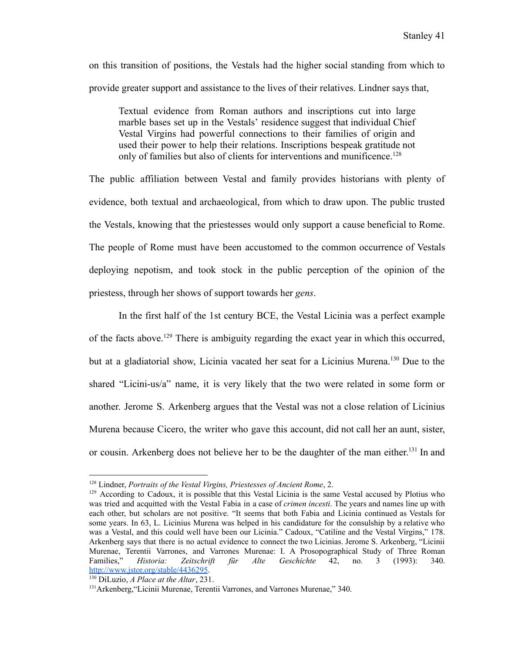on this transition of positions, the Vestals had the higher social standing from which to provide greater support and assistance to the lives of their relatives. Lindner says that,

Textual evidence from Roman authors and inscriptions cut into large marble bases set up in the Vestals' residence suggest that individual Chief Vestal Virgins had powerful connections to their families of origin and used their power to help their relations. Inscriptions bespeak gratitude not only of families but also of clients for interventions and munificence.<sup>128</sup>

The public affiliation between Vestal and family provides historians with plenty of evidence, both textual and archaeological, from which to draw upon. The public trusted the Vestals, knowing that the priestesses would only support a cause beneficial to Rome. The people of Rome must have been accustomed to the common occurrence of Vestals deploying nepotism, and took stock in the public perception of the opinion of the priestess, through her shows of support towards her *gens*.

In the first half of the 1st century BCE, the Vestal Licinia was a perfect example of the facts above.<sup>129</sup> There is ambiguity regarding the exact year in which this occurred, but at a gladiatorial show, Licinia vacated her seat for a Licinius Murena.<sup>130</sup> Due to the shared "Licini-us/a" name, it is very likely that the two were related in some form or another. Jerome S. Arkenberg argues that the Vestal was not a close relation of Licinius Murena because Cicero, the writer who gave this account, did not call her an aunt, sister, or cousin. Arkenberg does not believe her to be the daughter of the man either.<sup>131</sup> In and

<sup>128</sup> Lindner, *Portraits of the Vestal Virgins, Priestesses of Ancient Rome*, 2.

 $129$  According to Cadoux, it is possible that this Vestal Licinia is the same Vestal accused by Plotius who was tried and acquitted with the Vestal Fabia in a case of *crimen incesti*. The years and names line up with each other, but scholars are not positive. "It seems that both Fabia and Licinia continued as Vestals for some years. In 63, L. Licinius Murena was helped in his candidature for the consulship by a relative who was a Vestal, and this could well have been our Licinia." Cadoux, "Catiline and the Vestal Virgins," 178. Arkenberg says that there is no actual evidence to connect the two Licinias. Jerome S. Arkenberg, "Licinii Murenae, Terentii Varrones, and Varrones Murenae: I. A Prosopographical Study of Three Roman Families," *Historia: Zeitschrift für Alte Geschichte* 42, no. 3 (1993): 340. <http://www.jstor.org/stable/4436295>.

<sup>130</sup> DiLuzio, *A Place at the Altar*, 231.

<sup>131</sup>Arkenberg,"Licinii Murenae, Terentii Varrones, and Varrones Murenae," 340.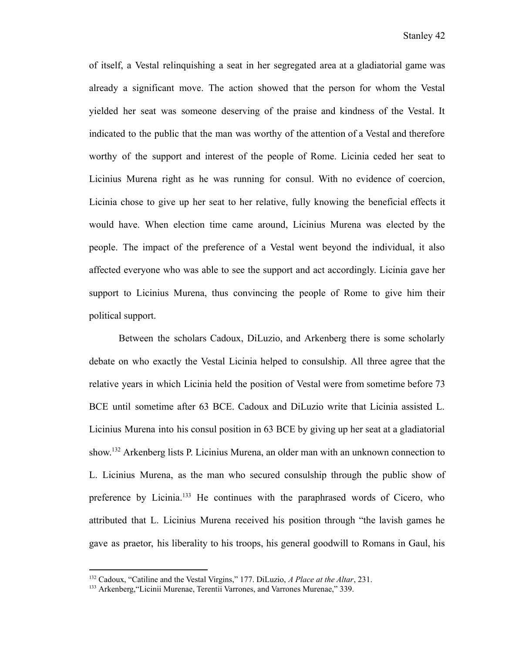of itself, a Vestal relinquishing a seat in her segregated area at a gladiatorial game was already a significant move. The action showed that the person for whom the Vestal yielded her seat was someone deserving of the praise and kindness of the Vestal. It indicated to the public that the man was worthy of the attention of a Vestal and therefore worthy of the support and interest of the people of Rome. Licinia ceded her seat to Licinius Murena right as he was running for consul. With no evidence of coercion, Licinia chose to give up her seat to her relative, fully knowing the beneficial effects it would have. When election time came around, Licinius Murena was elected by the people. The impact of the preference of a Vestal went beyond the individual, it also affected everyone who was able to see the support and act accordingly. Licinia gave her support to Licinius Murena, thus convincing the people of Rome to give him their political support.

Between the scholars Cadoux, DiLuzio, and Arkenberg there is some scholarly debate on who exactly the Vestal Licinia helped to consulship. All three agree that the relative years in which Licinia held the position of Vestal were from sometime before 73 BCE until sometime after 63 BCE. Cadoux and DiLuzio write that Licinia assisted L. Licinius Murena into his consul position in 63 BCE by giving up her seat at a gladiatorial show. <sup>132</sup> Arkenberg lists P. Licinius Murena, an older man with an unknown connection to L. Licinius Murena, as the man who secured consulship through the public show of preference by Licinia.<sup>133</sup> He continues with the paraphrased words of Cicero, who attributed that L. Licinius Murena received his position through "the lavish games he gave as praetor, his liberality to his troops, his general goodwill to Romans in Gaul, his

<sup>132</sup> Cadoux, "Catiline and the Vestal Virgins," 177. DiLuzio, *A Place at the Altar*, 231.

<sup>133</sup> Arkenberg,"Licinii Murenae, Terentii Varrones, and Varrones Murenae," 339.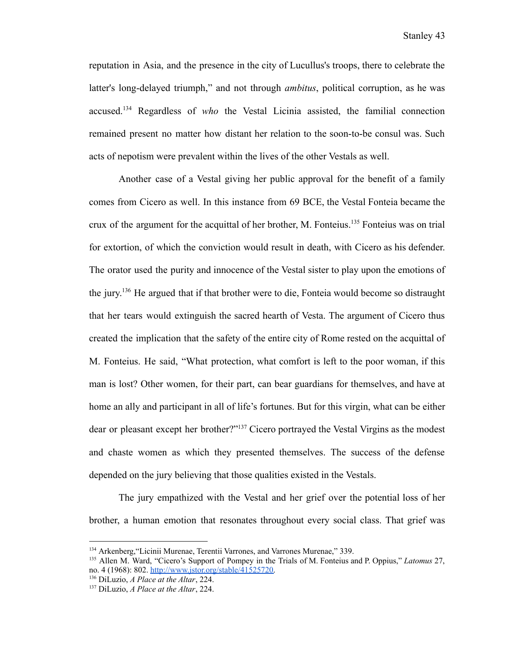reputation in Asia, and the presence in the city of Lucullus's troops, there to celebrate the latter's long-delayed triumph," and not through *ambitus*, political corruption, as he was accused.<sup>134</sup> Regardless of *who* the Vestal Licinia assisted, the familial connection remained present no matter how distant her relation to the soon-to-be consul was. Such acts of nepotism were prevalent within the lives of the other Vestals as well.

Another case of a Vestal giving her public approval for the benefit of a family comes from Cicero as well. In this instance from 69 BCE, the Vestal Fonteia became the crux of the argument for the acquittal of her brother, M. Fonteius.<sup>135</sup> Fonteius was on trial for extortion, of which the conviction would result in death, with Cicero as his defender. The orator used the purity and innocence of the Vestal sister to play upon the emotions of the jury. <sup>136</sup> He argued that if that brother were to die, Fonteia would become so distraught that her tears would extinguish the sacred hearth of Vesta. The argument of Cicero thus created the implication that the safety of the entire city of Rome rested on the acquittal of M. Fonteius. He said, "What protection, what comfort is left to the poor woman, if this man is lost? Other women, for their part, can bear guardians for themselves, and have at home an ally and participant in all of life's fortunes. But for this virgin, what can be either dear or pleasant except her brother?"<sup>137</sup> Cicero portrayed the Vestal Virgins as the modest and chaste women as which they presented themselves. The success of the defense depended on the jury believing that those qualities existed in the Vestals.

The jury empathized with the Vestal and her grief over the potential loss of her brother, a human emotion that resonates throughout every social class. That grief was

<sup>134</sup> Arkenberg,"Licinii Murenae, Terentii Varrones, and Varrones Murenae," 339.

<sup>135</sup> Allen M. Ward, "Cicero's Support of Pompey in the Trials of M. Fonteius and P. Oppius," *Latomus* 27, no. 4 (1968): 802. [http://www.jstor.org/stable/41525720.](http://www.jstor.org/stable/41525720)

<sup>136</sup> DiLuzio, *A Place at the Altar*, 224.

<sup>137</sup> DiLuzio, *A Place at the Altar*, 224.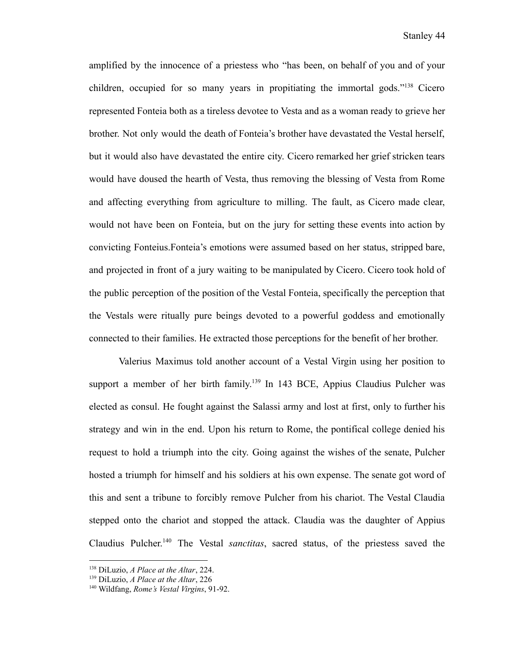amplified by the innocence of a priestess who "has been, on behalf of you and of your children, occupied for so many years in propitiating the immortal gods."<sup>138</sup> Cicero represented Fonteia both as a tireless devotee to Vesta and as a woman ready to grieve her brother. Not only would the death of Fonteia's brother have devastated the Vestal herself, but it would also have devastated the entire city. Cicero remarked her grief stricken tears would have doused the hearth of Vesta, thus removing the blessing of Vesta from Rome and affecting everything from agriculture to milling. The fault, as Cicero made clear, would not have been on Fonteia, but on the jury for setting these events into action by convicting Fonteius.Fonteia's emotions were assumed based on her status, stripped bare, and projected in front of a jury waiting to be manipulated by Cicero. Cicero took hold of the public perception of the position of the Vestal Fonteia, specifically the perception that the Vestals were ritually pure beings devoted to a powerful goddess and emotionally connected to their families. He extracted those perceptions for the benefit of her brother.

Valerius Maximus told another account of a Vestal Virgin using her position to support a member of her birth family.<sup>139</sup> In 143 BCE, Appius Claudius Pulcher was elected as consul. He fought against the Salassi army and lost at first, only to further his strategy and win in the end. Upon his return to Rome, the pontifical college denied his request to hold a triumph into the city. Going against the wishes of the senate, Pulcher hosted a triumph for himself and his soldiers at his own expense. The senate got word of this and sent a tribune to forcibly remove Pulcher from his chariot. The Vestal Claudia stepped onto the chariot and stopped the attack. Claudia was the daughter of Appius Claudius Pulcher. <sup>140</sup> The Vestal *sanctitas*, sacred status, of the priestess saved the

<sup>138</sup> DiLuzio, *A Place at the Altar*, 224.

<sup>139</sup> DiLuzio, *A Place at the Altar*, 226

<sup>140</sup> Wildfang, *Rome's Vestal Virgins*, 91-92.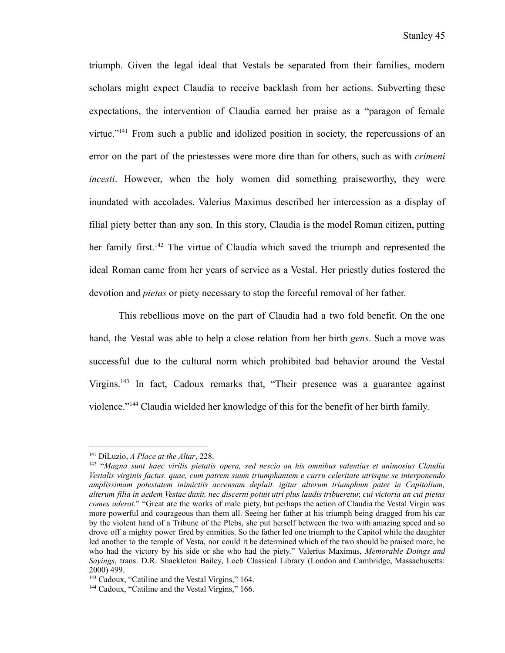triumph. Given the legal ideal that Vestals be separated from their families, modern scholars might expect Claudia to receive backlash from her actions. Subverting these expectations, the intervention of Claudia earned her praise as a "paragon of female virtue."<sup>141</sup> From such a public and idolized position in society, the repercussions of an error on the part of the priestesses were more dire than for others, such as with *crimeni incesti*. However, when the holy women did something praiseworthy, they were inundated with accolades. Valerius Maximus described her intercession as a display of filial piety better than any son. In this story, Claudia is the model Roman citizen, putting her family first.<sup>142</sup> The virtue of Claudia which saved the triumph and represented the ideal Roman came from her years of service as a Vestal. Her priestly duties fostered the devotion and *pietas* or piety necessary to stop the forceful removal of her father.

This rebellious move on the part of Claudia had a two fold benefit. On the one hand, the Vestal was able to help a close relation from her birth *gens*. Such a move was successful due to the cultural norm which prohibited bad behavior around the Vestal Virgins.<sup>143</sup> In fact, Cadoux remarks that, "Their presence was a guarantee against violence."<sup>144</sup> Claudia wielded her knowledge of this for the benefit of her birth family.

<sup>141</sup> DiLuzio, *A Place at the Altar*, 228.

<sup>142</sup> "*Magna sunt haec virilis pietatis opera, sed nescio an his omnibus valentius et animosius Claudia Vestalis virginis factus. quae, cum patrem suum triumphantem e curru celeritate utrisque se interponendo amplissimam potestatem inimictiis accensam depluit. igitur alterum triumphum pater in Capitolium,* alterum filia in aedem Vestae duxit, nec discerni potuit utri plus laudis tribueretur, cui victoria an cui pietas *comes aderat*." "Great are the works of male piety, but perhaps the action of Claudia the Vestal Virgin was more powerful and courageous than them all. Seeing her father at his triumph being dragged from his car by the violent hand of a Tribune of the Plebs, she put herself between the two with amazing speed and so drove off a mighty power fired by enmities. So the father led one triumph to the Capitol while the daughter led another to the temple of Vesta, nor could it be determined which of the two should be praised more, he who had the victory by his side or she who had the piety." Valerius Maximus, *Memorable Doings and Sayings*, trans. D.R. Shackleton Bailey, Loeb Classical Library (London and Cambridge, Massachusetts: 2000) 499.

<sup>&</sup>lt;sup>143</sup> Cadoux, "Catiline and the Vestal Virgins," 164.

<sup>&</sup>lt;sup>144</sup> Cadoux, "Catiline and the Vestal Virgins," 166.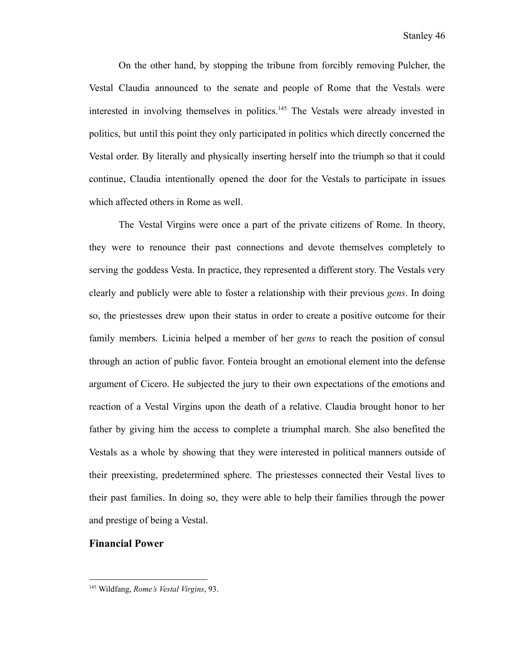On the other hand, by stopping the tribune from forcibly removing Pulcher, the Vestal Claudia announced to the senate and people of Rome that the Vestals were interested in involving themselves in politics.<sup>145</sup> The Vestals were already invested in politics, but until this point they only participated in politics which directly concerned the Vestal order. By literally and physically inserting herself into the triumph so that it could continue, Claudia intentionally opened the door for the Vestals to participate in issues which affected others in Rome as well.

The Vestal Virgins were once a part of the private citizens of Rome. In theory, they were to renounce their past connections and devote themselves completely to serving the goddess Vesta. In practice, they represented a different story. The Vestals very clearly and publicly were able to foster a relationship with their previous *gens*. In doing so, the priestesses drew upon their status in order to create a positive outcome for their family members. Licinia helped a member of her *gens* to reach the position of consul through an action of public favor. Fonteia brought an emotional element into the defense argument of Cicero. He subjected the jury to their own expectations of the emotions and reaction of a Vestal Virgins upon the death of a relative. Claudia brought honor to her father by giving him the access to complete a triumphal march. She also benefited the Vestals as a whole by showing that they were interested in political manners outside of their preexisting, predetermined sphere. The priestesses connected their Vestal lives to their past families. In doing so, they were able to help their families through the power and prestige of being a Vestal.

# **Financial Power**

<sup>145</sup> Wildfang, *Rome's Vestal Virgins*, 93.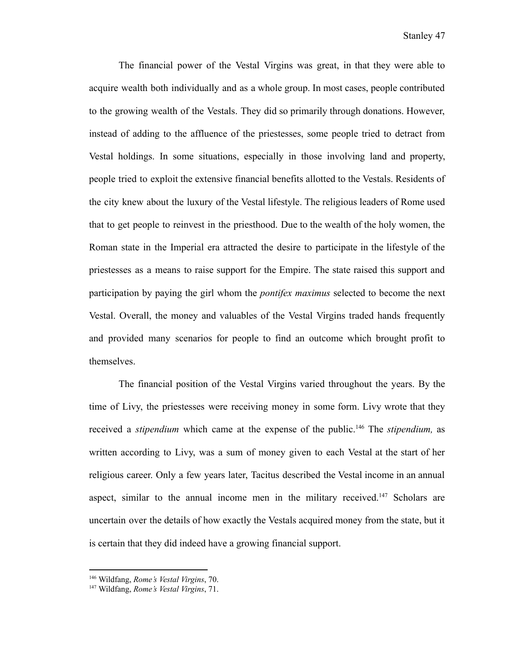The financial power of the Vestal Virgins was great, in that they were able to acquire wealth both individually and as a whole group. In most cases, people contributed to the growing wealth of the Vestals. They did so primarily through donations. However, instead of adding to the affluence of the priestesses, some people tried to detract from Vestal holdings. In some situations, especially in those involving land and property, people tried to exploit the extensive financial benefits allotted to the Vestals. Residents of the city knew about the luxury of the Vestal lifestyle. The religious leaders of Rome used that to get people to reinvest in the priesthood. Due to the wealth of the holy women, the Roman state in the Imperial era attracted the desire to participate in the lifestyle of the priestesses as a means to raise support for the Empire. The state raised this support and participation by paying the girl whom the *pontifex maximus* selected to become the next Vestal. Overall, the money and valuables of the Vestal Virgins traded hands frequently and provided many scenarios for people to find an outcome which brought profit to themselves.

The financial position of the Vestal Virgins varied throughout the years. By the time of Livy, the priestesses were receiving money in some form. Livy wrote that they received a *stipendium* which came at the expense of the public.<sup>146</sup> The *stipendium*, as written according to Livy, was a sum of money given to each Vestal at the start of her religious career. Only a few years later, Tacitus described the Vestal income in an annual aspect, similar to the annual income men in the military received.<sup>147</sup> Scholars are uncertain over the details of how exactly the Vestals acquired money from the state, but it is certain that they did indeed have a growing financial support.

<sup>146</sup> Wildfang, *Rome's Vestal Virgins*, 70.

<sup>147</sup> Wildfang, *Rome's Vestal Virgins*, 71.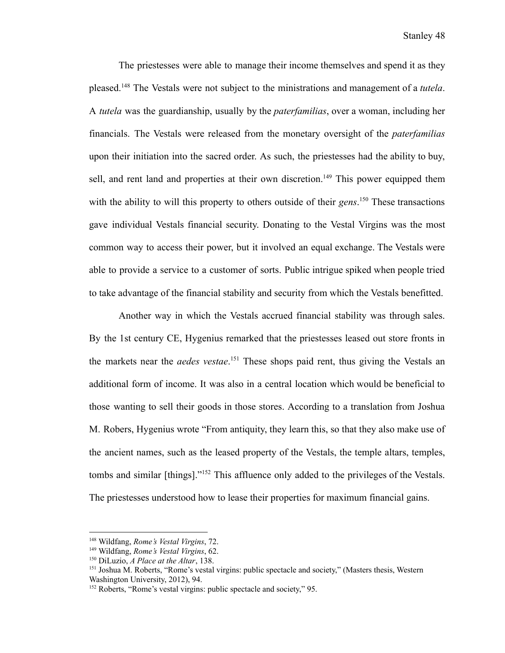The priestesses were able to manage their income themselves and spend it as they pleased.<sup>148</sup> The Vestals were not subject to the ministrations and management of a *tutela*. A *tutela* was the guardianship, usually by the *paterfamilias*, over a woman, including her financials. The Vestals were released from the monetary oversight of the *paterfamilias* upon their initiation into the sacred order. As such, the priestesses had the ability to buy, sell, and rent land and properties at their own discretion.<sup>149</sup> This power equipped them with the ability to will this property to others outside of their *gens*<sup>150</sup> These transactions gave individual Vestals financial security. Donating to the Vestal Virgins was the most common way to access their power, but it involved an equal exchange. The Vestals were able to provide a service to a customer of sorts. Public intrigue spiked when people tried to take advantage of the financial stability and security from which the Vestals benefitted.

Another way in which the Vestals accrued financial stability was through sales. By the 1st century CE, Hygenius remarked that the priestesses leased out store fronts in the markets near the *aedes vestae*. <sup>151</sup> These shops paid rent, thus giving the Vestals an additional form of income. It was also in a central location which would be beneficial to those wanting to sell their goods in those stores. According to a translation from Joshua M. Robers, Hygenius wrote "From antiquity, they learn this, so that they also make use of the ancient names, such as the leased property of the Vestals, the temple altars, temples, tombs and similar [things]."<sup>152</sup> This affluence only added to the privileges of the Vestals. The priestesses understood how to lease their properties for maximum financial gains.

<sup>148</sup> Wildfang, *Rome's Vestal Virgins*, 72.

<sup>149</sup> Wildfang, *Rome's Vestal Virgins*, 62.

<sup>150</sup> DiLuzio, *A Place at the Altar*, 138.

<sup>&</sup>lt;sup>151</sup> Joshua M. Roberts, "Rome's vestal virgins: public spectacle and society," (Masters thesis, Western Washington University, 2012), 94.

<sup>&</sup>lt;sup>152</sup> Roberts, "Rome's vestal virgins: public spectacle and society," 95.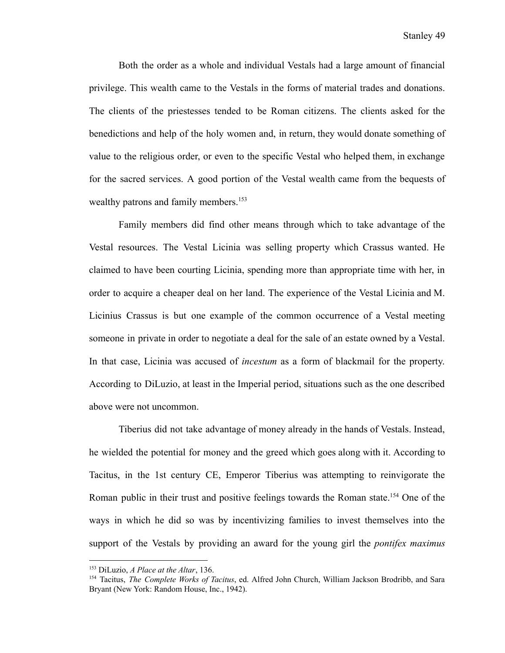Both the order as a whole and individual Vestals had a large amount of financial privilege. This wealth came to the Vestals in the forms of material trades and donations. The clients of the priestesses tended to be Roman citizens. The clients asked for the benedictions and help of the holy women and, in return, they would donate something of value to the religious order, or even to the specific Vestal who helped them, in exchange for the sacred services. A good portion of the Vestal wealth came from the bequests of wealthy patrons and family members.<sup>153</sup>

Family members did find other means through which to take advantage of the Vestal resources. The Vestal Licinia was selling property which Crassus wanted. He claimed to have been courting Licinia, spending more than appropriate time with her, in order to acquire a cheaper deal on her land. The experience of the Vestal Licinia and M. Licinius Crassus is but one example of the common occurrence of a Vestal meeting someone in private in order to negotiate a deal for the sale of an estate owned by a Vestal. In that case, Licinia was accused of *incestum* as a form of blackmail for the property. According to DiLuzio, at least in the Imperial period, situations such as the one described above were not uncommon.

Tiberius did not take advantage of money already in the hands of Vestals. Instead, he wielded the potential for money and the greed which goes along with it. According to Tacitus, in the 1st century CE, Emperor Tiberius was attempting to reinvigorate the Roman public in their trust and positive feelings towards the Roman state.<sup>154</sup> One of the ways in which he did so was by incentivizing families to invest themselves into the support of the Vestals by providing an award for the young girl the *pontifex maximus*

<sup>153</sup> DiLuzio, *A Place at the Altar*, 136.

<sup>154</sup> Tacitus, *The Complete Works of Tacitus*, ed. Alfred John Church, William Jackson Brodribb, and Sara Bryant (New York: Random House, Inc., 1942).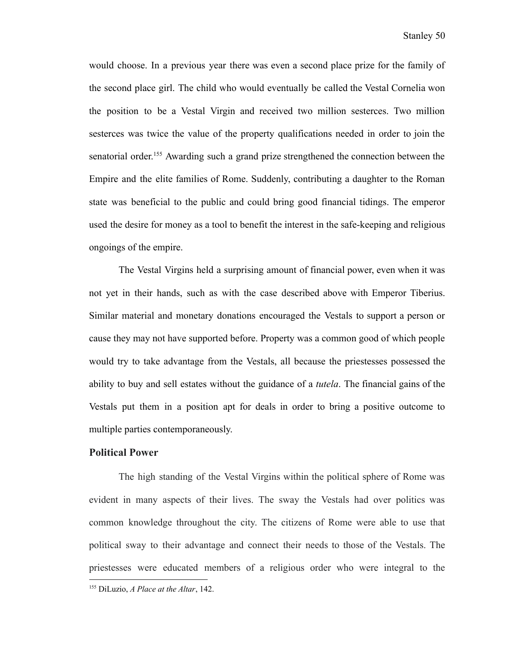would choose. In a previous year there was even a second place prize for the family of the second place girl. The child who would eventually be called the Vestal Cornelia won the position to be a Vestal Virgin and received two million sesterces. Two million sesterces was twice the value of the property qualifications needed in order to join the senatorial order.<sup>155</sup> Awarding such a grand prize strengthened the connection between the Empire and the elite families of Rome. Suddenly, contributing a daughter to the Roman state was beneficial to the public and could bring good financial tidings. The emperor used the desire for money as a tool to benefit the interest in the safe-keeping and religious ongoings of the empire.

The Vestal Virgins held a surprising amount of financial power, even when it was not yet in their hands, such as with the case described above with Emperor Tiberius. Similar material and monetary donations encouraged the Vestals to support a person or cause they may not have supported before. Property was a common good of which people would try to take advantage from the Vestals, all because the priestesses possessed the ability to buy and sell estates without the guidance of a *tutela*. The financial gains of the Vestals put them in a position apt for deals in order to bring a positive outcome to multiple parties contemporaneously.

### **Political Power**

The high standing of the Vestal Virgins within the political sphere of Rome was evident in many aspects of their lives. The sway the Vestals had over politics was common knowledge throughout the city. The citizens of Rome were able to use that political sway to their advantage and connect their needs to those of the Vestals. The priestesses were educated members of a religious order who were integral to the

<sup>155</sup> DiLuzio, *A Place at the Altar*, 142.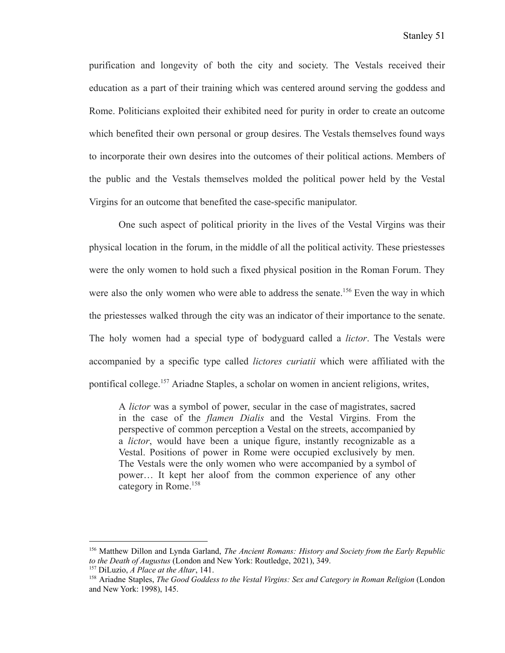purification and longevity of both the city and society. The Vestals received their education as a part of their training which was centered around serving the goddess and Rome. Politicians exploited their exhibited need for purity in order to create an outcome which benefited their own personal or group desires. The Vestals themselves found ways to incorporate their own desires into the outcomes of their political actions. Members of the public and the Vestals themselves molded the political power held by the Vestal Virgins for an outcome that benefited the case-specific manipulator.

One such aspect of political priority in the lives of the Vestal Virgins was their physical location in the forum, in the middle of all the political activity. These priestesses were the only women to hold such a fixed physical position in the Roman Forum. They were also the only women who were able to address the senate.<sup>156</sup> Even the way in which the priestesses walked through the city was an indicator of their importance to the senate. The holy women had a special type of bodyguard called a *lictor*. The Vestals were accompanied by a specific type called *lictores curiatii* which were affiliated with the pontifical college.<sup>157</sup> Ariadne Staples, a scholar on women in ancient religions, writes,

A *lictor* was a symbol of power, secular in the case of magistrates, sacred in the case of the *flamen Dialis* and the Vestal Virgins. From the perspective of common perception a Vestal on the streets, accompanied by a *lictor*, would have been a unique figure, instantly recognizable as a Vestal. Positions of power in Rome were occupied exclusively by men. The Vestals were the only women who were accompanied by a symbol of power… It kept her aloof from the common experience of any other category in Rome.<sup>158</sup>

<sup>156</sup> Matthew Dillon and Lynda Garland, *The Ancient Romans: History and Society from the Early Republic to the Death of Augustus* (London and New York: Routledge, 2021), 349.

<sup>157</sup> DiLuzio, *A Place at the Altar*, 141.

<sup>158</sup> Ariadne Staples, *The Good Goddess to the Vestal Virgins: Sex and Category in Roman Religion* (London and New York: 1998), 145.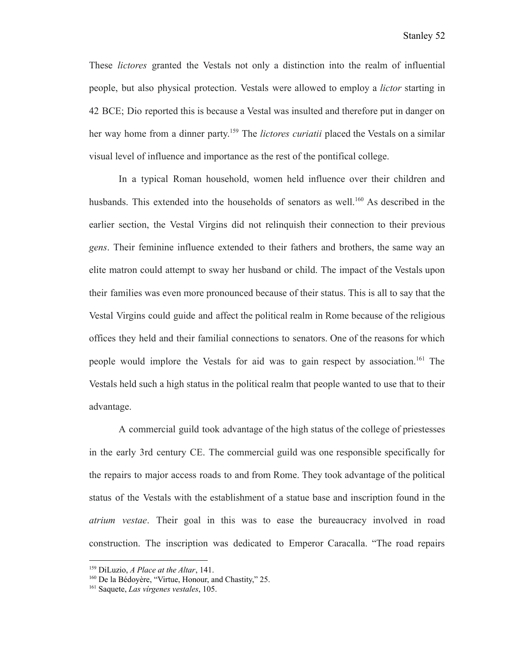These *lictores* granted the Vestals not only a distinction into the realm of influential people, but also physical protection. Vestals were allowed to employ a *lictor* starting in 42 BCE; Dio reported this is because a Vestal was insulted and therefore put in danger on her way home from a dinner party. <sup>159</sup> The *lictores curiatii* placed the Vestals on a similar visual level of influence and importance as the rest of the pontifical college.

In a typical Roman household, women held influence over their children and husbands. This extended into the households of senators as well.<sup>160</sup> As described in the earlier section, the Vestal Virgins did not relinquish their connection to their previous *gens*. Their feminine influence extended to their fathers and brothers, the same way an elite matron could attempt to sway her husband or child. The impact of the Vestals upon their families was even more pronounced because of their status. This is all to say that the Vestal Virgins could guide and affect the political realm in Rome because of the religious offices they held and their familial connections to senators. One of the reasons for which people would implore the Vestals for aid was to gain respect by association.<sup>161</sup> The Vestals held such a high status in the political realm that people wanted to use that to their advantage.

A commercial guild took advantage of the high status of the college of priestesses in the early 3rd century CE. The commercial guild was one responsible specifically for the repairs to major access roads to and from Rome. They took advantage of the political status of the Vestals with the establishment of a statue base and inscription found in the *atrium vestae*. Their goal in this was to ease the bureaucracy involved in road construction. The inscription was dedicated to Emperor Caracalla. "The road repairs

<sup>159</sup> DiLuzio, *A Place at the Altar*, 141.

<sup>&</sup>lt;sup>160</sup> De la Bédoyère, "Virtue, Honour, and Chastity," 25.

<sup>161</sup> Saquete, *Las vírgenes vestales*, 105.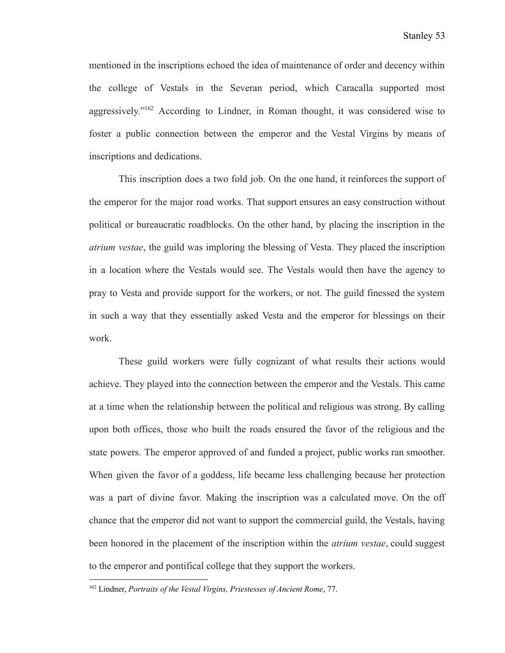mentioned in the inscriptions echoed the idea of maintenance of order and decency within the college of Vestals in the Severan period, which Caracalla supported most aggressively."<sup>162</sup> According to Lindner, in Roman thought, it was considered wise to foster a public connection between the emperor and the Vestal Virgins by means of inscriptions and dedications.

This inscription does a two fold job. On the one hand, it reinforces the support of the emperor for the major road works. That support ensures an easy construction without political or bureaucratic roadblocks. On the other hand, by placing the inscription in the *atrium vestae*, the guild was imploring the blessing of Vesta. They placed the inscription in a location where the Vestals would see. The Vestals would then have the agency to pray to Vesta and provide support for the workers, or not. The guild finessed the system in such a way that they essentially asked Vesta and the emperor for blessings on their work.

These guild workers were fully cognizant of what results their actions would achieve. They played into the connection between the emperor and the Vestals. This came at a time when the relationship between the political and religious was strong. By calling upon both offices, those who built the roads ensured the favor of the religious and the state powers. The emperor approved of and funded a project, public works ran smoother. When given the favor of a goddess, life became less challenging because her protection was a part of divine favor. Making the inscription was a calculated move. On the off chance that the emperor did not want to support the commercial guild, the Vestals, having been honored in the placement of the inscription within the *atrium vestae*, could suggest to the emperor and pontifical college that they support the workers.

<sup>162</sup> Lindner, *Portraits of the Vestal Virgins, Priestesses of Ancient Rome*, 77.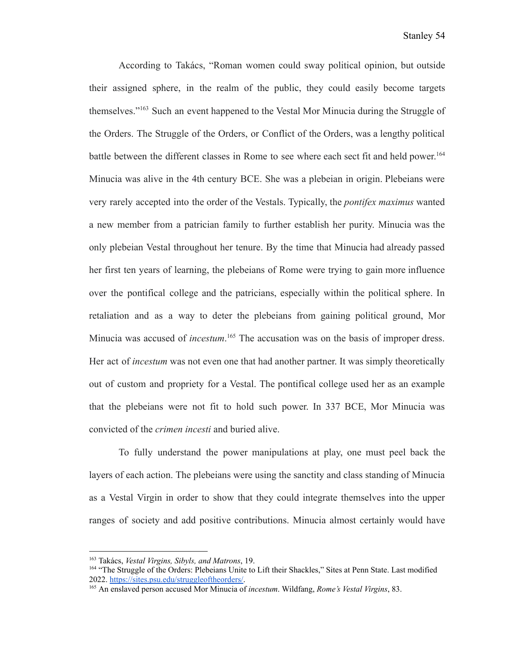According to Takács, "Roman women could sway political opinion, but outside their assigned sphere, in the realm of the public, they could easily become targets themselves."<sup>163</sup> Such an event happened to the Vestal Mor Minucia during the Struggle of the Orders. The Struggle of the Orders, or Conflict of the Orders, was a lengthy political battle between the different classes in Rome to see where each sect fit and held power. 164 Minucia was alive in the 4th century BCE. She was a plebeian in origin. Plebeians were very rarely accepted into the order of the Vestals. Typically, the *pontifex maximus* wanted a new member from a patrician family to further establish her purity. Minucia was the only plebeian Vestal throughout her tenure. By the time that Minucia had already passed her first ten years of learning, the plebeians of Rome were trying to gain more influence over the pontifical college and the patricians, especially within the political sphere. In retaliation and as a way to deter the plebeians from gaining political ground, Mor Minucia was accused of *incestum*.<sup>165</sup> The accusation was on the basis of improper dress. Her act of *incestum* was not even one that had another partner. It was simply theoretically out of custom and propriety for a Vestal. The pontifical college used her as an example that the plebeians were not fit to hold such power. In 337 BCE, Mor Minucia was convicted of the *crimen incesti* and buried alive.

To fully understand the power manipulations at play, one must peel back the layers of each action. The plebeians were using the sanctity and class standing of Minucia as a Vestal Virgin in order to show that they could integrate themselves into the upper ranges of society and add positive contributions. Minucia almost certainly would have

<sup>163</sup> Takács, *Vestal Virgins, Sibyls, and Matrons*, 19.

<sup>164</sup> "The Struggle of the Orders: Plebeians Unite to Lift their Shackles," Sites at Penn State. Last modified 2022. <https://sites.psu.edu/struggleoftheorders/>.

<sup>165</sup> An enslaved person accused Mor Minucia of *incestum*. Wildfang, *Rome's Vestal Virgins*, 83.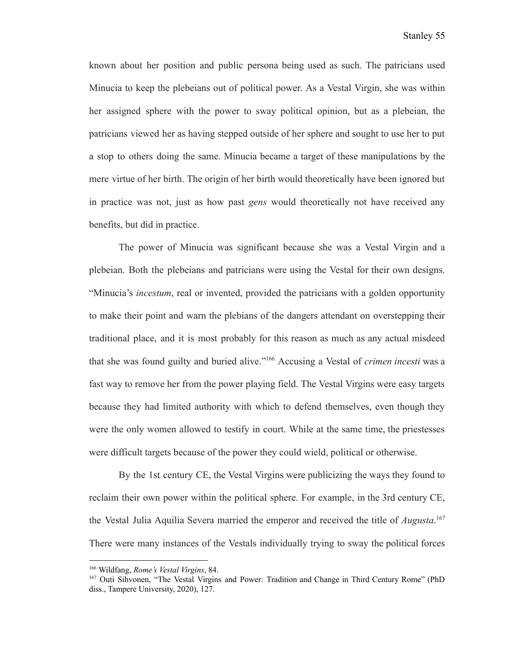known about her position and public persona being used as such. The patricians used Minucia to keep the plebeians out of political power. As a Vestal Virgin, she was within her assigned sphere with the power to sway political opinion, but as a plebeian, the patricians viewed her as having stepped outside of her sphere and sought to use her to put a stop to others doing the same. Minucia became a target of these manipulations by the mere virtue of her birth. The origin of her birth would theoretically have been ignored but in practice was not, just as how past *gens* would theoretically not have received any benefits, but did in practice.

The power of Minucia was significant because she was a Vestal Virgin and a plebeian. Both the plebeians and patricians were using the Vestal for their own designs. "Minucia's *incestum*, real or invented, provided the patricians with a golden opportunity to make their point and warn the plebians of the dangers attendant on overstepping their traditional place, and it is most probably for this reason as much as any actual misdeed that she was found guilty and buried alive."<sup>166</sup> Accusing a Vestal of *crimen incesti* was a fast way to remove her from the power playing field. The Vestal Virgins were easy targets because they had limited authority with which to defend themselves, even though they were the only women allowed to testify in court. While at the same time, the priestesses were difficult targets because of the power they could wield, political or otherwise.

By the 1st century CE, the Vestal Virgins were publicizing the ways they found to reclaim their own power within the political sphere. For example, in the 3rd century CE, the Vestal Julia Aquilia Severa married the emperor and received the title of *Augusta*. 167 There were many instances of the Vestals individually trying to sway the political forces

<sup>166</sup> Wildfang, *Rome's Vestal Virgins*, 84.

<sup>167</sup> Outi Sihvonen, "The Vestal Virgins and Power: Tradition and Change in Third Century Rome" (PhD diss., Tampere University, 2020), 127.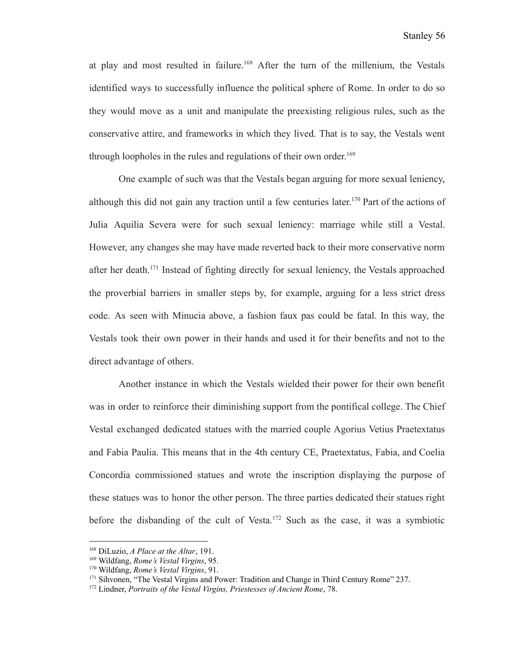at play and most resulted in failure.<sup>168</sup> After the turn of the millenium, the Vestals identified ways to successfully influence the political sphere of Rome. In order to do so they would move as a unit and manipulate the preexisting religious rules, such as the conservative attire, and frameworks in which they lived. That is to say, the Vestals went through loopholes in the rules and regulations of their own order. 169

One example of such was that the Vestals began arguing for more sexual leniency, although this did not gain any traction until a few centuries later. <sup>170</sup> Part of the actions of Julia Aquilia Severa were for such sexual leniency: marriage while still a Vestal. However, any changes she may have made reverted back to their more conservative norm after her death.<sup>171</sup> Instead of fighting directly for sexual leniency, the Vestals approached the proverbial barriers in smaller steps by, for example, arguing for a less strict dress code. As seen with Minucia above, a fashion faux pas could be fatal. In this way, the Vestals took their own power in their hands and used it for their benefits and not to the direct advantage of others.

Another instance in which the Vestals wielded their power for their own benefit was in order to reinforce their diminishing support from the pontifical college. The Chief Vestal exchanged dedicated statues with the married couple Agorius Vetius Praetextatus and Fabia Paulia. This means that in the 4th century CE, Praetextatus, Fabia, and Coelia Concordia commissioned statues and wrote the inscription displaying the purpose of these statues was to honor the other person. The three parties dedicated their statues right before the disbanding of the cult of Vesta.<sup>172</sup> Such as the case, it was a symbiotic

<sup>168</sup> DiLuzio, *A Place at the Altar*, 191.

<sup>169</sup> Wildfang, *Rome's Vestal Virgins*, 95.

<sup>170</sup> Wildfang, *Rome's Vestal Virgins*, 91.

<sup>&</sup>lt;sup>171</sup> Sihvonen, "The Vestal Virgins and Power: Tradition and Change in Third Century Rome" 237.

<sup>172</sup> Lindner, *Portraits of the Vestal Virgins, Priestesses of Ancient Rome*, 78.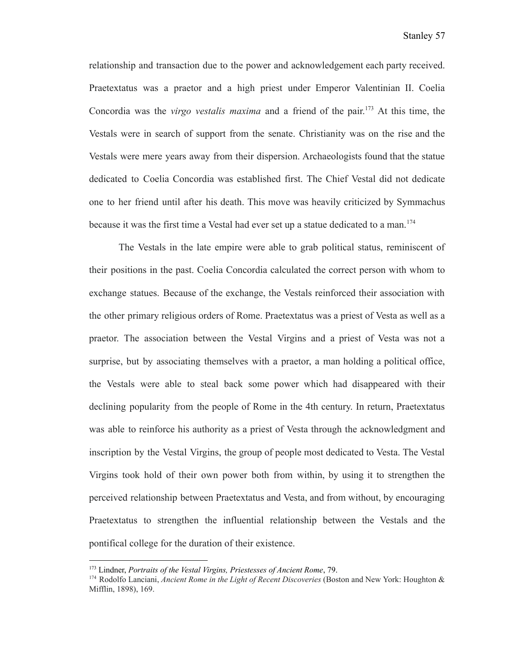relationship and transaction due to the power and acknowledgement each party received. Praetextatus was a praetor and a high priest under Emperor Valentinian II. Coelia Concordia was the *virgo vestalis maxima* and a friend of the pair. <sup>173</sup> At this time, the Vestals were in search of support from the senate. Christianity was on the rise and the Vestals were mere years away from their dispersion. Archaeologists found that the statue dedicated to Coelia Concordia was established first. The Chief Vestal did not dedicate one to her friend until after his death. This move was heavily criticized by Symmachus because it was the first time a Vestal had ever set up a statue dedicated to a man.<sup>174</sup>

The Vestals in the late empire were able to grab political status, reminiscent of their positions in the past. Coelia Concordia calculated the correct person with whom to exchange statues. Because of the exchange, the Vestals reinforced their association with the other primary religious orders of Rome. Praetextatus was a priest of Vesta as well as a praetor. The association between the Vestal Virgins and a priest of Vesta was not a surprise, but by associating themselves with a praetor, a man holding a political office, the Vestals were able to steal back some power which had disappeared with their declining popularity from the people of Rome in the 4th century. In return, Praetextatus was able to reinforce his authority as a priest of Vesta through the acknowledgment and inscription by the Vestal Virgins, the group of people most dedicated to Vesta. The Vestal Virgins took hold of their own power both from within, by using it to strengthen the perceived relationship between Praetextatus and Vesta, and from without, by encouraging Praetextatus to strengthen the influential relationship between the Vestals and the pontifical college for the duration of their existence.

<sup>173</sup> Lindner, *Portraits of the Vestal Virgins, Priestesses of Ancient Rome*, 79.

<sup>174</sup> Rodolfo Lanciani, *Ancient Rome in the Light of Recent Discoveries* (Boston and New York: Houghton & Mifflin, 1898), 169.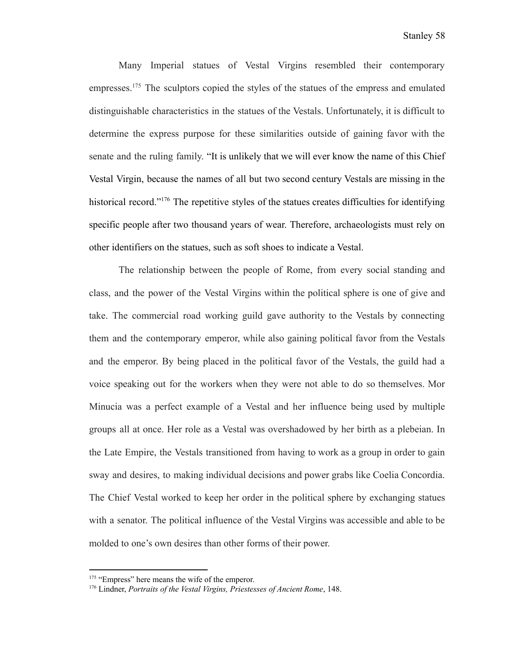Many Imperial statues of Vestal Virgins resembled their contemporary empresses.<sup>175</sup> The sculptors copied the styles of the statues of the empress and emulated distinguishable characteristics in the statues of the Vestals. Unfortunately, it is difficult to determine the express purpose for these similarities outside of gaining favor with the senate and the ruling family. "It is unlikely that we will ever know the name of this Chief Vestal Virgin, because the names of all but two second century Vestals are missing in the historical record."<sup>176</sup> The repetitive styles of the statues creates difficulties for identifying specific people after two thousand years of wear. Therefore, archaeologists must rely on other identifiers on the statues, such as soft shoes to indicate a Vestal.

The relationship between the people of Rome, from every social standing and class, and the power of the Vestal Virgins within the political sphere is one of give and take. The commercial road working guild gave authority to the Vestals by connecting them and the contemporary emperor, while also gaining political favor from the Vestals and the emperor. By being placed in the political favor of the Vestals, the guild had a voice speaking out for the workers when they were not able to do so themselves. Mor Minucia was a perfect example of a Vestal and her influence being used by multiple groups all at once. Her role as a Vestal was overshadowed by her birth as a plebeian. In the Late Empire, the Vestals transitioned from having to work as a group in order to gain sway and desires, to making individual decisions and power grabs like Coelia Concordia. The Chief Vestal worked to keep her order in the political sphere by exchanging statues with a senator. The political influence of the Vestal Virgins was accessible and able to be molded to one's own desires than other forms of their power.

<sup>&</sup>lt;sup>175</sup> "Empress" here means the wife of the emperor.

<sup>176</sup> Lindner, *Portraits of the Vestal Virgins, Priestesses of Ancient Rome*, 148.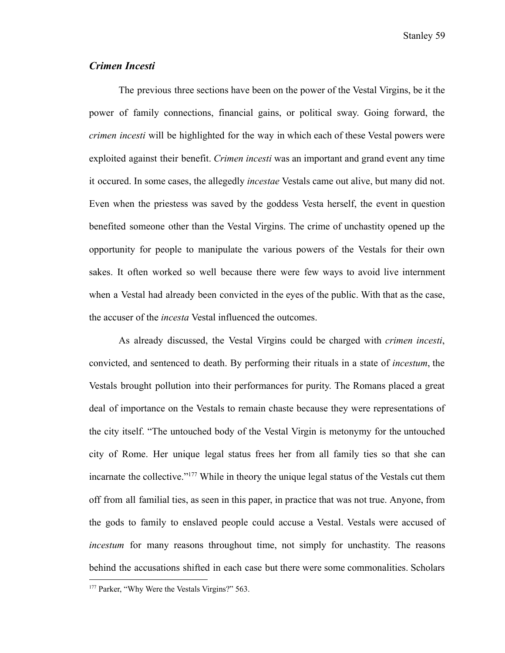Stanley 59

## *Crimen Incesti*

The previous three sections have been on the power of the Vestal Virgins, be it the power of family connections, financial gains, or political sway. Going forward, the *crimen incesti* will be highlighted for the way in which each of these Vestal powers were exploited against their benefit. *Crimen incesti* was an important and grand event any time it occured. In some cases, the allegedly *incestae* Vestals came out alive, but many did not. Even when the priestess was saved by the goddess Vesta herself, the event in question benefited someone other than the Vestal Virgins. The crime of unchastity opened up the opportunity for people to manipulate the various powers of the Vestals for their own sakes. It often worked so well because there were few ways to avoid live internment when a Vestal had already been convicted in the eyes of the public. With that as the case, the accuser of the *incesta* Vestal influenced the outcomes.

As already discussed, the Vestal Virgins could be charged with *crimen incesti*, convicted, and sentenced to death. By performing their rituals in a state of *incestum*, the Vestals brought pollution into their performances for purity. The Romans placed a great deal of importance on the Vestals to remain chaste because they were representations of the city itself. "The untouched body of the Vestal Virgin is metonymy for the untouched city of Rome. Her unique legal status frees her from all family ties so that she can incarnate the collective."<sup>177</sup> While in theory the unique legal status of the Vestals cut them off from all familial ties, as seen in this paper, in practice that was not true. Anyone, from the gods to family to enslaved people could accuse a Vestal. Vestals were accused of *incestum* for many reasons throughout time, not simply for unchastity. The reasons behind the accusations shifted in each case but there were some commonalities. Scholars

<sup>&</sup>lt;sup>177</sup> Parker, "Why Were the Vestals Virgins?" 563.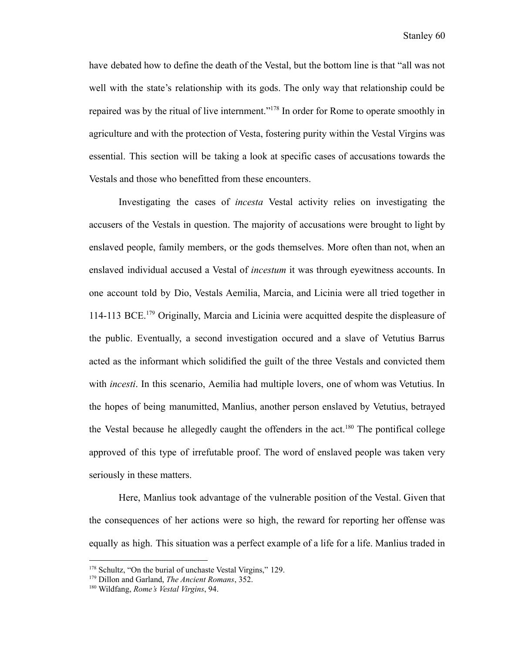have debated how to define the death of the Vestal, but the bottom line is that "all was not well with the state's relationship with its gods. The only way that relationship could be repaired was by the ritual of live internment."<sup>178</sup> In order for Rome to operate smoothly in agriculture and with the protection of Vesta, fostering purity within the Vestal Virgins was essential. This section will be taking a look at specific cases of accusations towards the Vestals and those who benefitted from these encounters.

Investigating the cases of *incesta* Vestal activity relies on investigating the accusers of the Vestals in question. The majority of accusations were brought to light by enslaved people, family members, or the gods themselves. More often than not, when an enslaved individual accused a Vestal of *incestum* it was through eyewitness accounts. In one account told by Dio, Vestals Aemilia, Marcia, and Licinia were all tried together in 114-113 BCE.<sup>179</sup> Originally, Marcia and Licinia were acquitted despite the displeasure of the public. Eventually, a second investigation occured and a slave of Vetutius Barrus acted as the informant which solidified the guilt of the three Vestals and convicted them with *incesti*. In this scenario, Aemilia had multiple lovers, one of whom was Vetutius. In the hopes of being manumitted, Manlius, another person enslaved by Vetutius, betrayed the Vestal because he allegedly caught the offenders in the  $act<sup>180</sup>$  The pontifical college approved of this type of irrefutable proof. The word of enslaved people was taken very seriously in these matters.

Here, Manlius took advantage of the vulnerable position of the Vestal. Given that the consequences of her actions were so high, the reward for reporting her offense was equally as high. This situation was a perfect example of a life for a life. Manlius traded in

<sup>&</sup>lt;sup>178</sup> Schultz, "On the burial of unchaste Vestal Virgins," 129.

<sup>179</sup> Dillon and Garland, *The Ancient Romans*, 352.

<sup>180</sup> Wildfang, *Rome's Vestal Virgins*, 94.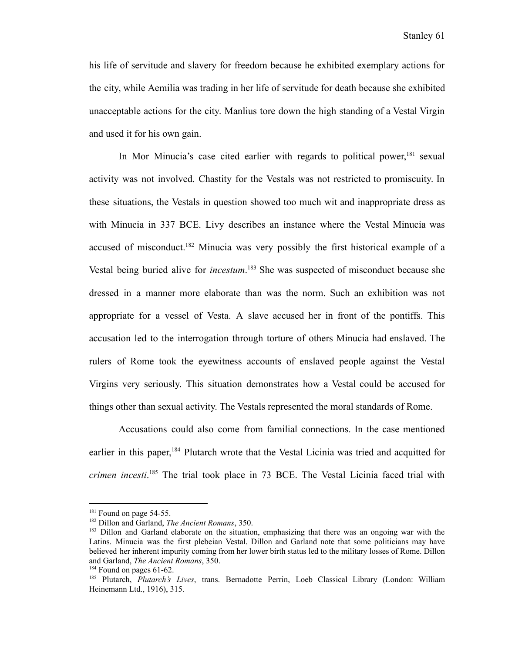his life of servitude and slavery for freedom because he exhibited exemplary actions for the city, while Aemilia was trading in her life of servitude for death because she exhibited unacceptable actions for the city. Manlius tore down the high standing of a Vestal Virgin and used it for his own gain.

In Mor Minucia's case cited earlier with regards to political power,<sup>181</sup> sexual activity was not involved. Chastity for the Vestals was not restricted to promiscuity. In these situations, the Vestals in question showed too much wit and inappropriate dress as with Minucia in 337 BCE. Livy describes an instance where the Vestal Minucia was accused of misconduct.<sup>182</sup> Minucia was very possibly the first historical example of a Vestal being buried alive for *incestum*. <sup>183</sup> She was suspected of misconduct because she dressed in a manner more elaborate than was the norm. Such an exhibition was not appropriate for a vessel of Vesta. A slave accused her in front of the pontiffs. This accusation led to the interrogation through torture of others Minucia had enslaved. The rulers of Rome took the eyewitness accounts of enslaved people against the Vestal Virgins very seriously. This situation demonstrates how a Vestal could be accused for things other than sexual activity. The Vestals represented the moral standards of Rome.

Accusations could also come from familial connections. In the case mentioned earlier in this paper,<sup>184</sup> Plutarch wrote that the Vestal Licinia was tried and acquitted for *crimen incesti*. <sup>185</sup> The trial took place in 73 BCE. The Vestal Licinia faced trial with

<sup>&</sup>lt;sup>181</sup> Found on page 54-55.

<sup>182</sup> Dillon and Garland, *The Ancient Romans*, 350.

<sup>&</sup>lt;sup>183</sup> Dillon and Garland elaborate on the situation, emphasizing that there was an ongoing war with the Latins. Minucia was the first plebeian Vestal. Dillon and Garland note that some politicians may have believed her inherent impurity coming from her lower birth status led to the military losses of Rome. Dillon and Garland, *The Ancient Romans*, 350.

 $184$  Found on pages 61-62.

<sup>185</sup> Plutarch, *Plutarch's Lives*, trans. Bernadotte Perrin, Loeb Classical Library (London: William Heinemann Ltd., 1916), 315.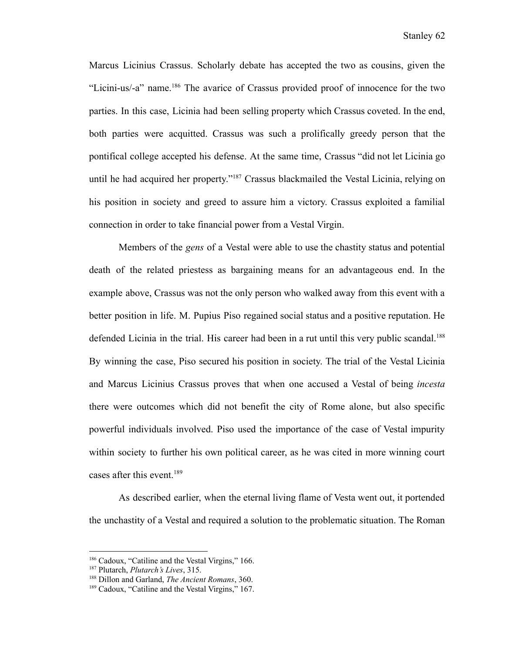Marcus Licinius Crassus. Scholarly debate has accepted the two as cousins, given the "Licini-us/-a" name.<sup>186</sup> The avarice of Crassus provided proof of innocence for the two parties. In this case, Licinia had been selling property which Crassus coveted. In the end, both parties were acquitted. Crassus was such a prolifically greedy person that the pontifical college accepted his defense. At the same time, Crassus "did not let Licinia go until he had acquired her property."<sup>187</sup> Crassus blackmailed the Vestal Licinia, relying on his position in society and greed to assure him a victory. Crassus exploited a familial connection in order to take financial power from a Vestal Virgin.

Members of the *gens* of a Vestal were able to use the chastity status and potential death of the related priestess as bargaining means for an advantageous end. In the example above, Crassus was not the only person who walked away from this event with a better position in life. M. Pupius Piso regained social status and a positive reputation. He defended Licinia in the trial. His career had been in a rut until this very public scandal.<sup>188</sup> By winning the case, Piso secured his position in society. The trial of the Vestal Licinia and Marcus Licinius Crassus proves that when one accused a Vestal of being *incesta* there were outcomes which did not benefit the city of Rome alone, but also specific powerful individuals involved. Piso used the importance of the case of Vestal impurity within society to further his own political career, as he was cited in more winning court cases after this event.<sup>189</sup>

As described earlier, when the eternal living flame of Vesta went out, it portended the unchastity of a Vestal and required a solution to the problematic situation. The Roman

<sup>&</sup>lt;sup>186</sup> Cadoux, "Catiline and the Vestal Virgins," 166.

<sup>187</sup> Plutarch, *Plutarch's Lives*, 315.

<sup>188</sup> Dillon and Garland, *The Ancient Romans*, 360.

<sup>&</sup>lt;sup>189</sup> Cadoux, "Catiline and the Vestal Virgins," 167.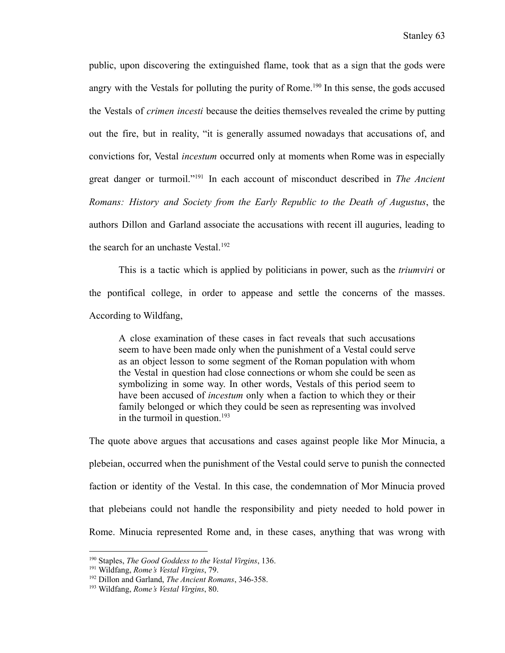public, upon discovering the extinguished flame, took that as a sign that the gods were angry with the Vestals for polluting the purity of Rome.<sup>190</sup> In this sense, the gods accused the Vestals of *crimen incesti* because the deities themselves revealed the crime by putting out the fire, but in reality, "it is generally assumed nowadays that accusations of, and convictions for, Vestal *incestum* occurred only at moments when Rome was in especially great danger or turmoil."<sup>191</sup> In each account of misconduct described in *The Ancient Romans: History and Society from the Early Republic to the Death of Augustus*, the authors Dillon and Garland associate the accusations with recent ill auguries, leading to the search for an unchaste Vestal.<sup>192</sup>

This is a tactic which is applied by politicians in power, such as the *triumviri* or the pontifical college, in order to appease and settle the concerns of the masses. According to Wildfang,

A close examination of these cases in fact reveals that such accusations seem to have been made only when the punishment of a Vestal could serve as an object lesson to some segment of the Roman population with whom the Vestal in question had close connections or whom she could be seen as symbolizing in some way. In other words, Vestals of this period seem to have been accused of *incestum* only when a faction to which they or their family belonged or which they could be seen as representing was involved in the turmoil in question.<sup>193</sup>

The quote above argues that accusations and cases against people like Mor Minucia, a plebeian, occurred when the punishment of the Vestal could serve to punish the connected faction or identity of the Vestal. In this case, the condemnation of Mor Minucia proved that plebeians could not handle the responsibility and piety needed to hold power in Rome. Minucia represented Rome and, in these cases, anything that was wrong with

<sup>190</sup> Staples, *The Good Goddess to the Vestal Virgins*, 136.

<sup>191</sup> Wildfang, *Rome's Vestal Virgins*, 79.

<sup>192</sup> Dillon and Garland, *The Ancient Romans*, 346-358.

<sup>193</sup> Wildfang, *Rome's Vestal Virgins*, 80.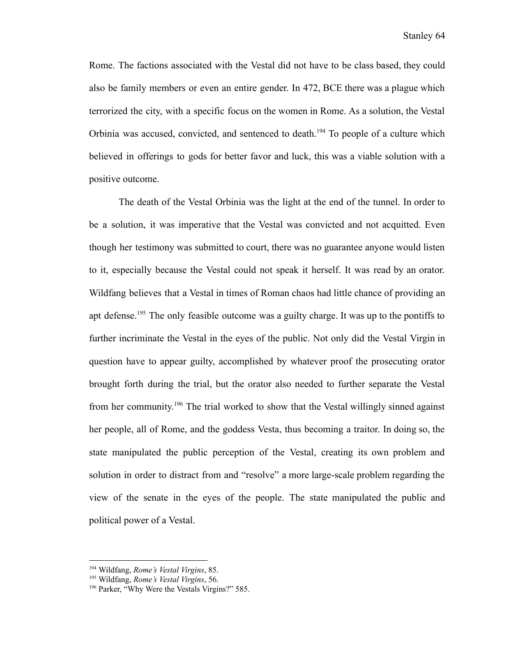Rome. The factions associated with the Vestal did not have to be class based, they could also be family members or even an entire gender. In 472, BCE there was a plague which terrorized the city, with a specific focus on the women in Rome. As a solution, the Vestal Orbinia was accused, convicted, and sentenced to death.<sup>194</sup> To people of a culture which believed in offerings to gods for better favor and luck, this was a viable solution with a positive outcome.

The death of the Vestal Orbinia was the light at the end of the tunnel. In order to be a solution, it was imperative that the Vestal was convicted and not acquitted. Even though her testimony was submitted to court, there was no guarantee anyone would listen to it, especially because the Vestal could not speak it herself. It was read by an orator. Wildfang believes that a Vestal in times of Roman chaos had little chance of providing an apt defense.<sup>195</sup> The only feasible outcome was a guilty charge. It was up to the pontiffs to further incriminate the Vestal in the eyes of the public. Not only did the Vestal Virgin in question have to appear guilty, accomplished by whatever proof the prosecuting orator brought forth during the trial, but the orator also needed to further separate the Vestal from her community.<sup>196</sup> The trial worked to show that the Vestal willingly sinned against her people, all of Rome, and the goddess Vesta, thus becoming a traitor. In doing so, the state manipulated the public perception of the Vestal, creating its own problem and solution in order to distract from and "resolve" a more large-scale problem regarding the view of the senate in the eyes of the people. The state manipulated the public and political power of a Vestal.

<sup>194</sup> Wildfang, *Rome's Vestal Virgins*, 85.

<sup>195</sup> Wildfang, *Rome's Vestal Virgins*, 56.

<sup>196</sup> Parker, "Why Were the Vestals Virgins?" 585.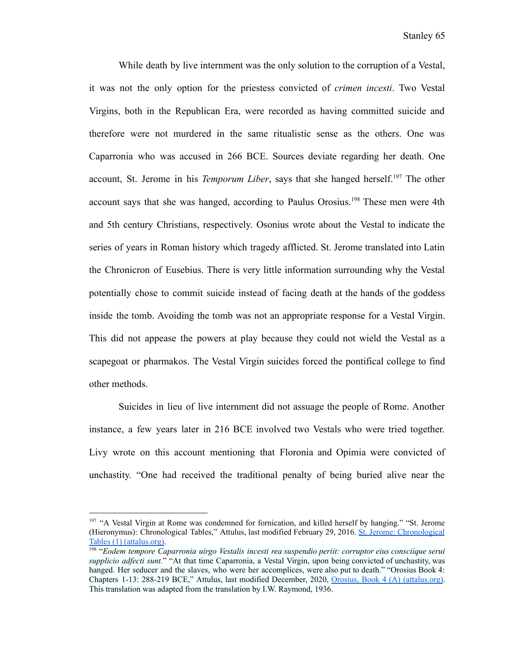While death by live internment was the only solution to the corruption of a Vestal, it was not the only option for the priestess convicted of *crimen incesti*. Two Vestal Virgins, both in the Republican Era, were recorded as having committed suicide and therefore were not murdered in the same ritualistic sense as the others. One was Caparronia who was accused in 266 BCE. Sources deviate regarding her death. One account, St. Jerome in his *Temporum Liber*, says that she hanged herself.<sup>197</sup> The other account says that she was hanged, according to Paulus Orosius.<sup>198</sup> These men were 4th and 5th century Christians, respectively. Osonius wrote about the Vestal to indicate the series of years in Roman history which tragedy afflicted. St. Jerome translated into Latin the Chronicron of Eusebius. There is very little information surrounding why the Vestal potentially chose to commit suicide instead of facing death at the hands of the goddess inside the tomb. Avoiding the tomb was not an appropriate response for a Vestal Virgin. This did not appease the powers at play because they could not wield the Vestal as a scapegoat or pharmakos. The Vestal Virgin suicides forced the pontifical college to find other methods.

Suicides in lieu of live internment did not assuage the people of Rome. Another instance, a few years later in 216 BCE involved two Vestals who were tried together. Livy wrote on this account mentioning that Floronia and Opimia were convicted of unchastity. "One had received the traditional penalty of being buried alive near the

<sup>&</sup>lt;sup>197</sup> "A Vestal Virgin at Rome was condemned for fornication, and killed herself by hanging." "St. Jerome (Hieronymus): Chronological Tables," Attulus, last modified February 29, 2016. St. Jerome: [Chronological](http://www.attalus.org/translate/jerome1.html#1750) Tables (1) [\(attalus.org\).](http://www.attalus.org/translate/jerome1.html#1750)

<sup>198</sup> "*Eodem tempore Caparronia uirgo Vestalis incesti rea suspendio periit: corruptor eius consciique serui supplicio adfecti sunt.*" "At that time Caparronia, a Vestal Virgin, upon being convicted of unchastity, was hanged. Her seducer and the slaves, who were her accomplices, were also put to death." "Orosius Book 4: Chapters 1-13: 288-219 BCE," Attulus, last modified December, 2020, Orosius, Book 4 (A) [\(attalus.org\)](http://attalus.org/translate/orosius4A.html). This translation was adapted from the translation by I.W. Raymond, 1936.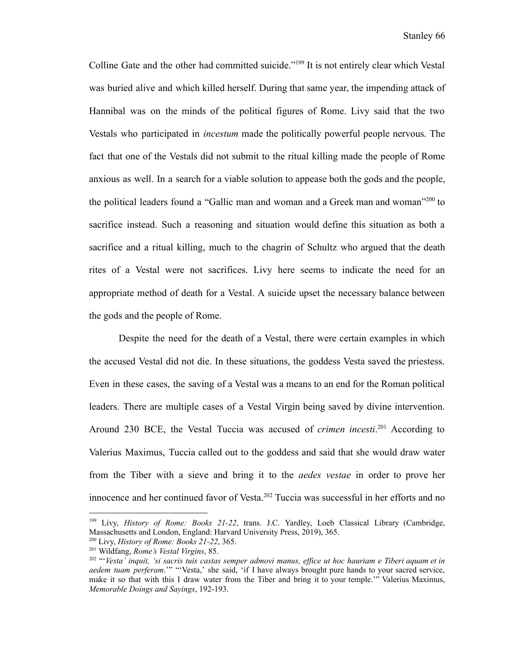Colline Gate and the other had committed suicide."<sup>199</sup> It is not entirely clear which Vestal was buried alive and which killed herself. During that same year, the impending attack of Hannibal was on the minds of the political figures of Rome. Livy said that the two Vestals who participated in *incestum* made the politically powerful people nervous. The fact that one of the Vestals did not submit to the ritual killing made the people of Rome anxious as well. In a search for a viable solution to appease both the gods and the people, the political leaders found a "Gallic man and woman and a Greek man and woman"<sup>200</sup> to sacrifice instead. Such a reasoning and situation would define this situation as both a sacrifice and a ritual killing, much to the chagrin of Schultz who argued that the death rites of a Vestal were not sacrifices. Livy here seems to indicate the need for an appropriate method of death for a Vestal. A suicide upset the necessary balance between the gods and the people of Rome.

Despite the need for the death of a Vestal, there were certain examples in which the accused Vestal did not die. In these situations, the goddess Vesta saved the priestess. Even in these cases, the saving of a Vestal was a means to an end for the Roman political leaders. There are multiple cases of a Vestal Virgin being saved by divine intervention. Around 230 BCE, the Vestal Tuccia was accused of *crimen incesti*. <sup>201</sup> According to Valerius Maximus, Tuccia called out to the goddess and said that she would draw water from the Tiber with a sieve and bring it to the *aedes vestae* in order to prove her innocence and her continued favor of Vesta.<sup>202</sup> Tuccia was successful in her efforts and no

<sup>200</sup> Livy, *History of Rome: Books 21-22*, 365. <sup>199</sup> Livy, *History of Rome: Books 21-22*, trans. J.C. Yardley, Loeb Classical Library (Cambridge, Massachusetts and London, England: Harvard University Press, 2019), 365.

<sup>201</sup> Wildfang, *Rome's Vestal Virgins*, 85.

<sup>&</sup>lt;sup>202</sup> "Vesta<sup>"</sup> inquit, 'si sacris tuis castas semper admovi manus, effice ut hoc hauriam e Tiberi aquam et in *aedem tuam perferam*.'" "'Vesta,' she said, 'if I have always brought pure hands to your sacred service, make it so that with this I draw water from the Tiber and bring it to your temple.'" Valerius Maximus, *Memorable Doings and Sayings*, 192-193.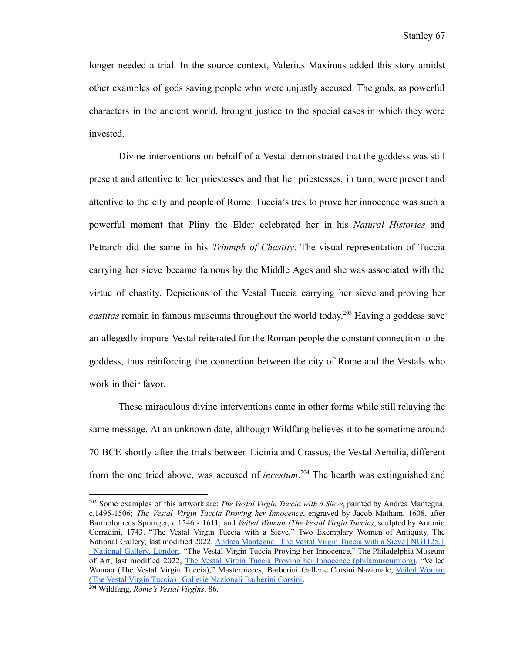longer needed a trial. In the source context, Valerius Maximus added this story amidst other examples of gods saving people who were unjustly accused. The gods, as powerful characters in the ancient world, brought justice to the special cases in which they were invested.

Divine interventions on behalf of a Vestal demonstrated that the goddess was still present and attentive to her priestesses and that her priestesses, in turn, were present and attentive to the city and people of Rome. Tuccia's trek to prove her innocence was such a powerful moment that Pliny the Elder celebrated her in his *Natural Histories* and Petrarch did the same in his *Triumph of Chastity*. The visual representation of Tuccia carrying her sieve became famous by the Middle Ages and she was associated with the virtue of chastity. Depictions of the Vestal Tuccia carrying her sieve and proving her *castitas* remain in famous museums throughout the world today. <sup>203</sup> Having a goddess save an allegedly impure Vestal reiterated for the Roman people the constant connection to the goddess, thus reinforcing the connection between the city of Rome and the Vestals who work in their favor.

These miraculous divine interventions came in other forms while still relaying the same message. At an unknown date, although Wildfang believes it to be sometime around 70 BCE shortly after the trials between Licinia and Crassus, the Vestal Aemilia, different from the one tried above, was accused of *incestum*. <sup>204</sup> The hearth was extinguished and

<sup>203</sup> Some examples of this artwork are: *The Vestal Virgin Tuccia with a Sieve*, painted by Andrea Mantegna, c.1495-1506; *The Vestal Virgin Tuccia Proving her Innocence*, engraved by Jacob Matham, 1608, after Bartholomeus Spranger, c.1546 - 1611; and *Veiled Woman (The Vestal Virgin Tuccia)*, sculpted by Antonio Corradini, 1743. "The Vestal Virgin Tuccia with a Sieve," Two Exemplary Women of Antiquity, The National Gallery, last modified 2022, Andrea Mantegna | The Vestal Virgin Tuccia with a Sieve | [NG1125.1](https://www.nationalgallery.org.uk/paintings/andrea-mantegna-the-vestal-virgin-tuccia-with-a-sieve) | [National](https://www.nationalgallery.org.uk/paintings/andrea-mantegna-the-vestal-virgin-tuccia-with-a-sieve) Gallery, London. "The Vestal Virgin Tuccia Proving her Innocence," The Philadelphia Museum of Art, last modified 2022, The Vestal Virgin Tuccia Proving her Innocence [\(philamuseum.org\)](https://philamuseum.org/collection/object/22890). "Veiled Woman (The Vestal Virgin Tuccia)," Masterpieces, Barberini Gallerie Corsini Nazionale, Veiled [Woman](https://www.barberinicorsini.org/en/opera/veiled-woman-the-vestal-virgin-tuccia/) (The Vestal Virgin Tuccia) | Gallerie [Nazionali](https://www.barberinicorsini.org/en/opera/veiled-woman-the-vestal-virgin-tuccia/) Barberini Corsini.

<sup>204</sup> Wildfang, *Rome's Vestal Virgins*, 86.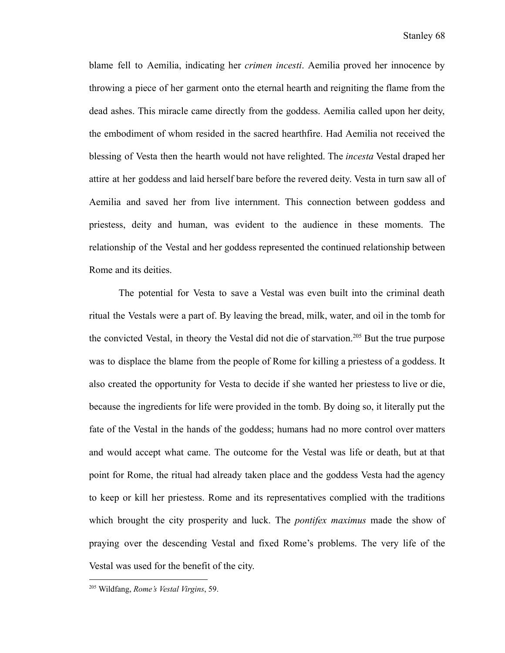blame fell to Aemilia, indicating her *crimen incesti*. Aemilia proved her innocence by throwing a piece of her garment onto the eternal hearth and reigniting the flame from the dead ashes. This miracle came directly from the goddess. Aemilia called upon her deity, the embodiment of whom resided in the sacred hearthfire. Had Aemilia not received the blessing of Vesta then the hearth would not have relighted. The *incesta* Vestal draped her attire at her goddess and laid herself bare before the revered deity. Vesta in turn saw all of Aemilia and saved her from live internment. This connection between goddess and priestess, deity and human, was evident to the audience in these moments. The relationship of the Vestal and her goddess represented the continued relationship between Rome and its deities.

The potential for Vesta to save a Vestal was even built into the criminal death ritual the Vestals were a part of. By leaving the bread, milk, water, and oil in the tomb for the convicted Vestal, in theory the Vestal did not die of starvation.<sup>205</sup> But the true purpose was to displace the blame from the people of Rome for killing a priestess of a goddess. It also created the opportunity for Vesta to decide if she wanted her priestess to live or die, because the ingredients for life were provided in the tomb. By doing so, it literally put the fate of the Vestal in the hands of the goddess; humans had no more control over matters and would accept what came. The outcome for the Vestal was life or death, but at that point for Rome, the ritual had already taken place and the goddess Vesta had the agency to keep or kill her priestess. Rome and its representatives complied with the traditions which brought the city prosperity and luck. The *pontifex maximus* made the show of praying over the descending Vestal and fixed Rome's problems. The very life of the Vestal was used for the benefit of the city.

<sup>205</sup> Wildfang, *Rome's Vestal Virgins*, 59.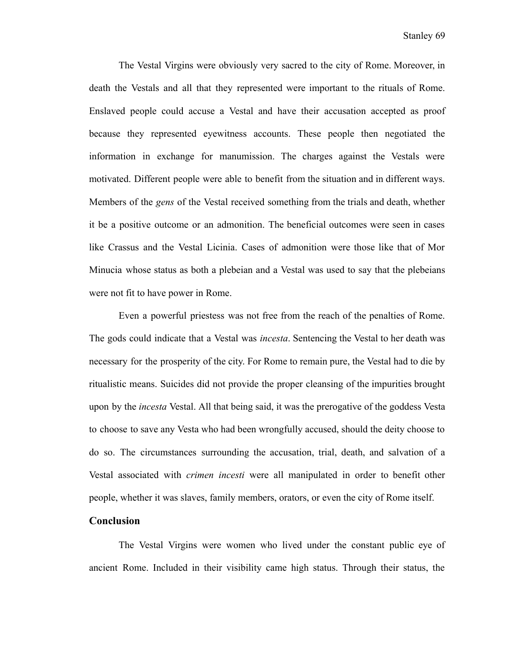The Vestal Virgins were obviously very sacred to the city of Rome. Moreover, in death the Vestals and all that they represented were important to the rituals of Rome. Enslaved people could accuse a Vestal and have their accusation accepted as proof because they represented eyewitness accounts. These people then negotiated the information in exchange for manumission. The charges against the Vestals were motivated. Different people were able to benefit from the situation and in different ways. Members of the *gens* of the Vestal received something from the trials and death, whether it be a positive outcome or an admonition. The beneficial outcomes were seen in cases like Crassus and the Vestal Licinia. Cases of admonition were those like that of Mor Minucia whose status as both a plebeian and a Vestal was used to say that the plebeians were not fit to have power in Rome.

Even a powerful priestess was not free from the reach of the penalties of Rome. The gods could indicate that a Vestal was *incesta*. Sentencing the Vestal to her death was necessary for the prosperity of the city. For Rome to remain pure, the Vestal had to die by ritualistic means. Suicides did not provide the proper cleansing of the impurities brought upon by the *incesta* Vestal. All that being said, it was the prerogative of the goddess Vesta to choose to save any Vesta who had been wrongfully accused, should the deity choose to do so. The circumstances surrounding the accusation, trial, death, and salvation of a Vestal associated with *crimen incesti* were all manipulated in order to benefit other people, whether it was slaves, family members, orators, or even the city of Rome itself.

## **Conclusion**

The Vestal Virgins were women who lived under the constant public eye of ancient Rome. Included in their visibility came high status. Through their status, the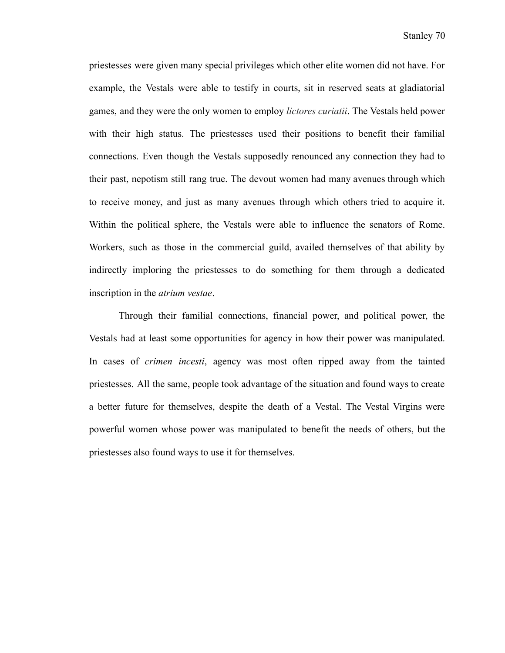priestesses were given many special privileges which other elite women did not have. For example, the Vestals were able to testify in courts, sit in reserved seats at gladiatorial games, and they were the only women to employ *lictores curiatii*. The Vestals held power with their high status. The priestesses used their positions to benefit their familial connections. Even though the Vestals supposedly renounced any connection they had to their past, nepotism still rang true. The devout women had many avenues through which to receive money, and just as many avenues through which others tried to acquire it. Within the political sphere, the Vestals were able to influence the senators of Rome. Workers, such as those in the commercial guild, availed themselves of that ability by indirectly imploring the priestesses to do something for them through a dedicated inscription in the *atrium vestae*.

Through their familial connections, financial power, and political power, the Vestals had at least some opportunities for agency in how their power was manipulated. In cases of *crimen incesti*, agency was most often ripped away from the tainted priestesses. All the same, people took advantage of the situation and found ways to create a better future for themselves, despite the death of a Vestal. The Vestal Virgins were powerful women whose power was manipulated to benefit the needs of others, but the priestesses also found ways to use it for themselves.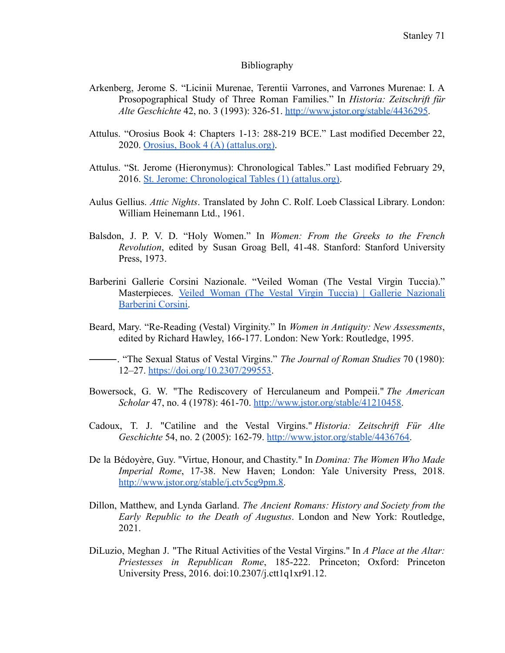## Bibliography

- Arkenberg, Jerome S. "Licinii Murenae, Terentii Varrones, and Varrones Murenae: I. A Prosopographical Study of Three Roman Families." In *Historia: Zeitschrift für Alte Geschichte* 42, no. 3 (1993): 326-51. [http://www.jstor.org/stable/4436295.](http://www.jstor.org/stable/4436295)
- Attulus. "Orosius Book 4: Chapters 1-13: 288-219 BCE." Last modified December 22, 2020. [Orosius, Book 4 \(A\) \(attalus.org\)](http://attalus.org/translate/orosius4A.html).
- Attulus. "St. Jerome (Hieronymus): Chronological Tables." Last modified February 29, 2016. [St. Jerome: Chronological Tables \(1\) \(attalus.org\).](http://www.attalus.org/translate/jerome1.html#1750)
- Aulus Gellius. *Attic Nights*. Translated by John C. Rolf. Loeb Classical Library. London: William Heinemann Ltd., 1961.
- Balsdon, J. P. V. D. "Holy Women." In *Women: From the Greeks to the French Revolution*, edited by Susan Groag Bell, 41-48. Stanford: Stanford University Press, 1973.
- Barberini Gallerie Corsini Nazionale. "Veiled Woman (The Vestal Virgin Tuccia)." Masterpieces. Veiled Woman (The Vestal Virgin Tuccia) | Gallerie [Nazionali](https://www.barberinicorsini.org/en/opera/veiled-woman-the-vestal-virgin-tuccia/) [Barberini Corsini.](https://www.barberinicorsini.org/en/opera/veiled-woman-the-vestal-virgin-tuccia/)
- Beard, Mary. "Re-Reading (Vestal) Virginity." In *Women in Antiquity: New Assessments*, edited by Richard Hawley, 166-177. London: New York: Routledge, 1995.

⸻. "The Sexual Status of Vestal Virgins." *The Journal of Roman Studies* 70 (1980): 12–27. <https://doi.org/10.2307/299553>.

- Bowersock, G. W. "The Rediscovery of Herculaneum and Pompeii." *The American Scholar* 47, no. 4 (1978): 461-70. [http://www.jstor.org/stable/41210458.](http://www.jstor.org/stable/41210458)
- Cadoux, T. J. "Catiline and the Vestal Virgins." *Historia: Zeitschrift Für Alte Geschichte* 54, no. 2 (2005): 162-79. [http://www.jstor.org/stable/4436764.](http://www.jstor.org/stable/4436764)
- De la Bédoyère, Guy. "Virtue, Honour, and Chastity." In *Domina: The Women Who Made Imperial Rome*, 17-38. New Haven; London: Yale University Press, 2018. [http://www.jstor.org/stable/j.ctv5cg9pm.8.](http://www.jstor.org/stable/j.ctv5cg9pm.8)
- Dillon, Matthew, and Lynda Garland. *The Ancient Romans: History and Society from the Early Republic to the Death of Augustus*. London and New York: Routledge, 2021.
- DiLuzio, Meghan J. "The Ritual Activities of the Vestal Virgins." In *A Place at the Altar: Priestesses in Republican Rome*, 185-222. Princeton; Oxford: Princeton University Press, 2016. doi:10.2307/j.ctt1q1xr91.12.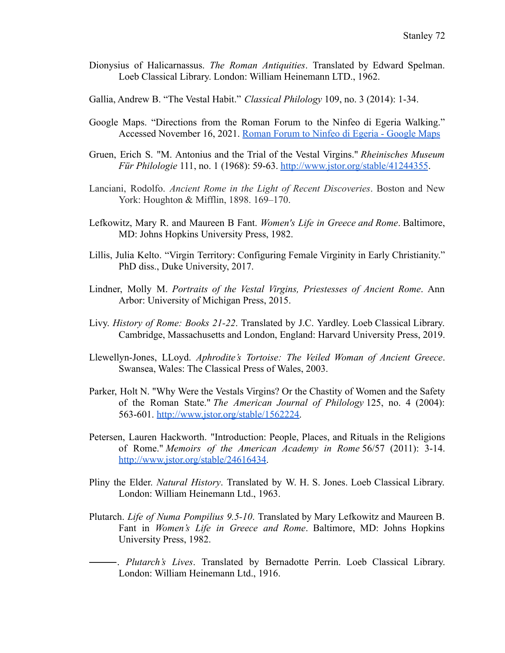- Dionysius of Halicarnassus. *The Roman Antiquities*. Translated by Edward Spelman. Loeb Classical Library. London: William Heinemann LTD., 1962.
- Gallia, Andrew B. "The Vestal Habit." *Classical Philology* 109, no. 3 (2014): 1-34.
- Google Maps. "Directions from the Roman Forum to the Ninfeo di Egeria Walking." Accessed November 16, 2021. Roman Forum to Ninfeo [di Egeria - Google Maps](https://www.google.com/maps/dir/Roman+Forum,+Via+della+Salara+Vecchia,+Rome,+Metropolitan+City+of+Rome,+Italy/Ninfeo+di+Egeria,+Via+della+Caffarella,+Rome,+Metropolitan+City+of+Rome,+Italy/@41.8758518,12.4875213,14z/data=!3m1!4b1!4m14!4m13!1m5!1m1!1s0x132f61b383a9cdef:0xfa914007c0ec7de6!2m2!1d12.485325!2d41.8924623!1m5!1m1!1s0x13258a03fec247c1:0xdfc2da530dff8b05!2m2!1d12.5243071!2d41.85918!3e2)
- Gruen, Erich S. "M. Antonius and the Trial of the Vestal Virgins." *Rheinisches Museum Für Philologie* 111, no. 1 (1968): 59-63. <http://www.jstor.org/stable/41244355>.
- Lanciani, Rodolfo. *Ancient Rome in the Light of Recent Discoveries*. Boston and New York: Houghton & Mifflin, 1898. 169–170.
- Lefkowitz, Mary R. and Maureen B Fant. *Women's Life in Greece and Rome*. Baltimore, MD: Johns Hopkins University Press, 1982.
- Lillis, Julia Kelto. "Virgin Territory: Configuring Female Virginity in Early Christianity." PhD diss., Duke University, 2017.
- Lindner, Molly M. *Portraits of the Vestal Virgins, Priestesses of Ancient Rome*. Ann Arbor: University of Michigan Press, 2015.
- Livy. *History of Rome: Books 21-22*. Translated by J.C. Yardley. Loeb Classical Library. Cambridge, Massachusetts and London, England: Harvard University Press, 2019.
- Llewellyn-Jones, LLoyd. *Aphrodite's Tortoise: The Veiled Woman of Ancient Greece*. Swansea, Wales: The Classical Press of Wales, 2003.
- Parker, Holt N. "Why Were the Vestals Virgins? Or the Chastity of Women and the Safety of the Roman State." *The American Journal of Philology* 125, no. 4 (2004): 563-601. [http://www.jstor.org/stable/1562224.](http://www.jstor.org/stable/1562224)
- Petersen, Lauren Hackworth. "Introduction: People, Places, and Rituals in the Religions of Rome." *Memoirs of the American Academy in Rome* 56/57 (2011): 3-14. [http://www.jstor.org/stable/24616434.](http://www.jstor.org/stable/24616434)
- Pliny the Elder. *Natural History*. Translated by W. H. S. Jones. Loeb Classical Library. London: William Heinemann Ltd., 1963.
- Plutarch. *Life of Numa Pompilius 9.5-10*. Translated by Mary Lefkowitz and Maureen B. Fant in *Women's Life in Greece and Rome*. Baltimore, MD: Johns Hopkins University Press, 1982.
- ⸻. *Plutarch's Lives*. Translated by Bernadotte Perrin. Loeb Classical Library. London: William Heinemann Ltd., 1916.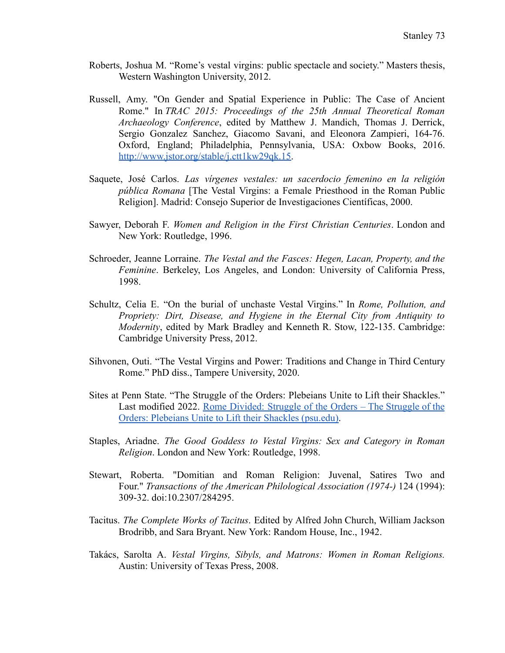- Roberts, Joshua M. "Rome's vestal virgins: public spectacle and society." Masters thesis, Western Washington University, 2012.
- Russell, Amy. "On Gender and Spatial Experience in Public: The Case of Ancient Rome." In *TRAC 2015: Proceedings of the 25th Annual Theoretical Roman Archaeology Conference*, edited by Matthew J. Mandich, Thomas J. Derrick, Sergio Gonzalez Sanchez, Giacomo Savani, and Eleonora Zampieri, 164-76. Oxford, England; Philadelphia, Pennsylvania, USA: Oxbow Books, 2016. [http://www.jstor.org/stable/j.ctt1kw29qk.15.](http://www.jstor.org/stable/j.ctt1kw29qk.15)
- Saquete, José Carlos. *Las vírgenes vestales: un sacerdocio femenino en la religión pública Romana* [The Vestal Virgins: a Female Priesthood in the Roman Public Religion]. Madrid: Consejo Superior de Investigaciones Científicas, 2000.
- Sawyer, Deborah F. *Women and Religion in the First Christian Centuries*. London and New York: Routledge, 1996.
- Schroeder, Jeanne Lorraine. *The Vestal and the Fasces: Hegen, Lacan, Property, and the Feminine*. Berkeley, Los Angeles, and London: University of California Press, 1998.
- Schultz, Celia E. "On the burial of unchaste Vestal Virgins." In *Rome, Pollution, and Propriety: Dirt, Disease, and Hygiene in the Eternal City from Antiquity to Modernity*, edited by Mark Bradley and Kenneth R. Stow, 122-135. Cambridge: Cambridge University Press, 2012.
- Sihvonen, Outi. "The Vestal Virgins and Power: Traditions and Change in Third Century Rome." PhD diss., Tampere University, 2020.
- Sites at Penn State. "The Struggle of the Orders: Plebeians Unite to Lift their Shackles." Last modified 2022. Rome [Divided:](https://sites.psu.edu/struggleoftheorders/) Struggle of the Orders – The Struggle of the [Orders: Plebeians Unite to Lift their Shackles \(psu.edu\).](https://sites.psu.edu/struggleoftheorders/)
- Staples, Ariadne. *The Good Goddess to Vestal Virgins: Sex and Category in Roman Religion*. London and New York: Routledge, 1998.
- Stewart, Roberta. "Domitian and Roman Religion: Juvenal, Satires Two and Four." *Transactions of the American Philological Association (1974-)* 124 (1994): 309-32. doi:10.2307/284295.
- Tacitus. *The Complete Works of Tacitus*. Edited by Alfred John Church, William Jackson Brodribb, and Sara Bryant. New York: Random House, Inc., 1942.
- Takács, Sarolta A. *Vestal Virgins, Sibyls, and Matrons: Women in Roman Religions.* Austin: University of Texas Press, 2008.